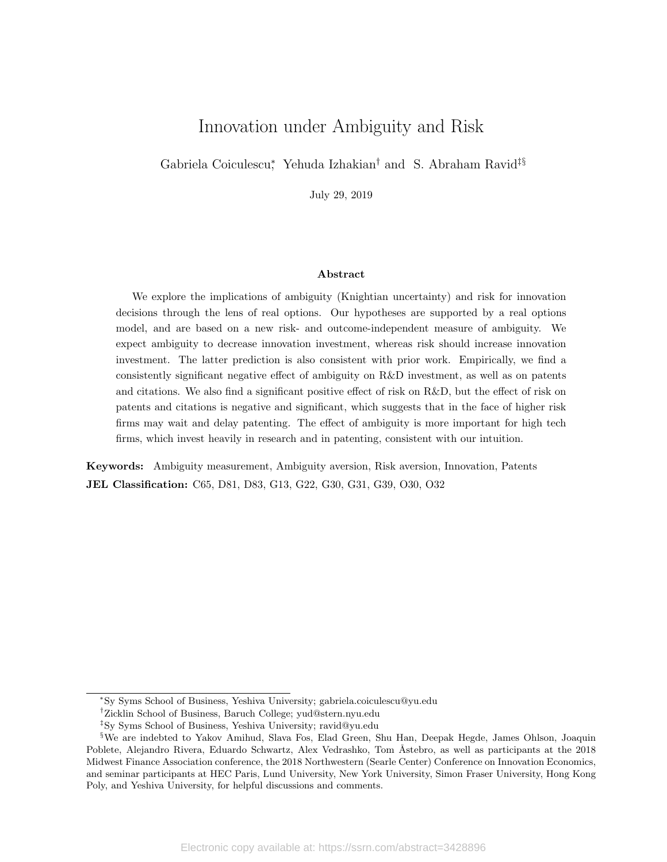# Innovation under Ambiguity and Risk

Gabriela Coiculescu<sup>\*</sup>, Yehuda Izhakian<sup>†</sup> and S. Abraham Ravid<sup>‡§</sup>

July 29, 2019

#### Abstract

We explore the implications of ambiguity (Knightian uncertainty) and risk for innovation decisions through the lens of real options. Our hypotheses are supported by a real options model, and are based on a new risk- and outcome-independent measure of ambiguity. We expect ambiguity to decrease innovation investment, whereas risk should increase innovation investment. The latter prediction is also consistent with prior work. Empirically, we find a consistently significant negative effect of ambiguity on R&D investment, as well as on patents and citations. We also find a significant positive effect of risk on R&D, but the effect of risk on patents and citations is negative and significant, which suggests that in the face of higher risk firms may wait and delay patenting. The effect of ambiguity is more important for high tech firms, which invest heavily in research and in patenting, consistent with our intuition.

Keywords: Ambiguity measurement, Ambiguity aversion, Risk aversion, Innovation, Patents JEL Classification: C65, D81, D83, G13, G22, G30, G31, G39, O30, O32

<sup>∗</sup>Sy Syms School of Business, Yeshiva University; gabriela.coiculescu@yu.edu

<sup>†</sup>Zicklin School of Business, Baruch College; yud@stern.nyu.edu

<sup>‡</sup>Sy Syms School of Business, Yeshiva University; ravid@yu.edu

<sup>§</sup>We are indebted to Yakov Amihud, Slava Fos, Elad Green, Shu Han, Deepak Hegde, James Ohlson, Joaquin Poblete, Alejandro Rivera, Eduardo Schwartz, Alex Vedrashko, Tom Åstebro, as well as participants at the 2018 Midwest Finance Association conference, the 2018 Northwestern (Searle Center) Conference on Innovation Economics, and seminar participants at HEC Paris, Lund University, New York University, Simon Fraser University, Hong Kong Poly, and Yeshiva University, for helpful discussions and comments.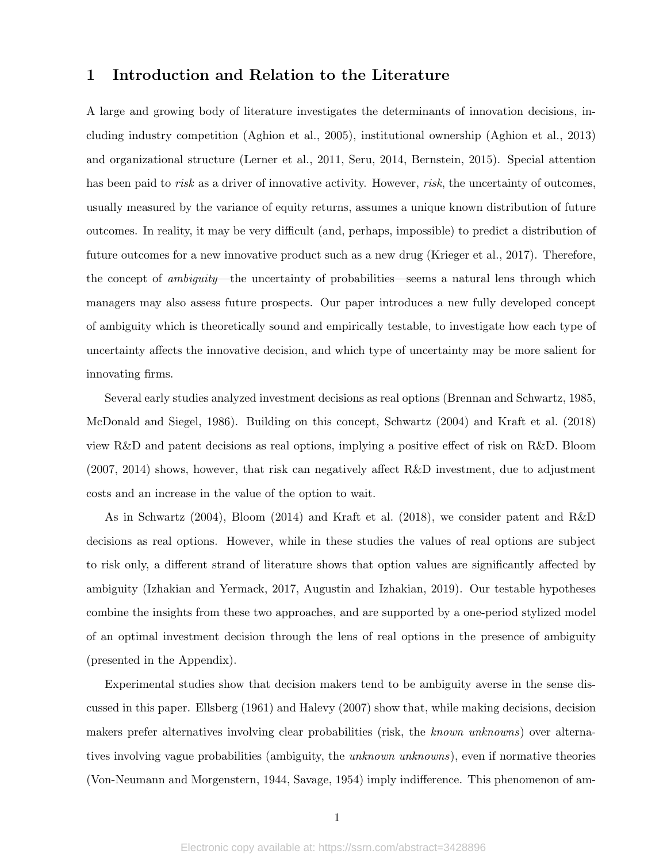## 1 Introduction and Relation to the Literature

A large and growing body of literature investigates the determinants of innovation decisions, including industry competition (Aghion et al., 2005), institutional ownership (Aghion et al., 2013) and organizational structure (Lerner et al., 2011, Seru, 2014, Bernstein, 2015). Special attention has been paid to *risk* as a driver of innovative activity. However, *risk*, the uncertainty of outcomes, usually measured by the variance of equity returns, assumes a unique known distribution of future outcomes. In reality, it may be very difficult (and, perhaps, impossible) to predict a distribution of future outcomes for a new innovative product such as a new drug (Krieger et al., 2017). Therefore, the concept of ambiguity—the uncertainty of probabilities—seems a natural lens through which managers may also assess future prospects. Our paper introduces a new fully developed concept of ambiguity which is theoretically sound and empirically testable, to investigate how each type of uncertainty affects the innovative decision, and which type of uncertainty may be more salient for innovating firms.

Several early studies analyzed investment decisions as real options (Brennan and Schwartz, 1985, McDonald and Siegel, 1986). Building on this concept, Schwartz (2004) and Kraft et al. (2018) view R&D and patent decisions as real options, implying a positive effect of risk on R&D. Bloom (2007, 2014) shows, however, that risk can negatively affect R&D investment, due to adjustment costs and an increase in the value of the option to wait.

As in Schwartz (2004), Bloom (2014) and Kraft et al. (2018), we consider patent and R&D decisions as real options. However, while in these studies the values of real options are subject to risk only, a different strand of literature shows that option values are significantly affected by ambiguity (Izhakian and Yermack, 2017, Augustin and Izhakian, 2019). Our testable hypotheses combine the insights from these two approaches, and are supported by a one-period stylized model of an optimal investment decision through the lens of real options in the presence of ambiguity (presented in the Appendix).

Experimental studies show that decision makers tend to be ambiguity averse in the sense discussed in this paper. Ellsberg (1961) and Halevy (2007) show that, while making decisions, decision makers prefer alternatives involving clear probabilities (risk, the known unknowns) over alternatives involving vague probabilities (ambiguity, the *unknown unknowns*), even if normative theories (Von-Neumann and Morgenstern, 1944, Savage, 1954) imply indifference. This phenomenon of am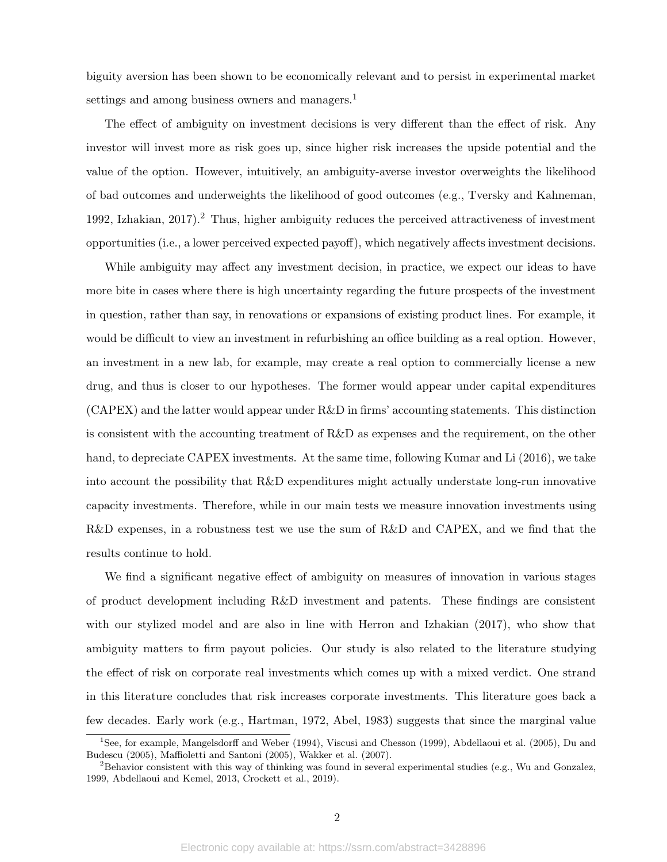biguity aversion has been shown to be economically relevant and to persist in experimental market settings and among business owners and managers.<sup>1</sup>

The effect of ambiguity on investment decisions is very different than the effect of risk. Any investor will invest more as risk goes up, since higher risk increases the upside potential and the value of the option. However, intuitively, an ambiguity-averse investor overweights the likelihood of bad outcomes and underweights the likelihood of good outcomes (e.g., Tversky and Kahneman, 1992, Izhakian,  $2017$ ).<sup>2</sup> Thus, higher ambiguity reduces the perceived attractiveness of investment opportunities (i.e., a lower perceived expected payoff), which negatively affects investment decisions.

While ambiguity may affect any investment decision, in practice, we expect our ideas to have more bite in cases where there is high uncertainty regarding the future prospects of the investment in question, rather than say, in renovations or expansions of existing product lines. For example, it would be difficult to view an investment in refurbishing an office building as a real option. However, an investment in a new lab, for example, may create a real option to commercially license a new drug, and thus is closer to our hypotheses. The former would appear under capital expenditures (CAPEX) and the latter would appear under R&D in firms' accounting statements. This distinction is consistent with the accounting treatment of R&D as expenses and the requirement, on the other hand, to depreciate CAPEX investments. At the same time, following Kumar and Li (2016), we take into account the possibility that R&D expenditures might actually understate long-run innovative capacity investments. Therefore, while in our main tests we measure innovation investments using R&D expenses, in a robustness test we use the sum of R&D and CAPEX, and we find that the results continue to hold.

We find a significant negative effect of ambiguity on measures of innovation in various stages of product development including R&D investment and patents. These findings are consistent with our stylized model and are also in line with Herron and Izhakian (2017), who show that ambiguity matters to firm payout policies. Our study is also related to the literature studying the effect of risk on corporate real investments which comes up with a mixed verdict. One strand in this literature concludes that risk increases corporate investments. This literature goes back a few decades. Early work (e.g., Hartman, 1972, Abel, 1983) suggests that since the marginal value

<sup>1</sup>See, for example, Mangelsdorff and Weber (1994), Viscusi and Chesson (1999), Abdellaoui et al. (2005), Du and Budescu (2005), Maffioletti and Santoni (2005), Wakker et al. (2007).

 ${}^{2}$ Behavior consistent with this way of thinking was found in several experimental studies (e.g., Wu and Gonzalez, 1999, Abdellaoui and Kemel, 2013, Crockett et al., 2019).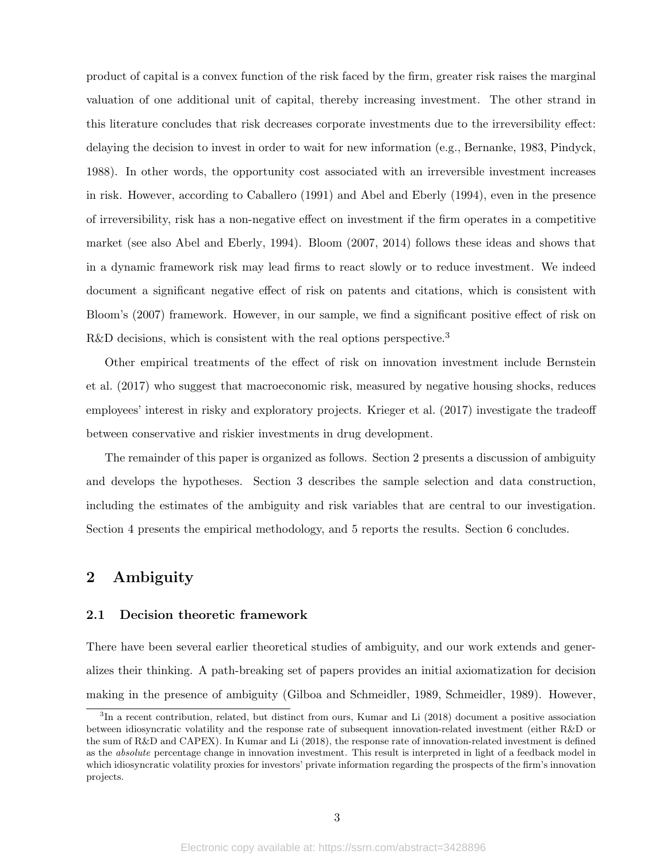product of capital is a convex function of the risk faced by the firm, greater risk raises the marginal valuation of one additional unit of capital, thereby increasing investment. The other strand in this literature concludes that risk decreases corporate investments due to the irreversibility effect: delaying the decision to invest in order to wait for new information (e.g., Bernanke, 1983, Pindyck, 1988). In other words, the opportunity cost associated with an irreversible investment increases in risk. However, according to Caballero (1991) and Abel and Eberly (1994), even in the presence of irreversibility, risk has a non-negative effect on investment if the firm operates in a competitive market (see also Abel and Eberly, 1994). Bloom (2007, 2014) follows these ideas and shows that in a dynamic framework risk may lead firms to react slowly or to reduce investment. We indeed document a significant negative effect of risk on patents and citations, which is consistent with Bloom's (2007) framework. However, in our sample, we find a significant positive effect of risk on R&D decisions, which is consistent with the real options perspective.<sup>3</sup>

Other empirical treatments of the effect of risk on innovation investment include Bernstein et al. (2017) who suggest that macroeconomic risk, measured by negative housing shocks, reduces employees' interest in risky and exploratory projects. Krieger et al. (2017) investigate the tradeoff between conservative and riskier investments in drug development.

The remainder of this paper is organized as follows. Section 2 presents a discussion of ambiguity and develops the hypotheses. Section 3 describes the sample selection and data construction, including the estimates of the ambiguity and risk variables that are central to our investigation. Section 4 presents the empirical methodology, and 5 reports the results. Section 6 concludes.

# 2 Ambiguity

### 2.1 Decision theoretic framework

There have been several earlier theoretical studies of ambiguity, and our work extends and generalizes their thinking. A path-breaking set of papers provides an initial axiomatization for decision making in the presence of ambiguity (Gilboa and Schmeidler, 1989, Schmeidler, 1989). However,

<sup>&</sup>lt;sup>3</sup>In a recent contribution, related, but distinct from ours, Kumar and Li (2018) document a positive association between idiosyncratic volatility and the response rate of subsequent innovation-related investment (either R&D or the sum of R&D and CAPEX). In Kumar and Li (2018), the response rate of innovation-related investment is defined as the absolute percentage change in innovation investment. This result is interpreted in light of a feedback model in which idiosyncratic volatility proxies for investors' private information regarding the prospects of the firm's innovation projects.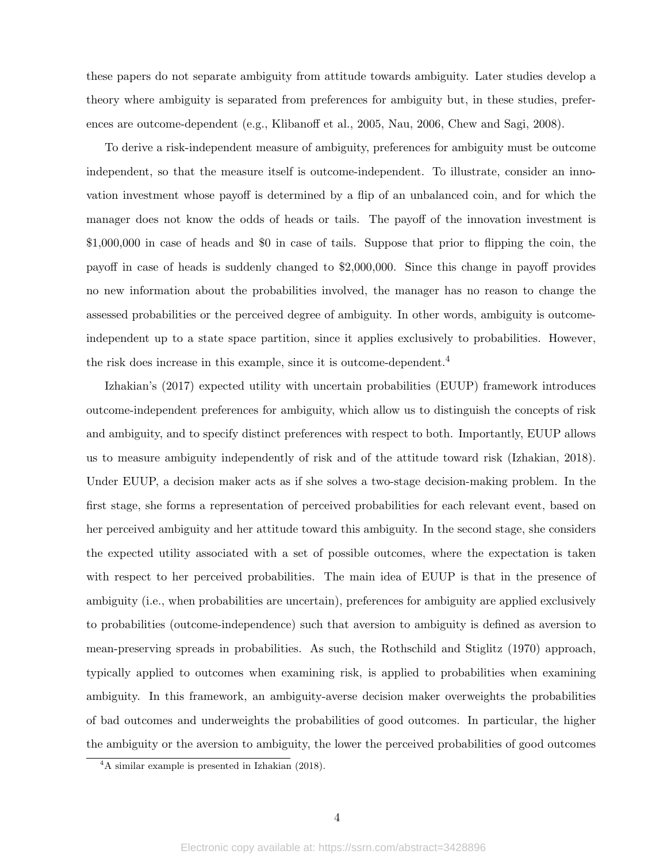these papers do not separate ambiguity from attitude towards ambiguity. Later studies develop a theory where ambiguity is separated from preferences for ambiguity but, in these studies, preferences are outcome-dependent (e.g., Klibanoff et al., 2005, Nau, 2006, Chew and Sagi, 2008).

To derive a risk-independent measure of ambiguity, preferences for ambiguity must be outcome independent, so that the measure itself is outcome-independent. To illustrate, consider an innovation investment whose payoff is determined by a flip of an unbalanced coin, and for which the manager does not know the odds of heads or tails. The payoff of the innovation investment is \$1,000,000 in case of heads and \$0 in case of tails. Suppose that prior to flipping the coin, the payoff in case of heads is suddenly changed to \$2,000,000. Since this change in payoff provides no new information about the probabilities involved, the manager has no reason to change the assessed probabilities or the perceived degree of ambiguity. In other words, ambiguity is outcomeindependent up to a state space partition, since it applies exclusively to probabilities. However, the risk does increase in this example, since it is outcome-dependent.<sup>4</sup>

Izhakian's (2017) expected utility with uncertain probabilities (EUUP) framework introduces outcome-independent preferences for ambiguity, which allow us to distinguish the concepts of risk and ambiguity, and to specify distinct preferences with respect to both. Importantly, EUUP allows us to measure ambiguity independently of risk and of the attitude toward risk (Izhakian, 2018). Under EUUP, a decision maker acts as if she solves a two-stage decision-making problem. In the first stage, she forms a representation of perceived probabilities for each relevant event, based on her perceived ambiguity and her attitude toward this ambiguity. In the second stage, she considers the expected utility associated with a set of possible outcomes, where the expectation is taken with respect to her perceived probabilities. The main idea of EUUP is that in the presence of ambiguity (i.e., when probabilities are uncertain), preferences for ambiguity are applied exclusively to probabilities (outcome-independence) such that aversion to ambiguity is defined as aversion to mean-preserving spreads in probabilities. As such, the Rothschild and Stiglitz (1970) approach, typically applied to outcomes when examining risk, is applied to probabilities when examining ambiguity. In this framework, an ambiguity-averse decision maker overweights the probabilities of bad outcomes and underweights the probabilities of good outcomes. In particular, the higher the ambiguity or the aversion to ambiguity, the lower the perceived probabilities of good outcomes

<sup>4</sup>A similar example is presented in Izhakian (2018).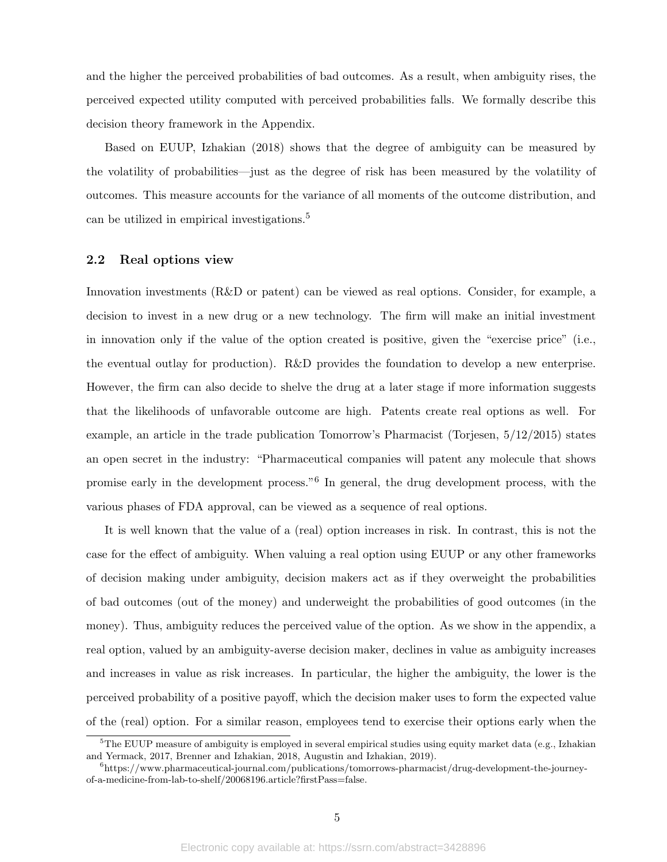and the higher the perceived probabilities of bad outcomes. As a result, when ambiguity rises, the perceived expected utility computed with perceived probabilities falls. We formally describe this decision theory framework in the Appendix.

Based on EUUP, Izhakian (2018) shows that the degree of ambiguity can be measured by the volatility of probabilities—just as the degree of risk has been measured by the volatility of outcomes. This measure accounts for the variance of all moments of the outcome distribution, and can be utilized in empirical investigations.<sup>5</sup>

#### 2.2 Real options view

Innovation investments (R&D or patent) can be viewed as real options. Consider, for example, a decision to invest in a new drug or a new technology. The firm will make an initial investment in innovation only if the value of the option created is positive, given the "exercise price" (i.e., the eventual outlay for production). R&D provides the foundation to develop a new enterprise. However, the firm can also decide to shelve the drug at a later stage if more information suggests that the likelihoods of unfavorable outcome are high. Patents create real options as well. For example, an article in the trade publication Tomorrow's Pharmacist (Torjesen, 5/12/2015) states an open secret in the industry: "Pharmaceutical companies will patent any molecule that shows promise early in the development process."<sup>6</sup> In general, the drug development process, with the various phases of FDA approval, can be viewed as a sequence of real options.

It is well known that the value of a (real) option increases in risk. In contrast, this is not the case for the effect of ambiguity. When valuing a real option using EUUP or any other frameworks of decision making under ambiguity, decision makers act as if they overweight the probabilities of bad outcomes (out of the money) and underweight the probabilities of good outcomes (in the money). Thus, ambiguity reduces the perceived value of the option. As we show in the appendix, a real option, valued by an ambiguity-averse decision maker, declines in value as ambiguity increases and increases in value as risk increases. In particular, the higher the ambiguity, the lower is the perceived probability of a positive payoff, which the decision maker uses to form the expected value of the (real) option. For a similar reason, employees tend to exercise their options early when the

 $5$ The EUUP measure of ambiguity is employed in several empirical studies using equity market data (e.g., Izhakian and Yermack, 2017, Brenner and Izhakian, 2018, Augustin and Izhakian, 2019).

 $^{6}$ https://www.pharmaceutical-journal.com/publications/tomorrows-pharmacist/drug-development-the-journeyof-a-medicine-from-lab-to-shelf/20068196.article?firstPass=false.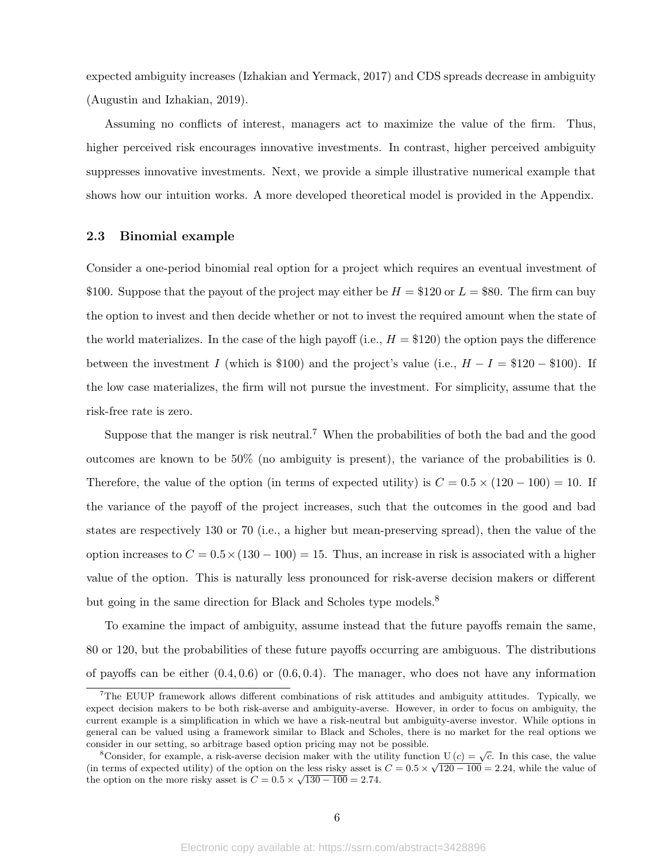expected ambiguity increases (Izhakian and Yermack, 2017) and CDS spreads decrease in ambiguity (Augustin and Izhakian, 2019).

Assuming no conflicts of interest, managers act to maximize the value of the firm. Thus, higher perceived risk encourages innovative investments. In contrast, higher perceived ambiguity suppresses innovative investments. Next, we provide a simple illustrative numerical example that shows how our intuition works. A more developed theoretical model is provided in the Appendix.

### 2.3 Binomial example

Consider a one-period binomial real option for a project which requires an eventual investment of \$100. Suppose that the payout of the project may either be  $H = $120$  or  $L = $80$ . The firm can buy the option to invest and then decide whether or not to invest the required amount when the state of the world materializes. In the case of the high payoff (i.e.,  $H = $120$ ) the option pays the difference between the investment I (which is \$100) and the project's value (i.e.,  $H - I = $120 - $100$ ). If the low case materializes, the firm will not pursue the investment. For simplicity, assume that the risk-free rate is zero.

Suppose that the manger is risk neutral.<sup>7</sup> When the probabilities of both the bad and the good outcomes are known to be 50% (no ambiguity is present), the variance of the probabilities is 0. Therefore, the value of the option (in terms of expected utility) is  $C = 0.5 \times (120 - 100) = 10$ . If the variance of the payoff of the project increases, such that the outcomes in the good and bad states are respectively 130 or 70 (i.e., a higher but mean-preserving spread), then the value of the option increases to  $C = 0.5 \times (130 - 100) = 15$ . Thus, an increase in risk is associated with a higher value of the option. This is naturally less pronounced for risk-averse decision makers or different but going in the same direction for Black and Scholes type models.<sup>8</sup>

To examine the impact of ambiguity, assume instead that the future payoffs remain the same, 80 or 120, but the probabilities of these future payoffs occurring are ambiguous. The distributions of payoffs can be either  $(0.4, 0.6)$  or  $(0.6, 0.4)$ . The manager, who does not have any information

<sup>7</sup>The EUUP framework allows different combinations of risk attitudes and ambiguity attitudes. Typically, we expect decision makers to be both risk-averse and ambiguity-averse. However, in order to focus on ambiguity, the current example is a simplification in which we have a risk-neutral but ambiguity-averse investor. While options in general can be valued using a framework similar to Black and Scholes, there is no market for the real options we consider in our setting, so arbitrage based option pricing may not be possible.

<sup>&</sup>lt;sup>8</sup>Consider, for example, a risk-averse decision maker with the utility function  $U(c) = \sqrt{c}$ . In this case, the value (in terms of expected utility) of the option on the less risky asset is  $C = 0.5 \times \sqrt{120 - 100} = 2.24$ , while the value of the option on the more risky asset is  $C = 0.5 \times \sqrt{130 - 100} = 2.74$ .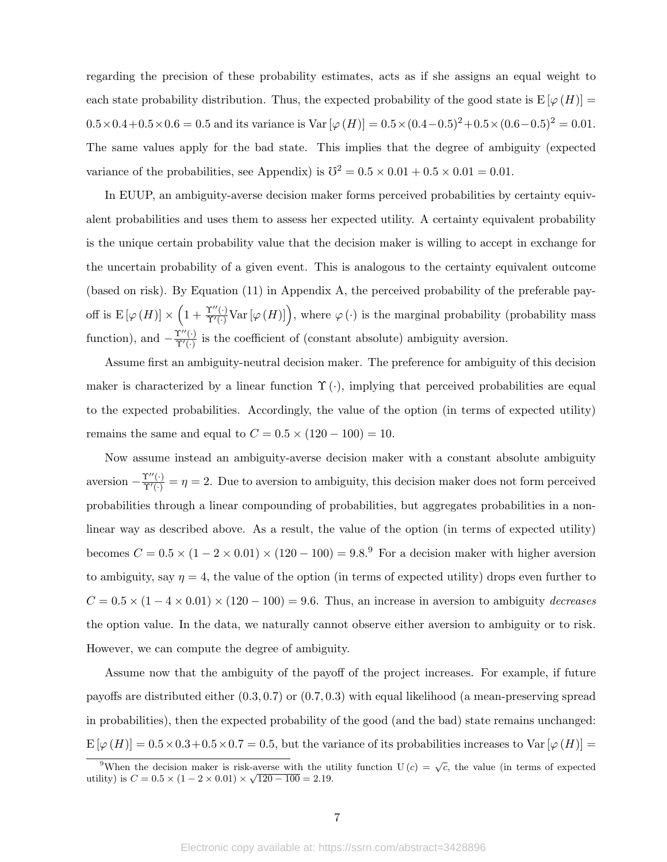regarding the precision of these probability estimates, acts as if she assigns an equal weight to each state probability distribution. Thus, the expected probability of the good state is  $E[\varphi(H)] =$  $0.5 \times 0.4 + 0.5 \times 0.6 = 0.5$  and its variance is Var  $[\varphi(H)] = 0.5 \times (0.4 - 0.5)^2 + 0.5 \times (0.6 - 0.5)^2 = 0.01$ . The same values apply for the bad state. This implies that the degree of ambiguity (expected variance of the probabilities, see Appendix) is  $\mathbb{S}^2 = 0.5 \times 0.01 + 0.5 \times 0.01 = 0.01$ .

In EUUP, an ambiguity-averse decision maker forms perceived probabilities by certainty equivalent probabilities and uses them to assess her expected utility. A certainty equivalent probability is the unique certain probability value that the decision maker is willing to accept in exchange for the uncertain probability of a given event. This is analogous to the certainty equivalent outcome (based on risk). By Equation (11) in Appendix A, the perceived probability of the preferable payoff is  $E[\varphi(H)] \times \left(1 + \frac{\Upsilon''(\cdot)}{\Upsilon'(\cdot)} \text{Var}[\varphi(H)]\right)$ , where  $\varphi(\cdot)$  is the marginal probability (probability mass function), and  $-\frac{\Upsilon''(\cdot)}{\Upsilon'(\cdot)}$  $\frac{\Gamma^{\alpha}(\cdot)}{\Gamma^{\prime}(\cdot)}$  is the coefficient of (constant absolute) ambiguity aversion.

Assume first an ambiguity-neutral decision maker. The preference for ambiguity of this decision maker is characterized by a linear function  $\Upsilon(\cdot)$ , implying that perceived probabilities are equal to the expected probabilities. Accordingly, the value of the option (in terms of expected utility) remains the same and equal to  $C = 0.5 \times (120 - 100) = 10$ .

Now assume instead an ambiguity-averse decision maker with a constant absolute ambiguity aversion  $-\frac{\Upsilon''(\cdot)}{\Upsilon'(\cdot)} = \eta = 2$ . Due to aversion to ambiguity, this decision maker does not form perceived probabilities through a linear compounding of probabilities, but aggregates probabilities in a nonlinear way as described above. As a result, the value of the option (in terms of expected utility) becomes  $C = 0.5 \times (1 - 2 \times 0.01) \times (120 - 100) = 9.8$ .<sup>9</sup> For a decision maker with higher aversion to ambiguity, say  $\eta = 4$ , the value of the option (in terms of expected utility) drops even further to  $C = 0.5 \times (1 - 4 \times 0.01) \times (120 - 100) = 9.6$ . Thus, an increase in aversion to ambiguity *decreases* the option value. In the data, we naturally cannot observe either aversion to ambiguity or to risk. However, we can compute the degree of ambiguity.

Assume now that the ambiguity of the payoff of the project increases. For example, if future payoffs are distributed either (0.3, 0.7) or (0.7, 0.3) with equal likelihood (a mean-preserving spread in probabilities), then the expected probability of the good (and the bad) state remains unchanged:  $E[\varphi(H)] = 0.5 \times 0.3 + 0.5 \times 0.7 = 0.5$ , but the variance of its probabilities increases to Var  $[\varphi(H)] =$ 

<sup>&</sup>lt;sup>9</sup>When the decision maker is risk-averse with the utility function  $U(c) = \sqrt{c}$ , the value (in terms of expected when the decision maker is risk-averse with the divideos utility) is  $C = 0.5 \times (1 - 2 \times 0.01) \times \sqrt{120 - 100} = 2.19$ .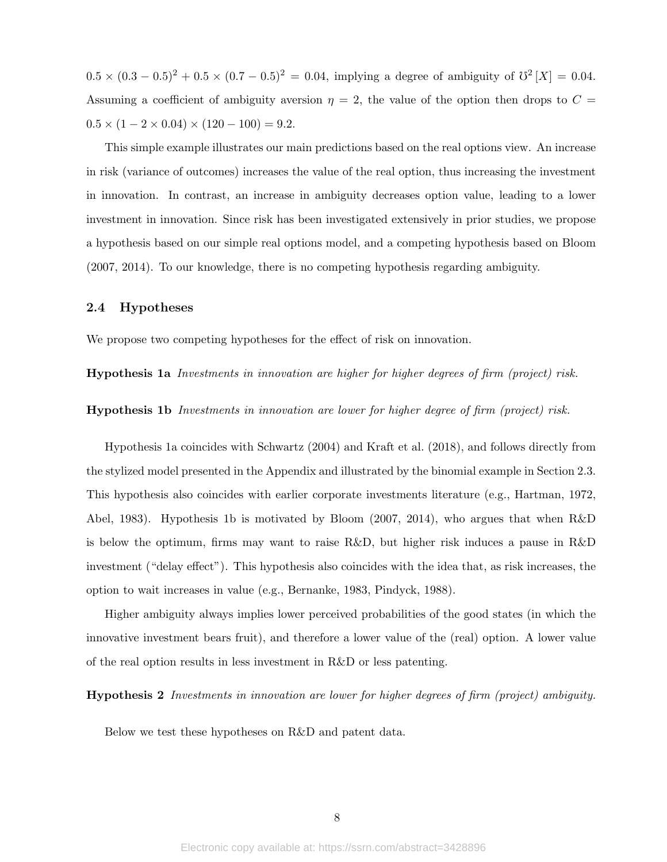$0.5 \times (0.3 - 0.5)^2 + 0.5 \times (0.7 - 0.5)^2 = 0.04$ , implying a degree of ambiguity of  $\mathcal{O}^2[X] = 0.04$ . Assuming a coefficient of ambiguity aversion  $\eta = 2$ , the value of the option then drops to  $C =$  $0.5 \times (1 - 2 \times 0.04) \times (120 - 100) = 9.2.$ 

This simple example illustrates our main predictions based on the real options view. An increase in risk (variance of outcomes) increases the value of the real option, thus increasing the investment in innovation. In contrast, an increase in ambiguity decreases option value, leading to a lower investment in innovation. Since risk has been investigated extensively in prior studies, we propose a hypothesis based on our simple real options model, and a competing hypothesis based on Bloom (2007, 2014). To our knowledge, there is no competing hypothesis regarding ambiguity.

### 2.4 Hypotheses

We propose two competing hypotheses for the effect of risk on innovation.

Hypothesis 1a Investments in innovation are higher for higher degrees of firm (project) risk.

Hypothesis 1b Investments in innovation are lower for higher degree of firm (project) risk.

Hypothesis 1a coincides with Schwartz (2004) and Kraft et al. (2018), and follows directly from the stylized model presented in the Appendix and illustrated by the binomial example in Section 2.3. This hypothesis also coincides with earlier corporate investments literature (e.g., Hartman, 1972, Abel, 1983). Hypothesis 1b is motivated by Bloom (2007, 2014), who argues that when R&D is below the optimum, firms may want to raise R&D, but higher risk induces a pause in R&D investment ("delay effect"). This hypothesis also coincides with the idea that, as risk increases, the option to wait increases in value (e.g., Bernanke, 1983, Pindyck, 1988).

Higher ambiguity always implies lower perceived probabilities of the good states (in which the innovative investment bears fruit), and therefore a lower value of the (real) option. A lower value of the real option results in less investment in R&D or less patenting.

Hypothesis 2 Investments in innovation are lower for higher degrees of firm (project) ambiguity.

Below we test these hypotheses on R&D and patent data.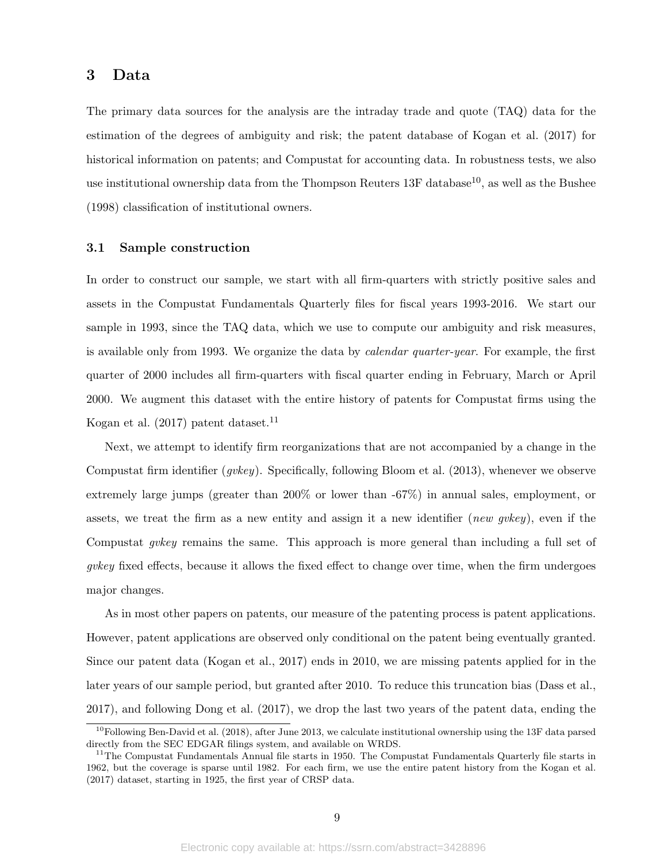### 3 Data

The primary data sources for the analysis are the intraday trade and quote (TAQ) data for the estimation of the degrees of ambiguity and risk; the patent database of Kogan et al. (2017) for historical information on patents; and Compustat for accounting data. In robustness tests, we also use institutional ownership data from the Thompson Reuters  $13F$  database<sup>10</sup>, as well as the Bushee (1998) classification of institutional owners.

### 3.1 Sample construction

In order to construct our sample, we start with all firm-quarters with strictly positive sales and assets in the Compustat Fundamentals Quarterly files for fiscal years 1993-2016. We start our sample in 1993, since the TAQ data, which we use to compute our ambiguity and risk measures, is available only from 1993. We organize the data by calendar quarter-year. For example, the first quarter of 2000 includes all firm-quarters with fiscal quarter ending in February, March or April 2000. We augment this dataset with the entire history of patents for Compustat firms using the Kogan et al.  $(2017)$  patent dataset.<sup>11</sup>

Next, we attempt to identify firm reorganizations that are not accompanied by a change in the Compustat firm identifier (gvkey). Specifically, following Bloom et al. (2013), whenever we observe extremely large jumps (greater than 200% or lower than -67%) in annual sales, employment, or assets, we treat the firm as a new entity and assign it a new identifier (new gvkey), even if the Compustat *qvkey* remains the same. This approach is more general than including a full set of gvkey fixed effects, because it allows the fixed effect to change over time, when the firm undergoes major changes.

As in most other papers on patents, our measure of the patenting process is patent applications. However, patent applications are observed only conditional on the patent being eventually granted. Since our patent data (Kogan et al., 2017) ends in 2010, we are missing patents applied for in the later years of our sample period, but granted after 2010. To reduce this truncation bias (Dass et al., 2017), and following Dong et al. (2017), we drop the last two years of the patent data, ending the

 $10$ Following Ben-David et al. (2018), after June 2013, we calculate institutional ownership using the 13F data parsed directly from the SEC EDGAR filings system, and available on WRDS.

<sup>&</sup>lt;sup>11</sup>The Compustat Fundamentals Annual file starts in 1950. The Compustat Fundamentals Quarterly file starts in 1962, but the coverage is sparse until 1982. For each firm, we use the entire patent history from the Kogan et al. (2017) dataset, starting in 1925, the first year of CRSP data.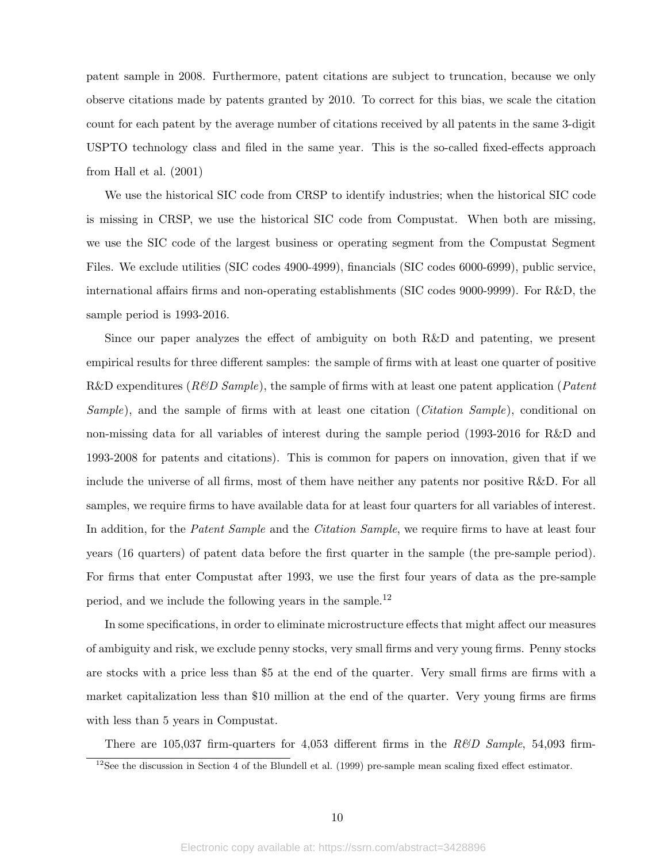patent sample in 2008. Furthermore, patent citations are subject to truncation, because we only observe citations made by patents granted by 2010. To correct for this bias, we scale the citation count for each patent by the average number of citations received by all patents in the same 3-digit USPTO technology class and filed in the same year. This is the so-called fixed-effects approach from Hall et al. (2001)

We use the historical SIC code from CRSP to identify industries; when the historical SIC code is missing in CRSP, we use the historical SIC code from Compustat. When both are missing, we use the SIC code of the largest business or operating segment from the Compustat Segment Files. We exclude utilities (SIC codes 4900-4999), financials (SIC codes 6000-6999), public service, international affairs firms and non-operating establishments (SIC codes 9000-9999). For R&D, the sample period is 1993-2016.

Since our paper analyzes the effect of ambiguity on both R&D and patenting, we present empirical results for three different samples: the sample of firms with at least one quarter of positive R&D expenditures ( $R\&D$  Sample), the sample of firms with at least one patent application (*Patent* Sample), and the sample of firms with at least one citation (Citation Sample), conditional on non-missing data for all variables of interest during the sample period (1993-2016 for R&D and 1993-2008 for patents and citations). This is common for papers on innovation, given that if we include the universe of all firms, most of them have neither any patents nor positive R&D. For all samples, we require firms to have available data for at least four quarters for all variables of interest. In addition, for the *Patent Sample* and the *Citation Sample*, we require firms to have at least four years (16 quarters) of patent data before the first quarter in the sample (the pre-sample period). For firms that enter Compustat after 1993, we use the first four years of data as the pre-sample period, and we include the following years in the sample.<sup>12</sup>

In some specifications, in order to eliminate microstructure effects that might affect our measures of ambiguity and risk, we exclude penny stocks, very small firms and very young firms. Penny stocks are stocks with a price less than \$5 at the end of the quarter. Very small firms are firms with a market capitalization less than \$10 million at the end of the quarter. Very young firms are firms with less than 5 years in Compustat.

There are 105,037 firm-quarters for 4,053 different firms in the  $R\&D$  Sample, 54,093 firm-

 $12$ See the discussion in Section 4 of the Blundell et al. (1999) pre-sample mean scaling fixed effect estimator.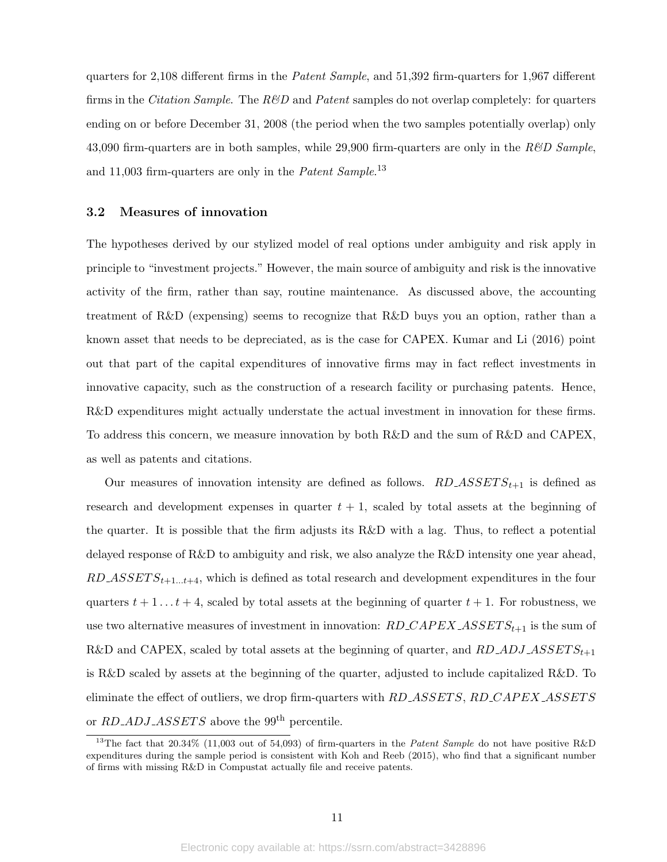quarters for 2,108 different firms in the Patent Sample, and 51,392 firm-quarters for 1,967 different firms in the *Citation Sample*. The  $R\&D$  and *Patent* samples do not overlap completely: for quarters ending on or before December 31, 2008 (the period when the two samples potentially overlap) only 43,090 firm-quarters are in both samples, while 29,900 firm-quarters are only in the  $R\&D$  Sample, and 11,003 firm-quarters are only in the *Patent Sample*.<sup>13</sup>

### 3.2 Measures of innovation

The hypotheses derived by our stylized model of real options under ambiguity and risk apply in principle to "investment projects." However, the main source of ambiguity and risk is the innovative activity of the firm, rather than say, routine maintenance. As discussed above, the accounting treatment of R&D (expensing) seems to recognize that R&D buys you an option, rather than a known asset that needs to be depreciated, as is the case for CAPEX. Kumar and Li (2016) point out that part of the capital expenditures of innovative firms may in fact reflect investments in innovative capacity, such as the construction of a research facility or purchasing patents. Hence, R&D expenditures might actually understate the actual investment in innovation for these firms. To address this concern, we measure innovation by both R&D and the sum of R&D and CAPEX, as well as patents and citations.

Our measures of innovation intensity are defined as follows.  $RD\_ASSETS_{t+1}$  is defined as research and development expenses in quarter  $t + 1$ , scaled by total assets at the beginning of the quarter. It is possible that the firm adjusts its R&D with a lag. Thus, to reflect a potential delayed response of R&D to ambiguity and risk, we also analyze the R&D intensity one year ahead,  $RD\_ASSET S_{t+1...t+4}$ , which is defined as total research and development expenditures in the four quarters  $t + 1 \ldots t + 4$ , scaled by total assets at the beginning of quarter  $t + 1$ . For robustness, we use two alternative measures of investment in innovation:  $RD\_CAPEX\_ASSETS_{t+1}$  is the sum of R&D and CAPEX, scaled by total assets at the beginning of quarter, and  $RD \_\Delta DJ \_\Delta SSET S_{t+1}$ is R&D scaled by assets at the beginning of the quarter, adjusted to include capitalized R&D. To eliminate the effect of outliers, we drop firm-quarters with RD\_ASSETS, RD\_CAPEX\_ASSETS or  $RD \triangle ADJ \triangle SSETS$  above the 99<sup>th</sup> percentile.

<sup>&</sup>lt;sup>13</sup>The fact that 20.34% (11,003 out of 54,093) of firm-quarters in the *Patent Sample* do not have positive R&D expenditures during the sample period is consistent with Koh and Reeb (2015), who find that a significant number of firms with missing R&D in Compustat actually file and receive patents.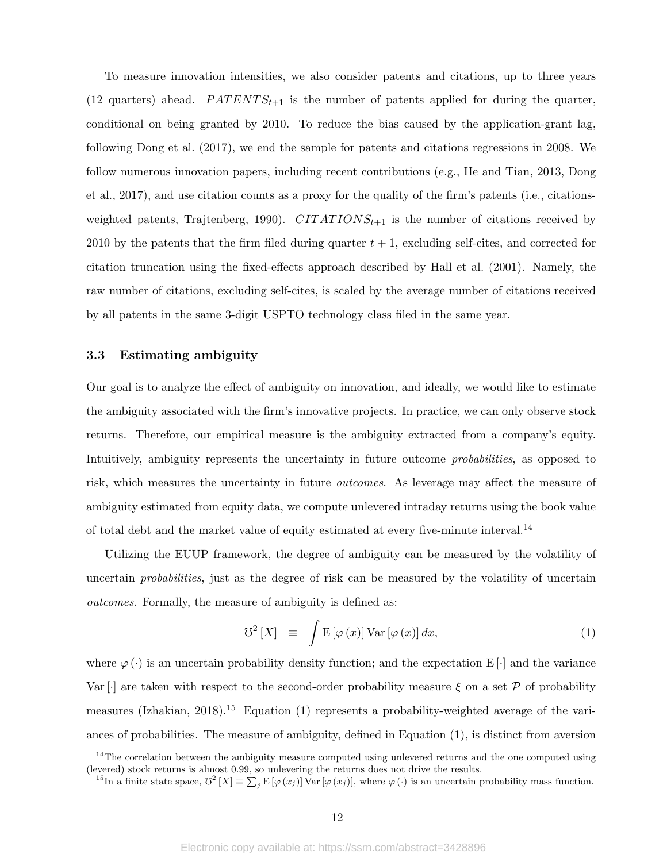To measure innovation intensities, we also consider patents and citations, up to three years (12 quarters) ahead.  $PATENTS_{t+1}$  is the number of patents applied for during the quarter, conditional on being granted by 2010. To reduce the bias caused by the application-grant lag, following Dong et al. (2017), we end the sample for patents and citations regressions in 2008. We follow numerous innovation papers, including recent contributions (e.g., He and Tian, 2013, Dong et al., 2017), and use citation counts as a proxy for the quality of the firm's patents (i.e., citationsweighted patents, Trajtenberg, 1990).  $CITATIONS_{t+1}$  is the number of citations received by 2010 by the patents that the firm filed during quarter  $t + 1$ , excluding self-cites, and corrected for citation truncation using the fixed-effects approach described by Hall et al. (2001). Namely, the raw number of citations, excluding self-cites, is scaled by the average number of citations received by all patents in the same 3-digit USPTO technology class filed in the same year.

### 3.3 Estimating ambiguity

Our goal is to analyze the effect of ambiguity on innovation, and ideally, we would like to estimate the ambiguity associated with the firm's innovative projects. In practice, we can only observe stock returns. Therefore, our empirical measure is the ambiguity extracted from a company's equity. Intuitively, ambiguity represents the uncertainty in future outcome *probabilities*, as opposed to risk, which measures the uncertainty in future *outcomes*. As leverage may affect the measure of ambiguity estimated from equity data, we compute unlevered intraday returns using the book value of total debt and the market value of equity estimated at every five-minute interval.<sup>14</sup>

Utilizing the EUUP framework, the degree of ambiguity can be measured by the volatility of uncertain probabilities, just as the degree of risk can be measured by the volatility of uncertain outcomes. Formally, the measure of ambiguity is defined as:

$$
\mathcal{U}^2\left[X\right] \equiv \int \mathcal{E}\left[\varphi\left(x\right)\right] \text{Var}\left[\varphi\left(x\right)\right] dx, \tag{1}
$$

where  $\varphi(\cdot)$  is an uncertain probability density function; and the expectation E[·] and the variance Var [·] are taken with respect to the second-order probability measure  $\xi$  on a set  $\mathcal P$  of probability measures (Izhakian, 2018).<sup>15</sup> Equation (1) represents a probability-weighted average of the variances of probabilities. The measure of ambiguity, defined in Equation (1), is distinct from aversion

<sup>&</sup>lt;sup>14</sup>The correlation between the ambiguity measure computed using unlevered returns and the one computed using (levered) stock returns is almost 0.99, so unlevering the returns does not drive the results.

<sup>&</sup>lt;sup>15</sup>In a finite state space,  $\mathcal{V}^2[X] \equiv \sum_j \mathrm{E}\left[\varphi(x_j)\right] \mathrm{Var}\left[\varphi(x_j)\right]$ , where  $\varphi(\cdot)$  is an uncertain probability mass function.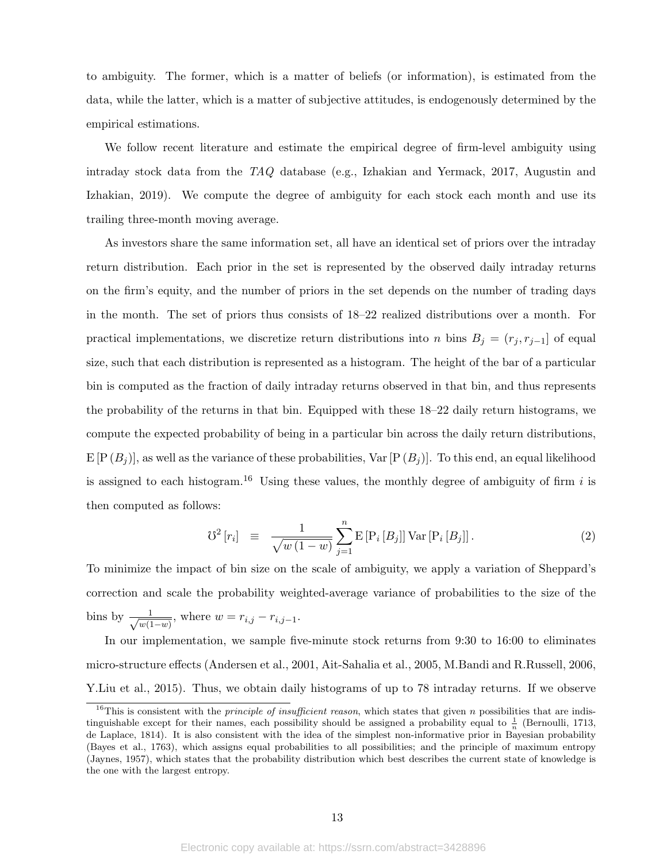to ambiguity. The former, which is a matter of beliefs (or information), is estimated from the data, while the latter, which is a matter of subjective attitudes, is endogenously determined by the empirical estimations.

We follow recent literature and estimate the empirical degree of firm-level ambiguity using intraday stock data from the TAQ database (e.g., Izhakian and Yermack, 2017, Augustin and Izhakian, 2019). We compute the degree of ambiguity for each stock each month and use its trailing three-month moving average.

As investors share the same information set, all have an identical set of priors over the intraday return distribution. Each prior in the set is represented by the observed daily intraday returns on the firm's equity, and the number of priors in the set depends on the number of trading days in the month. The set of priors thus consists of 18–22 realized distributions over a month. For practical implementations, we discretize return distributions into n bins  $B_j = (r_j, r_{j-1}]$  of equal size, such that each distribution is represented as a histogram. The height of the bar of a particular bin is computed as the fraction of daily intraday returns observed in that bin, and thus represents the probability of the returns in that bin. Equipped with these 18–22 daily return histograms, we compute the expected probability of being in a particular bin across the daily return distributions,  $E[P(B_j)]$ , as well as the variance of these probabilities,  $Var[P(B_j)]$ . To this end, an equal likelihood is assigned to each histogram.<sup>16</sup> Using these values, the monthly degree of ambiguity of firm i is then computed as follows:

$$
\mathcal{V}^2\left[r_i\right] \equiv \frac{1}{\sqrt{w\left(1-w\right)}} \sum_{j=1}^n \mathcal{E}\left[P_i\left[B_j\right]\right] \text{Var}\left[P_i\left[B_j\right]\right]. \tag{2}
$$

To minimize the impact of bin size on the scale of ambiguity, we apply a variation of Sheppard's correction and scale the probability weighted-average variance of probabilities to the size of the bins by  $\frac{1}{\sqrt{1}}$  $\frac{1}{w(1-w)}$ , where  $w = r_{i,j} - r_{i,j-1}$ .

In our implementation, we sample five-minute stock returns from 9:30 to 16:00 to eliminates micro-structure effects (Andersen et al., 2001, Ait-Sahalia et al., 2005, M.Bandi and R.Russell, 2006, Y.Liu et al., 2015). Thus, we obtain daily histograms of up to 78 intraday returns. If we observe

<sup>&</sup>lt;sup>16</sup>This is consistent with the *principle of insufficient reason*, which states that given *n* possibilities that are indistinguishable except for their names, each possibility should be assigned a probability equal to  $\frac{1}{n}$  (Bernoulli, 1713, de Laplace, 1814). It is also consistent with the idea of the simplest non-informative prior in Bayesian probability (Bayes et al., 1763), which assigns equal probabilities to all possibilities; and the principle of maximum entropy (Jaynes, 1957), which states that the probability distribution which best describes the current state of knowledge is the one with the largest entropy.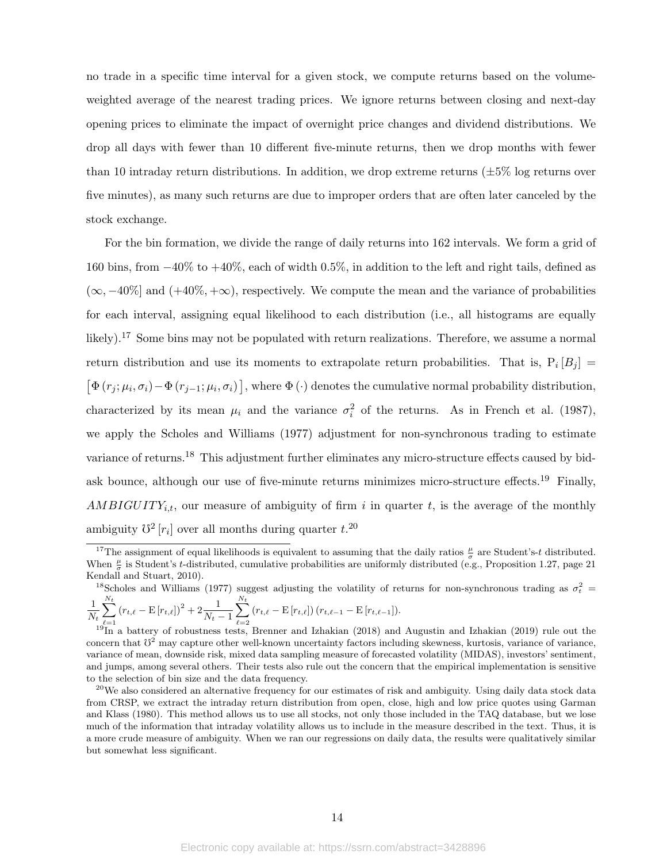no trade in a specific time interval for a given stock, we compute returns based on the volumeweighted average of the nearest trading prices. We ignore returns between closing and next-day opening prices to eliminate the impact of overnight price changes and dividend distributions. We drop all days with fewer than 10 different five-minute returns, then we drop months with fewer than 10 intraday return distributions. In addition, we drop extreme returns  $(\pm 5\%$  log returns over five minutes), as many such returns are due to improper orders that are often later canceled by the stock exchange.

For the bin formation, we divide the range of daily returns into 162 intervals. We form a grid of 160 bins, from −40% to +40%, each of width 0.5%, in addition to the left and right tails, defined as  $(\infty, -40\%)$  and  $(+40\%, +\infty)$ , respectively. We compute the mean and the variance of probabilities for each interval, assigning equal likelihood to each distribution (i.e., all histograms are equally likely).<sup>17</sup> Some bins may not be populated with return realizations. Therefore, we assume a normal return distribution and use its moments to extrapolate return probabilities. That is,  $P_i[B_j] =$  $\left[\Phi(r_j;\mu_i,\sigma_i)-\Phi(r_{j-1};\mu_i,\sigma_i)\right]$ , where  $\Phi(\cdot)$  denotes the cumulative normal probability distribution, characterized by its mean  $\mu_i$  and the variance  $\sigma_i^2$  of the returns. As in French et al. (1987), we apply the Scholes and Williams (1977) adjustment for non-synchronous trading to estimate variance of returns.<sup>18</sup> This adjustment further eliminates any micro-structure effects caused by bidask bounce, although our use of five-minute returns minimizes micro-structure effects.<sup>19</sup> Finally, AMBIGUITY<sub>i,t</sub>, our measure of ambiguity of firm i in quarter t, is the average of the monthly ambiguity  $\mathbb{U}^2[r_i]$  over all months during quarter  $t.^{20}$ .

<sup>&</sup>lt;sup>17</sup>The assignment of equal likelihoods is equivalent to assuming that the daily ratios  $\frac{\mu}{\sigma}$  are Student's-t distributed. When  $\frac{\mu}{\sigma}$  is Student's t-distributed, cumulative probabilities are uniformly distributed (e.g., Proposition 1.27, page 21 Kendall and Stuart, 2010).

<sup>&</sup>lt;sup>18</sup>Scholes and Williams (1977) suggest adjusting the volatility of returns for non-synchronous trading as  $\sigma_t^2$  = 1  $\sum_{ }^{N_t}$  $\sum_{ }^{N_t}$ 

 $N_t$  $_{\ell=1}$  $(r_{t,\ell} - \mathrm{E} [r_{t,\ell}])^2 + 2 \frac{1}{N_t - 1}$  $_{\ell=2}$  $(r_{t,\ell} - \mathrm{E}[r_{t,\ell}]) (r_{t,\ell-1} - \mathrm{E}[r_{t,\ell-1}]).$ 

 $19\text{ m}$  a battery of robustness tests, Brenner and Izhakian (2018) and Augustin and Izhakian (2019) rule out the concern that  $0^2$  may capture other well-known uncertainty factors including skewness, kurtosis, variance of variance, variance of mean, downside risk, mixed data sampling measure of forecasted volatility (MIDAS), investors' sentiment, and jumps, among several others. Their tests also rule out the concern that the empirical implementation is sensitive to the selection of bin size and the data frequency.

 $^{20}$ We also considered an alternative frequency for our estimates of risk and ambiguity. Using daily data stock data from CRSP, we extract the intraday return distribution from open, close, high and low price quotes using Garman and Klass (1980). This method allows us to use all stocks, not only those included in the TAQ database, but we lose much of the information that intraday volatility allows us to include in the measure described in the text. Thus, it is a more crude measure of ambiguity. When we ran our regressions on daily data, the results were qualitatively similar but somewhat less significant.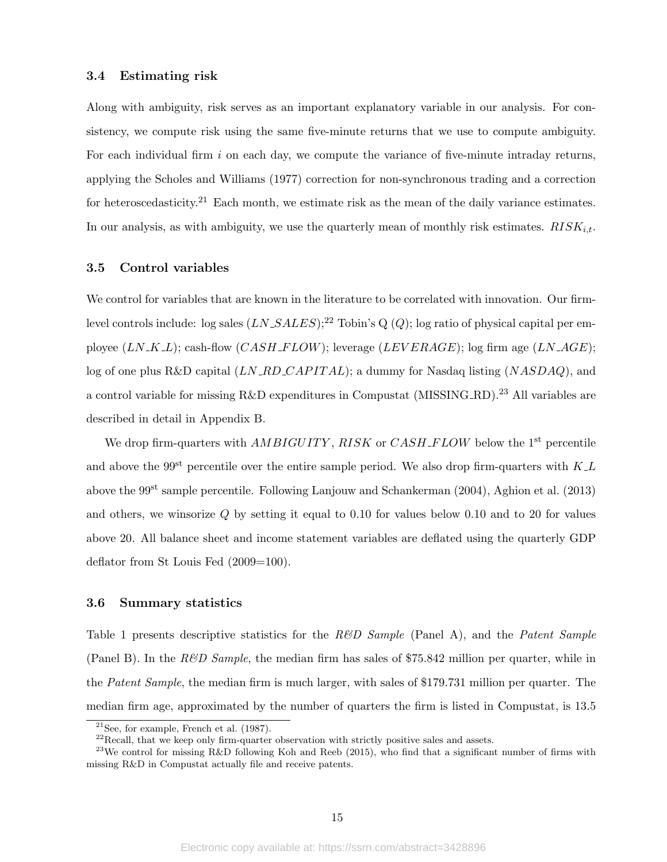#### 3.4 Estimating risk

Along with ambiguity, risk serves as an important explanatory variable in our analysis. For consistency, we compute risk using the same five-minute returns that we use to compute ambiguity. For each individual firm  $i$  on each day, we compute the variance of five-minute intraday returns, applying the Scholes and Williams (1977) correction for non-synchronous trading and a correction for heteroscedasticity.<sup>21</sup> Each month, we estimate risk as the mean of the daily variance estimates. In our analysis, as with ambiguity, we use the quarterly mean of monthly risk estimates.  $RISK_{it}$ .

#### 3.5 Control variables

We control for variables that are known in the literature to be correlated with innovation. Our firmlevel controls include: log sales  $(LN\_SALES);^{22}$  Tobin's Q  $(Q)$ ; log ratio of physical capital per employee  $(LN_K L)$ ; cash-flow  $(CASH_F LOW)$ ; leverage  $(LEVERAGE)$ ; log firm age  $(LN_A G E)$ ; log of one plus R&D capital  $(LN \_R D \_C APITAL)$ ; a dummy for Nasdaq listing  $(NASDAQ)$ , and a control variable for missing R&D expenditures in Compustat (MISSING RD).<sup>23</sup> All variables are described in detail in Appendix B.

We drop firm-quarters with  $AMBIGUITY$ ,  $RISK$  or  $CASH$ <sub>-FLOW</sub> below the 1<sup>st</sup> percentile and above the 99<sup>st</sup> percentile over the entire sample period. We also drop firm-quarters with  $K_{\perp}L$ above the 99st sample percentile. Following Lanjouw and Schankerman (2004), Aghion et al. (2013) and others, we winsorize  $Q$  by setting it equal to 0.10 for values below 0.10 and to 20 for values above 20. All balance sheet and income statement variables are deflated using the quarterly GDP deflator from St Louis Fed (2009=100).

#### 3.6 Summary statistics

Table 1 presents descriptive statistics for the  $R\&D$  Sample (Panel A), and the Patent Sample (Panel B). In the  $R\&D$  Sample, the median firm has sales of \$75.842 million per quarter, while in the Patent Sample, the median firm is much larger, with sales of \$179.731 million per quarter. The median firm age, approximated by the number of quarters the firm is listed in Compustat, is 13.5

 $21$ See, for example, French et al. (1987).

 $^{22}$ Recall, that we keep only firm-quarter observation with strictly positive sales and assets.

 $^{23}$ We control for missing R&D following Koh and Reeb (2015), who find that a significant number of firms with missing R&D in Compustat actually file and receive patents.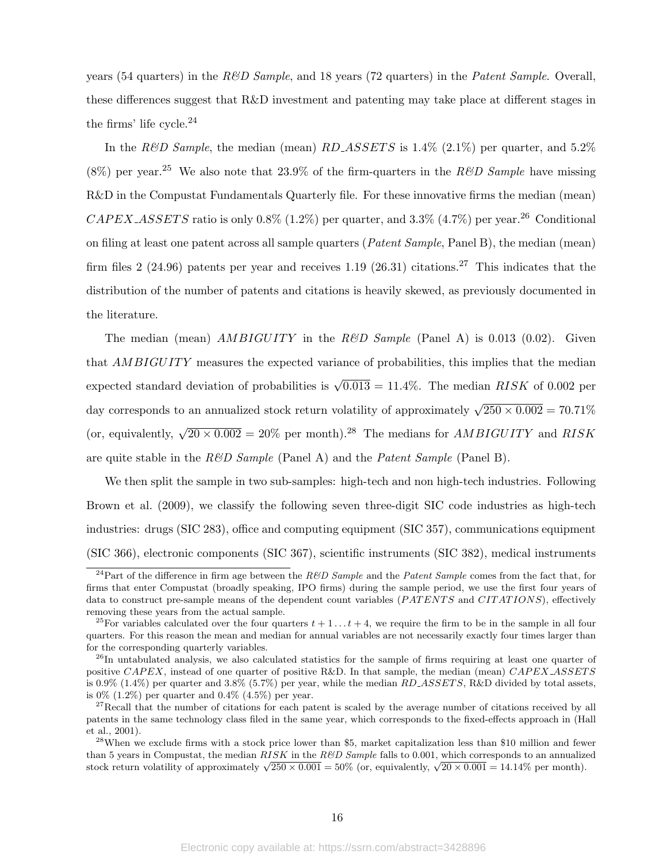years (54 quarters) in the  $R\&D$  Sample, and 18 years (72 quarters) in the *Patent Sample*. Overall, these differences suggest that R&D investment and patenting may take place at different stages in the firms' life cycle.<sup>24</sup>

In the R&D Sample, the median (mean) RD\_ASSETS is  $1.4\%$  (2.1%) per quarter, and  $5.2\%$  $(8\%)$  per year.<sup>25</sup> We also note that 23.9% of the firm-quarters in the R&D Sample have missing R&D in the Compustat Fundamentals Quarterly file. For these innovative firms the median (mean)  $CAPEX\_ASSETS$  ratio is only 0.8% (1.2%) per quarter, and 3.3% (4.7%) per year.<sup>26</sup> Conditional on filing at least one patent across all sample quarters ( $Pattern Sample$ , Panel B), the median (mean) firm files 2 (24.96) patents per year and receives 1.19 (26.31) citations.<sup>27</sup> This indicates that the distribution of the number of patents and citations is heavily skewed, as previously documented in the literature.

The median (mean)  $AMBIGUITY$  in the R&D Sample (Panel A) is 0.013 (0.02). Given that *AMBIGUITY* measures the expected variance of probabilities, this implies that the median expected standard deviation of probabilities is  $\sqrt{0.013} = 11.4\%$ . The median  $RISK$  of 0.002 per day corresponds to an annualized stock return volatility of approximately  $\sqrt{250 \times 0.002} = 70.71\%$ (or, equivalently,  $\sqrt{20 \times 0.002} = 20\%$  per month).<sup>28</sup> The medians for *AMBIGUITY* and *RISK* are quite stable in the  $R\&D$  Sample (Panel A) and the *Patent Sample* (Panel B).

We then split the sample in two sub-samples: high-tech and non high-tech industries. Following Brown et al. (2009), we classify the following seven three-digit SIC code industries as high-tech industries: drugs (SIC 283), office and computing equipment (SIC 357), communications equipment (SIC 366), electronic components (SIC 367), scientific instruments (SIC 382), medical instruments

<sup>&</sup>lt;sup>24</sup>Part of the difference in firm age between the R&D Sample and the Patent Sample comes from the fact that, for firms that enter Compustat (broadly speaking, IPO firms) during the sample period, we use the first four years of data to construct pre-sample means of the dependent count variables (PATENTS and CITATIONS), effectively removing these years from the actual sample.

<sup>&</sup>lt;sup>25</sup>For variables calculated over the four quarters  $t + 1 \ldots t + 4$ , we require the firm to be in the sample in all four quarters. For this reason the mean and median for annual variables are not necessarily exactly four times larger than for the corresponding quarterly variables.

<sup>&</sup>lt;sup>26</sup>In untabulated analysis, we also calculated statistics for the sample of firms requiring at least one quarter of positive CAPEX, instead of one quarter of positive R&D. In that sample, the median (mean) CAPEX\_ASSETS is 0.9% (1.4%) per quarter and 3.8% (5.7%) per year, while the median  $RD\_ASSETS$ , R&D divided by total assets, is  $0\%$  (1.2%) per quarter and 0.4% (4.5%) per year.

 $27$ Recall that the number of citations for each patent is scaled by the average number of citations received by all patents in the same technology class filed in the same year, which corresponds to the fixed-effects approach in (Hall et al., 2001).

 $^{28}$ When we exclude firms with a stock price lower than \$5, market capitalization less than \$10 million and fewer than 5 years in Compustat, the median RISK in the R&D Sample falls to 0.001, which corresponds to an annualized than 5 years in Compustat, the median  $R/5R$  in the  $RCD$  Sample rans to 0.001, which corresponds to an annualization stock return volatility of approximately  $\sqrt{250 \times 0.001} = 50\%$  (or, equivalently,  $\sqrt{20 \times 0.001} = 14.$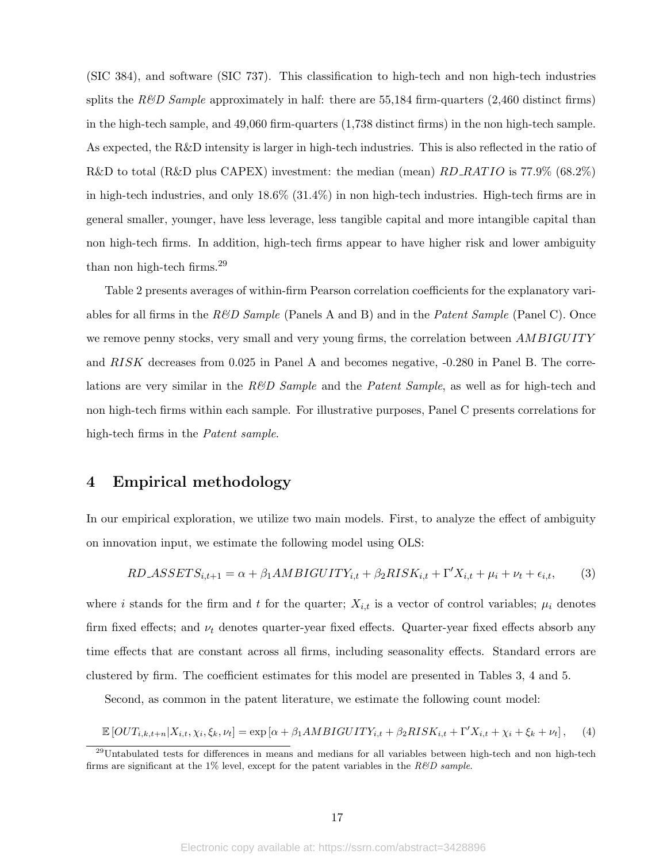(SIC 384), and software (SIC 737). This classification to high-tech and non high-tech industries splits the R&D Sample approximately in half: there are 55,184 firm-quarters (2,460 distinct firms) in the high-tech sample, and 49,060 firm-quarters (1,738 distinct firms) in the non high-tech sample. As expected, the R&D intensity is larger in high-tech industries. This is also reflected in the ratio of R&D to total (R&D plus CAPEX) investment: the median (mean)  $RD$ -RATIO is 77.9% (68.2%) in high-tech industries, and only 18.6% (31.4%) in non high-tech industries. High-tech firms are in general smaller, younger, have less leverage, less tangible capital and more intangible capital than non high-tech firms. In addition, high-tech firms appear to have higher risk and lower ambiguity than non high-tech firms.<sup>29</sup>

Table 2 presents averages of within-firm Pearson correlation coefficients for the explanatory variables for all firms in the  $R\&D$  Sample (Panels A and B) and in the *Patent Sample* (Panel C). Once we remove penny stocks, very small and very young firms, the correlation between *AMBIGUITY* and RISK decreases from 0.025 in Panel A and becomes negative, -0.280 in Panel B. The correlations are very similar in the  $R\&D$  Sample and the Patent Sample, as well as for high-tech and non high-tech firms within each sample. For illustrative purposes, Panel C presents correlations for high-tech firms in the Patent sample.

## 4 Empirical methodology

In our empirical exploration, we utilize two main models. First, to analyze the effect of ambiguity on innovation input, we estimate the following model using OLS:

$$
RD\_ASSETS_{i,t+1} = \alpha + \beta_1 AMBIGUITY_{i,t} + \beta_2 RISK_{i,t} + \Gamma' X_{i,t} + \mu_i + \nu_t + \epsilon_{i,t},\tag{3}
$$

where i stands for the firm and t for the quarter;  $X_{i,t}$  is a vector of control variables;  $\mu_i$  denotes firm fixed effects; and  $\nu_t$  denotes quarter-year fixed effects. Quarter-year fixed effects absorb any time effects that are constant across all firms, including seasonality effects. Standard errors are clustered by firm. The coefficient estimates for this model are presented in Tables 3, 4 and 5.

Second, as common in the patent literature, we estimate the following count model:

$$
\mathbb{E}\left[OUT_{i,k,t+n}|X_{i,t},\chi_i,\xi_k,\nu_t\right] = \exp\left[\alpha + \beta_1 AMBIGUITY_{i,t} + \beta_2 RISK_{i,t} + \Gamma' X_{i,t} + \chi_i + \xi_k + \nu_t\right],\tag{4}
$$

<sup>&</sup>lt;sup>29</sup>Untabulated tests for differences in means and medians for all variables between high-tech and non high-tech firms are significant at the 1% level, except for the patent variables in the  $R\&D$  sample.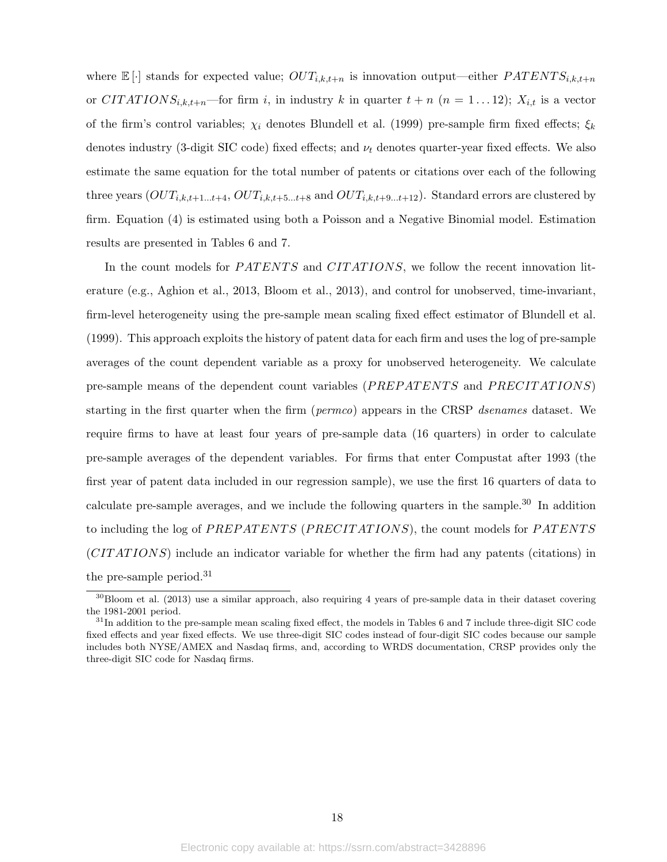where  $\mathbb{E}[\cdot]$  stands for expected value;  $OUT_{i,k,t+n}$  is innovation output—either  $PATENTS_{i,k,t+n}$ or CITATIONS<sub>i,k,t+n</sub>—for firm i, in industry k in quarter  $t + n$  ( $n = 1...12$ );  $X_{i,t}$  is a vector of the firm's control variables;  $\chi_i$  denotes Blundell et al. (1999) pre-sample firm fixed effects;  $\xi_k$ denotes industry (3-digit SIC code) fixed effects; and  $\nu_t$  denotes quarter-year fixed effects. We also estimate the same equation for the total number of patents or citations over each of the following three years  $(OUT_{i,k,t+1...t+4}, OUT_{i,k,t+5...t+8}$  and  $OUT_{i,k,t+9...t+12})$ . Standard errors are clustered by firm. Equation (4) is estimated using both a Poisson and a Negative Binomial model. Estimation results are presented in Tables 6 and 7.

In the count models for *PATENTS* and *CITATIONS*, we follow the recent innovation literature (e.g., Aghion et al., 2013, Bloom et al., 2013), and control for unobserved, time-invariant, firm-level heterogeneity using the pre-sample mean scaling fixed effect estimator of Blundell et al. (1999). This approach exploits the history of patent data for each firm and uses the log of pre-sample averages of the count dependent variable as a proxy for unobserved heterogeneity. We calculate pre-sample means of the dependent count variables (PREPATENTS and PRECITATIONS) starting in the first quarter when the firm (*permco*) appears in the CRSP dsenames dataset. We require firms to have at least four years of pre-sample data (16 quarters) in order to calculate pre-sample averages of the dependent variables. For firms that enter Compustat after 1993 (the first year of patent data included in our regression sample), we use the first 16 quarters of data to calculate pre-sample averages, and we include the following quarters in the sample.<sup>30</sup> In addition to including the log of PREPATENTS (PRECITATIONS), the count models for PATENTS (CITATIONS) include an indicator variable for whether the firm had any patents (citations) in the pre-sample period.<sup>31</sup>

 $30B$ loom et al. (2013) use a similar approach, also requiring 4 years of pre-sample data in their dataset covering the 1981-2001 period.

 $31$ In addition to the pre-sample mean scaling fixed effect, the models in Tables 6 and 7 include three-digit SIC code fixed effects and year fixed effects. We use three-digit SIC codes instead of four-digit SIC codes because our sample includes both NYSE/AMEX and Nasdaq firms, and, according to WRDS documentation, CRSP provides only the three-digit SIC code for Nasdaq firms.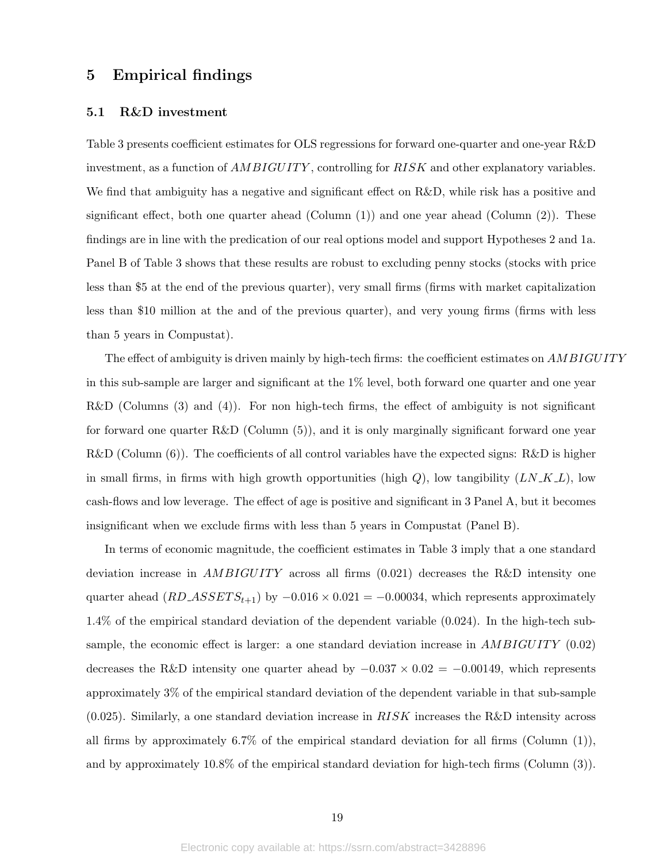## 5 Empirical findings

#### 5.1 R&D investment

Table 3 presents coefficient estimates for OLS regressions for forward one-quarter and one-year R&D investment, as a function of  $AMBIGUITY$ , controlling for  $RISK$  and other explanatory variables. We find that ambiguity has a negative and significant effect on R&D, while risk has a positive and significant effect, both one quarter ahead (Column  $(1)$ ) and one year ahead (Column  $(2)$ ). These findings are in line with the predication of our real options model and support Hypotheses 2 and 1a. Panel B of Table 3 shows that these results are robust to excluding penny stocks (stocks with price less than \$5 at the end of the previous quarter), very small firms (firms with market capitalization less than \$10 million at the and of the previous quarter), and very young firms (firms with less than 5 years in Compustat).

The effect of ambiguity is driven mainly by high-tech firms: the coefficient estimates on AMBIGUITY in this sub-sample are larger and significant at the 1% level, both forward one quarter and one year  $R&D$  (Columns (3) and (4)). For non high-tech firms, the effect of ambiguity is not significant for forward one quarter R&D (Column (5)), and it is only marginally significant forward one year  $R&D$  (Column (6)). The coefficients of all control variables have the expected signs:  $R&D$  is higher in small firms, in firms with high growth opportunities (high  $Q$ ), low tangibility  $(LN_K L)$ , low cash-flows and low leverage. The effect of age is positive and significant in 3 Panel A, but it becomes insignificant when we exclude firms with less than 5 years in Compustat (Panel B).

In terms of economic magnitude, the coefficient estimates in Table 3 imply that a one standard deviation increase in  $AMBIGUITY$  across all firms  $(0.021)$  decreases the R&D intensity one quarter ahead  $(RD\_ASSET S_{t+1})$  by  $-0.016 \times 0.021 = -0.00034$ , which represents approximately 1.4% of the empirical standard deviation of the dependent variable (0.024). In the high-tech subsample, the economic effect is larger: a one standard deviation increase in  $AMBIGUITY$  (0.02) decreases the R&D intensity one quarter ahead by  $-0.037 \times 0.02 = -0.00149$ , which represents approximately 3% of the empirical standard deviation of the dependent variable in that sub-sample  $(0.025)$ . Similarly, a one standard deviation increase in  $RISK$  increases the R&D intensity across all firms by approximately 6.7% of the empirical standard deviation for all firms (Column  $(1)$ ), and by approximately 10.8% of the empirical standard deviation for high-tech firms (Column (3)).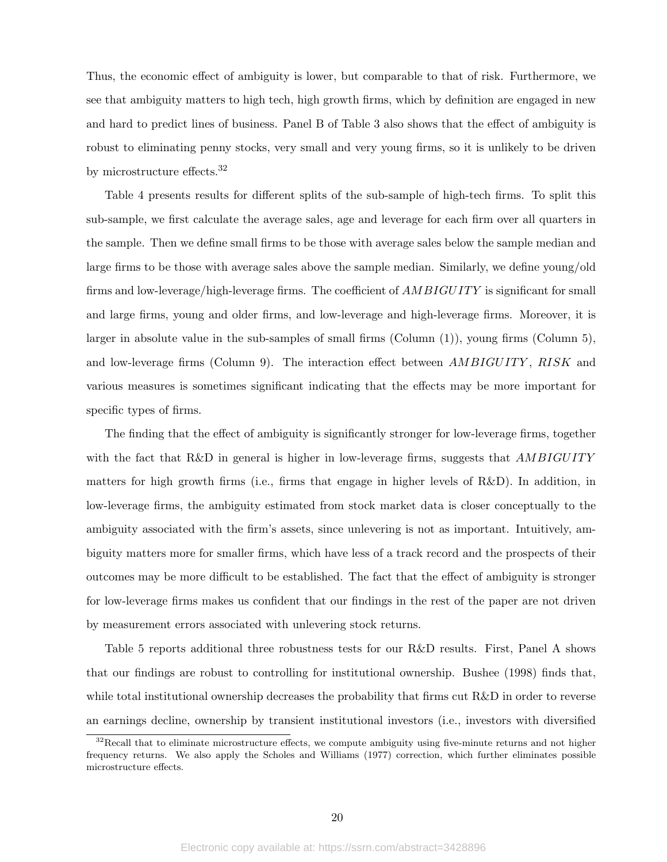Thus, the economic effect of ambiguity is lower, but comparable to that of risk. Furthermore, we see that ambiguity matters to high tech, high growth firms, which by definition are engaged in new and hard to predict lines of business. Panel B of Table 3 also shows that the effect of ambiguity is robust to eliminating penny stocks, very small and very young firms, so it is unlikely to be driven by microstructure effects.<sup>32</sup>

Table 4 presents results for different splits of the sub-sample of high-tech firms. To split this sub-sample, we first calculate the average sales, age and leverage for each firm over all quarters in the sample. Then we define small firms to be those with average sales below the sample median and large firms to be those with average sales above the sample median. Similarly, we define young/old firms and low-leverage/high-leverage firms. The coefficient of AMBIGUITY is significant for small and large firms, young and older firms, and low-leverage and high-leverage firms. Moreover, it is larger in absolute value in the sub-samples of small firms (Column (1)), young firms (Column 5), and low-leverage firms (Column 9). The interaction effect between  $AMBIGUITY$ , RISK and various measures is sometimes significant indicating that the effects may be more important for specific types of firms.

The finding that the effect of ambiguity is significantly stronger for low-leverage firms, together with the fact that  $R\&D$  in general is higher in low-leverage firms, suggests that  $AMBIGUITY$ matters for high growth firms (i.e., firms that engage in higher levels of R&D). In addition, in low-leverage firms, the ambiguity estimated from stock market data is closer conceptually to the ambiguity associated with the firm's assets, since unlevering is not as important. Intuitively, ambiguity matters more for smaller firms, which have less of a track record and the prospects of their outcomes may be more difficult to be established. The fact that the effect of ambiguity is stronger for low-leverage firms makes us confident that our findings in the rest of the paper are not driven by measurement errors associated with unlevering stock returns.

Table 5 reports additional three robustness tests for our R&D results. First, Panel A shows that our findings are robust to controlling for institutional ownership. Bushee (1998) finds that, while total institutional ownership decreases the probability that firms cut R&D in order to reverse an earnings decline, ownership by transient institutional investors (i.e., investors with diversified

 $32$ Recall that to eliminate microstructure effects, we compute ambiguity using five-minute returns and not higher frequency returns. We also apply the Scholes and Williams (1977) correction, which further eliminates possible microstructure effects.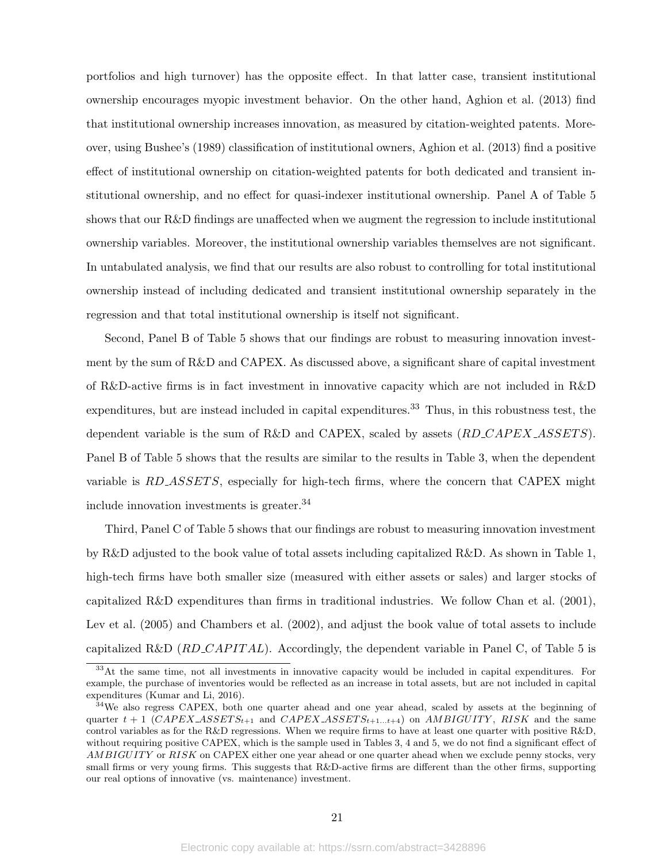portfolios and high turnover) has the opposite effect. In that latter case, transient institutional ownership encourages myopic investment behavior. On the other hand, Aghion et al. (2013) find that institutional ownership increases innovation, as measured by citation-weighted patents. Moreover, using Bushee's (1989) classification of institutional owners, Aghion et al. (2013) find a positive effect of institutional ownership on citation-weighted patents for both dedicated and transient institutional ownership, and no effect for quasi-indexer institutional ownership. Panel A of Table 5 shows that our R&D findings are unaffected when we augment the regression to include institutional ownership variables. Moreover, the institutional ownership variables themselves are not significant. In untabulated analysis, we find that our results are also robust to controlling for total institutional ownership instead of including dedicated and transient institutional ownership separately in the regression and that total institutional ownership is itself not significant.

Second, Panel B of Table 5 shows that our findings are robust to measuring innovation investment by the sum of R&D and CAPEX. As discussed above, a significant share of capital investment of R&D-active firms is in fact investment in innovative capacity which are not included in R&D expenditures, but are instead included in capital expenditures.<sup>33</sup> Thus, in this robustness test, the dependent variable is the sum of R&D and CAPEX, scaled by assets  $(RD_CAPEX\_ASSETS)$ . Panel B of Table 5 shows that the results are similar to the results in Table 3, when the dependent variable is RD\_ASSETS, especially for high-tech firms, where the concern that CAPEX might include innovation investments is greater.<sup>34</sup>

Third, Panel C of Table 5 shows that our findings are robust to measuring innovation investment by R&D adjusted to the book value of total assets including capitalized R&D. As shown in Table 1, high-tech firms have both smaller size (measured with either assets or sales) and larger stocks of capitalized R&D expenditures than firms in traditional industries. We follow Chan et al. (2001), Lev et al. (2005) and Chambers et al. (2002), and adjust the book value of total assets to include capitalized R&D  $(RD_{\mathcal{L}}\hat{A}PITAL)$ . Accordingly, the dependent variable in Panel C, of Table 5 is

<sup>&</sup>lt;sup>33</sup>At the same time, not all investments in innovative capacity would be included in capital expenditures. For example, the purchase of inventories would be reflected as an increase in total assets, but are not included in capital expenditures (Kumar and Li, 2016).

<sup>&</sup>lt;sup>34</sup>We also regress CAPEX, both one quarter ahead and one year ahead, scaled by assets at the beginning of quarter  $t + 1$  (CAPEX  $ASSETS_{t+1}$  and CAPEX  $ASSETS_{t+1...t+4}$ ) on AMBIGUITY, RISK and the same control variables as for the R&D regressions. When we require firms to have at least one quarter with positive R&D, without requiring positive CAPEX, which is the sample used in Tables 3, 4 and 5, we do not find a significant effect of AMBIGUITY or RISK on CAPEX either one year ahead or one quarter ahead when we exclude penny stocks, very small firms or very young firms. This suggests that R&D-active firms are different than the other firms, supporting our real options of innovative (vs. maintenance) investment.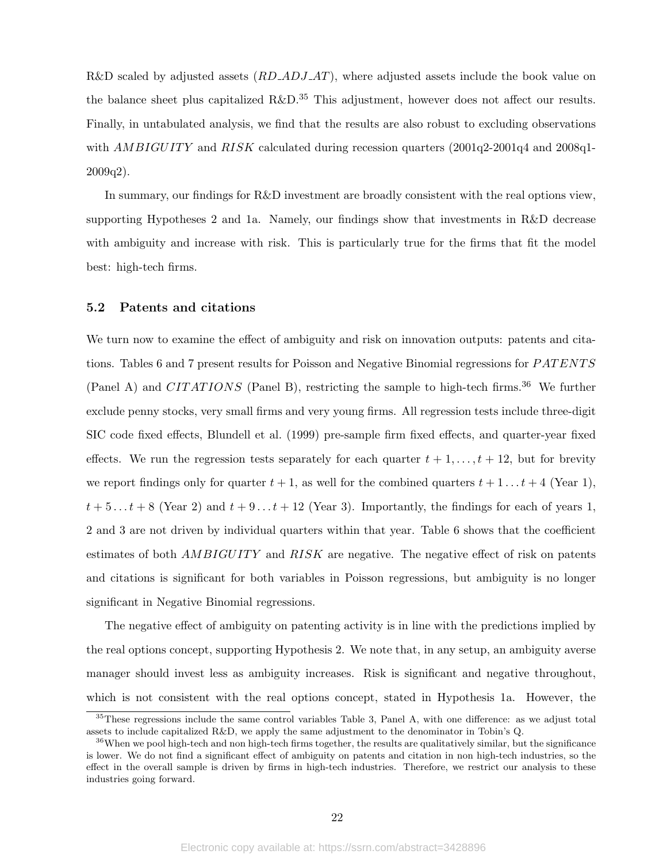R&D scaled by adjusted assets  $(RD \text{-} AD \text{J} \text{-} AT)$ , where adjusted assets include the book value on the balance sheet plus capitalized  $R\&D^{35}$  This adjustment, however does not affect our results. Finally, in untabulated analysis, we find that the results are also robust to excluding observations with  $AMBIGUITY$  and  $RISK$  calculated during recession quarters  $(2001q^{2}-2001q^{4})$  and  $2008q^{1}-$ 2009q2).

In summary, our findings for R&D investment are broadly consistent with the real options view, supporting Hypotheses 2 and 1a. Namely, our findings show that investments in R&D decrease with ambiguity and increase with risk. This is particularly true for the firms that fit the model best: high-tech firms.

### 5.2 Patents and citations

We turn now to examine the effect of ambiguity and risk on innovation outputs: patents and citations. Tables 6 and 7 present results for Poisson and Negative Binomial regressions for PATENTS (Panel A) and CITATIONS (Panel B), restricting the sample to high-tech firms.<sup>36</sup> We further exclude penny stocks, very small firms and very young firms. All regression tests include three-digit SIC code fixed effects, Blundell et al. (1999) pre-sample firm fixed effects, and quarter-year fixed effects. We run the regression tests separately for each quarter  $t + 1, \ldots, t + 12$ , but for brevity we report findings only for quarter  $t + 1$ , as well for the combined quarters  $t + 1 \ldots t + 4$  (Year 1),  $t + 5...t + 8$  (Year 2) and  $t + 9...t + 12$  (Year 3). Importantly, the findings for each of years 1, 2 and 3 are not driven by individual quarters within that year. Table 6 shows that the coefficient estimates of both  $AMBIGUITY$  and  $RISK$  are negative. The negative effect of risk on patents and citations is significant for both variables in Poisson regressions, but ambiguity is no longer significant in Negative Binomial regressions.

The negative effect of ambiguity on patenting activity is in line with the predictions implied by the real options concept, supporting Hypothesis 2. We note that, in any setup, an ambiguity averse manager should invest less as ambiguity increases. Risk is significant and negative throughout, which is not consistent with the real options concept, stated in Hypothesis 1a. However, the

 $35$ These regressions include the same control variables Table 3, Panel A, with one difference: as we adjust total assets to include capitalized R&D, we apply the same adjustment to the denominator in Tobin's Q.

 $36$ When we pool high-tech and non high-tech firms together, the results are qualitatively similar, but the significance is lower. We do not find a significant effect of ambiguity on patents and citation in non high-tech industries, so the effect in the overall sample is driven by firms in high-tech industries. Therefore, we restrict our analysis to these industries going forward.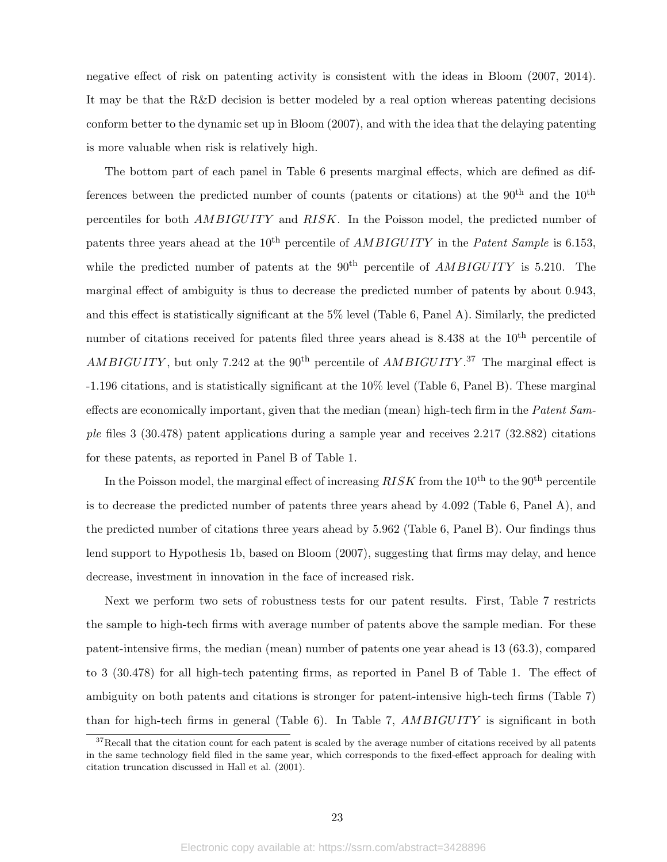negative effect of risk on patenting activity is consistent with the ideas in Bloom (2007, 2014). It may be that the R&D decision is better modeled by a real option whereas patenting decisions conform better to the dynamic set up in Bloom (2007), and with the idea that the delaying patenting is more valuable when risk is relatively high.

The bottom part of each panel in Table 6 presents marginal effects, which are defined as differences between the predicted number of counts (patents or citations) at the  $90<sup>th</sup>$  and the  $10<sup>th</sup>$ percentiles for both  $AMBIGUITY$  and RISK. In the Poisson model, the predicted number of patents three years ahead at the  $10^{th}$  percentile of *AMBIGUITY* in the *Patent Sample* is 6.153, while the predicted number of patents at the  $90<sup>th</sup>$  percentile of  $AMBIGUITY$  is 5.210. The marginal effect of ambiguity is thus to decrease the predicted number of patents by about 0.943, and this effect is statistically significant at the  $5\%$  level (Table 6, Panel A). Similarly, the predicted number of citations received for patents filed three years ahead is  $8.438$  at the  $10<sup>th</sup>$  percentile of AMBIGUITY, but only 7.242 at the 90<sup>th</sup> percentile of  $AMBIGUITY$ .<sup>37</sup> The marginal effect is -1.196 citations, and is statistically significant at the 10% level (Table 6, Panel B). These marginal effects are economically important, given that the median (mean) high-tech firm in the Patent Sample files 3 (30.478) patent applications during a sample year and receives 2.217 (32.882) citations for these patents, as reported in Panel B of Table 1.

In the Poisson model, the marginal effect of increasing  $RISK$  from the  $10<sup>th</sup>$  to the  $90<sup>th</sup>$  percentile is to decrease the predicted number of patents three years ahead by 4.092 (Table 6, Panel A), and the predicted number of citations three years ahead by 5.962 (Table 6, Panel B). Our findings thus lend support to Hypothesis 1b, based on Bloom (2007), suggesting that firms may delay, and hence decrease, investment in innovation in the face of increased risk.

Next we perform two sets of robustness tests for our patent results. First, Table 7 restricts the sample to high-tech firms with average number of patents above the sample median. For these patent-intensive firms, the median (mean) number of patents one year ahead is 13 (63.3), compared to 3 (30.478) for all high-tech patenting firms, as reported in Panel B of Table 1. The effect of ambiguity on both patents and citations is stronger for patent-intensive high-tech firms (Table 7) than for high-tech firms in general (Table 6). In Table 7,  $AMBIGUITY$  is significant in both

<sup>&</sup>lt;sup>37</sup>Recall that the citation count for each patent is scaled by the average number of citations received by all patents in the same technology field filed in the same year, which corresponds to the fixed-effect approach for dealing with citation truncation discussed in Hall et al. (2001).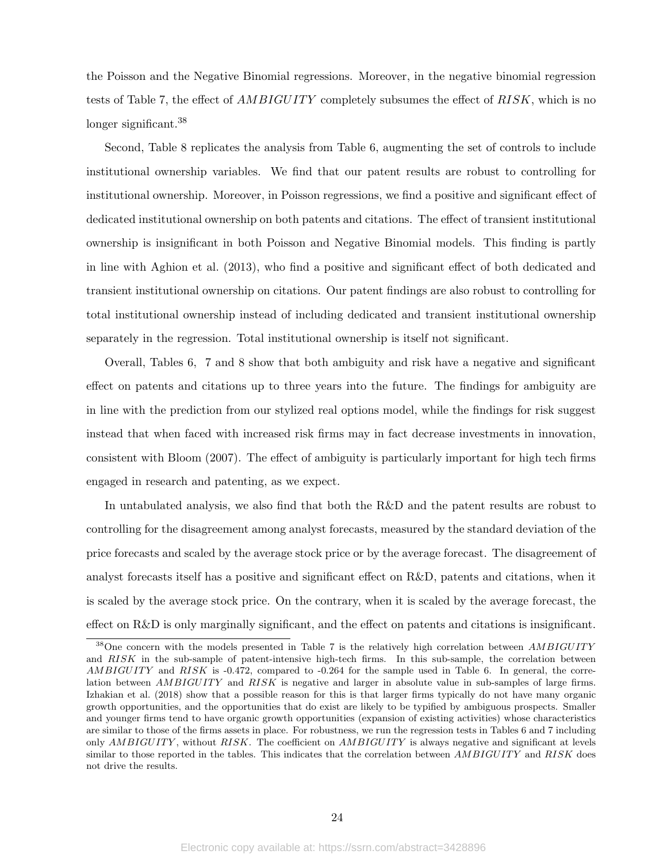the Poisson and the Negative Binomial regressions. Moreover, in the negative binomial regression tests of Table 7, the effect of  $AMBIGUITY$  completely subsumes the effect of  $RISK$ , which is no longer significant.<sup>38</sup>

Second, Table 8 replicates the analysis from Table 6, augmenting the set of controls to include institutional ownership variables. We find that our patent results are robust to controlling for institutional ownership. Moreover, in Poisson regressions, we find a positive and significant effect of dedicated institutional ownership on both patents and citations. The effect of transient institutional ownership is insignificant in both Poisson and Negative Binomial models. This finding is partly in line with Aghion et al. (2013), who find a positive and significant effect of both dedicated and transient institutional ownership on citations. Our patent findings are also robust to controlling for total institutional ownership instead of including dedicated and transient institutional ownership separately in the regression. Total institutional ownership is itself not significant.

Overall, Tables 6, 7 and 8 show that both ambiguity and risk have a negative and significant effect on patents and citations up to three years into the future. The findings for ambiguity are in line with the prediction from our stylized real options model, while the findings for risk suggest instead that when faced with increased risk firms may in fact decrease investments in innovation, consistent with Bloom (2007). The effect of ambiguity is particularly important for high tech firms engaged in research and patenting, as we expect.

In untabulated analysis, we also find that both the R&D and the patent results are robust to controlling for the disagreement among analyst forecasts, measured by the standard deviation of the price forecasts and scaled by the average stock price or by the average forecast. The disagreement of analyst forecasts itself has a positive and significant effect on R&D, patents and citations, when it is scaled by the average stock price. On the contrary, when it is scaled by the average forecast, the effect on R&D is only marginally significant, and the effect on patents and citations is insignificant.

<sup>&</sup>lt;sup>38</sup>One concern with the models presented in Table 7 is the relatively high correlation between  $AMBIGUITY$ and RISK in the sub-sample of patent-intensive high-tech firms. In this sub-sample, the correlation between  $AMBIGUITY$  and  $RISK$  is -0.472, compared to -0.264 for the sample used in Table 6. In general, the correlation between  $AMBIGUITY$  and  $RISK$  is negative and larger in absolute value in sub-samples of large firms. Izhakian et al. (2018) show that a possible reason for this is that larger firms typically do not have many organic growth opportunities, and the opportunities that do exist are likely to be typified by ambiguous prospects. Smaller and younger firms tend to have organic growth opportunities (expansion of existing activities) whose characteristics are similar to those of the firms assets in place. For robustness, we run the regression tests in Tables 6 and 7 including only AMBIGUITY, without RISK. The coefficient on AMBIGUITY is always negative and significant at levels similar to those reported in the tables. This indicates that the correlation between AMBIGUITY and RISK does not drive the results.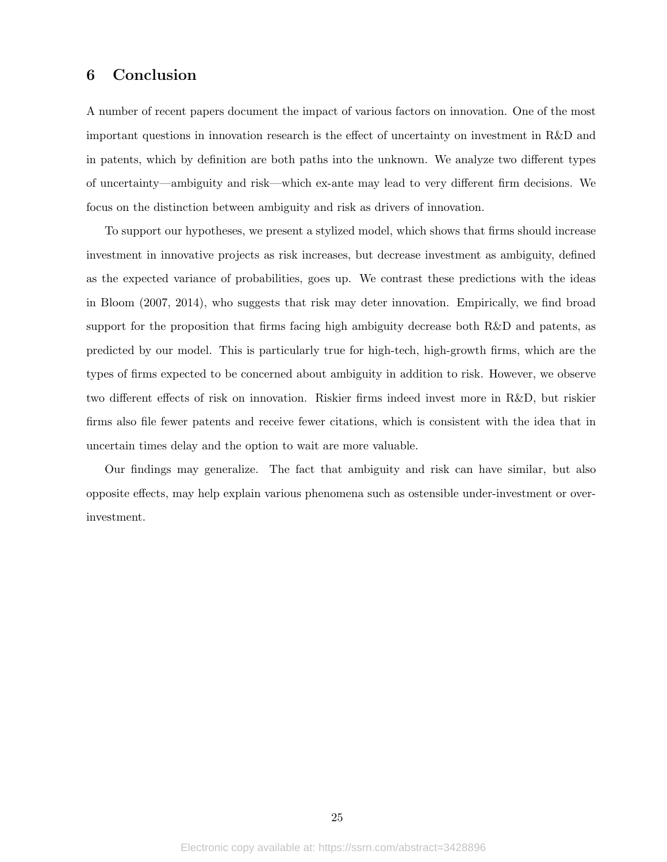# 6 Conclusion

A number of recent papers document the impact of various factors on innovation. One of the most important questions in innovation research is the effect of uncertainty on investment in R&D and in patents, which by definition are both paths into the unknown. We analyze two different types of uncertainty—ambiguity and risk—which ex-ante may lead to very different firm decisions. We focus on the distinction between ambiguity and risk as drivers of innovation.

To support our hypotheses, we present a stylized model, which shows that firms should increase investment in innovative projects as risk increases, but decrease investment as ambiguity, defined as the expected variance of probabilities, goes up. We contrast these predictions with the ideas in Bloom (2007, 2014), who suggests that risk may deter innovation. Empirically, we find broad support for the proposition that firms facing high ambiguity decrease both R&D and patents, as predicted by our model. This is particularly true for high-tech, high-growth firms, which are the types of firms expected to be concerned about ambiguity in addition to risk. However, we observe two different effects of risk on innovation. Riskier firms indeed invest more in R&D, but riskier firms also file fewer patents and receive fewer citations, which is consistent with the idea that in uncertain times delay and the option to wait are more valuable.

Our findings may generalize. The fact that ambiguity and risk can have similar, but also opposite effects, may help explain various phenomena such as ostensible under-investment or overinvestment.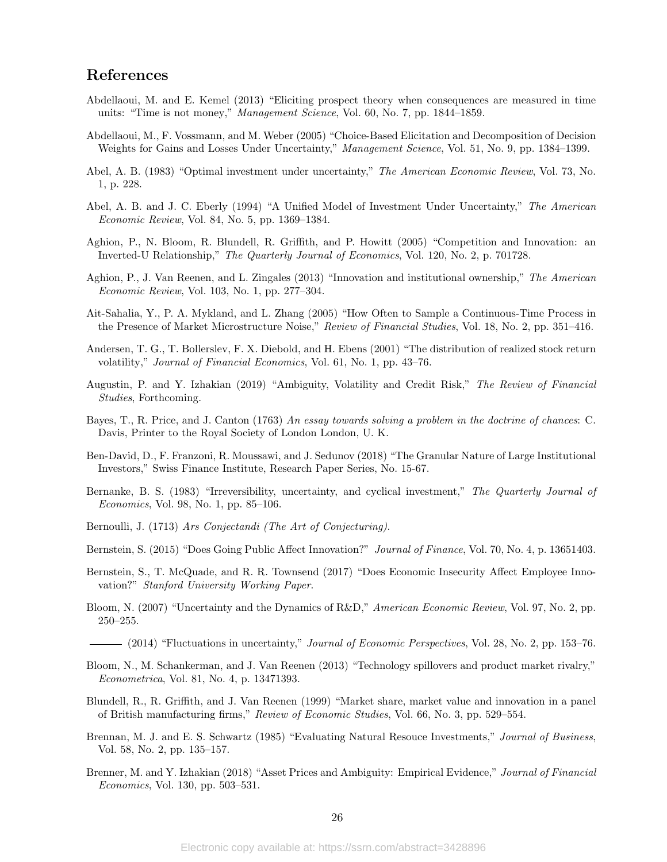# References

- Abdellaoui, M. and E. Kemel (2013) "Eliciting prospect theory when consequences are measured in time units: "Time is not money," Management Science, Vol. 60, No. 7, pp. 1844–1859.
- Abdellaoui, M., F. Vossmann, and M. Weber (2005) "Choice-Based Elicitation and Decomposition of Decision Weights for Gains and Losses Under Uncertainty," Management Science, Vol. 51, No. 9, pp. 1384-1399.
- Abel, A. B. (1983) "Optimal investment under uncertainty," The American Economic Review, Vol. 73, No. 1, p. 228.
- Abel, A. B. and J. C. Eberly (1994) "A Unified Model of Investment Under Uncertainty," The American Economic Review, Vol. 84, No. 5, pp. 1369–1384.
- Aghion, P., N. Bloom, R. Blundell, R. Griffith, and P. Howitt (2005) "Competition and Innovation: an Inverted-U Relationship," The Quarterly Journal of Economics, Vol. 120, No. 2, p. 701728.
- Aghion, P., J. Van Reenen, and L. Zingales (2013) "Innovation and institutional ownership," The American Economic Review, Vol. 103, No. 1, pp. 277–304.
- Ait-Sahalia, Y., P. A. Mykland, and L. Zhang (2005) "How Often to Sample a Continuous-Time Process in the Presence of Market Microstructure Noise," Review of Financial Studies, Vol. 18, No. 2, pp. 351–416.
- Andersen, T. G., T. Bollerslev, F. X. Diebold, and H. Ebens (2001) "The distribution of realized stock return volatility," Journal of Financial Economics, Vol. 61, No. 1, pp. 43–76.
- Augustin, P. and Y. Izhakian (2019) "Ambiguity, Volatility and Credit Risk," The Review of Financial Studies, Forthcoming.
- Bayes, T., R. Price, and J. Canton (1763) An essay towards solving a problem in the doctrine of chances: C. Davis, Printer to the Royal Society of London London, U. K.
- Ben-David, D., F. Franzoni, R. Moussawi, and J. Sedunov (2018) "The Granular Nature of Large Institutional Investors," Swiss Finance Institute, Research Paper Series, No. 15-67.
- Bernanke, B. S. (1983) "Irreversibility, uncertainty, and cyclical investment," The Quarterly Journal of Economics, Vol. 98, No. 1, pp. 85–106.
- Bernoulli, J. (1713) Ars Conjectandi (The Art of Conjecturing).
- Bernstein, S. (2015) "Does Going Public Affect Innovation?" Journal of Finance, Vol. 70, No. 4, p. 13651403.
- Bernstein, S., T. McQuade, and R. R. Townsend (2017) "Does Economic Insecurity Affect Employee Innovation?" Stanford University Working Paper.
- Bloom, N. (2007) "Uncertainty and the Dynamics of R&D," American Economic Review, Vol. 97, No. 2, pp. 250–255.
- (2014) "Fluctuations in uncertainty," *Journal of Economic Perspectives*, Vol. 28, No. 2, pp. 153–76.
- Bloom, N., M. Schankerman, and J. Van Reenen (2013) "Technology spillovers and product market rivalry," Econometrica, Vol. 81, No. 4, p. 13471393.
- Blundell, R., R. Griffith, and J. Van Reenen (1999) "Market share, market value and innovation in a panel of British manufacturing firms," Review of Economic Studies, Vol. 66, No. 3, pp. 529–554.
- Brennan, M. J. and E. S. Schwartz (1985) "Evaluating Natural Resouce Investments," Journal of Business, Vol. 58, No. 2, pp. 135–157.
- Brenner, M. and Y. Izhakian (2018) "Asset Prices and Ambiguity: Empirical Evidence," Journal of Financial Economics, Vol. 130, pp. 503–531.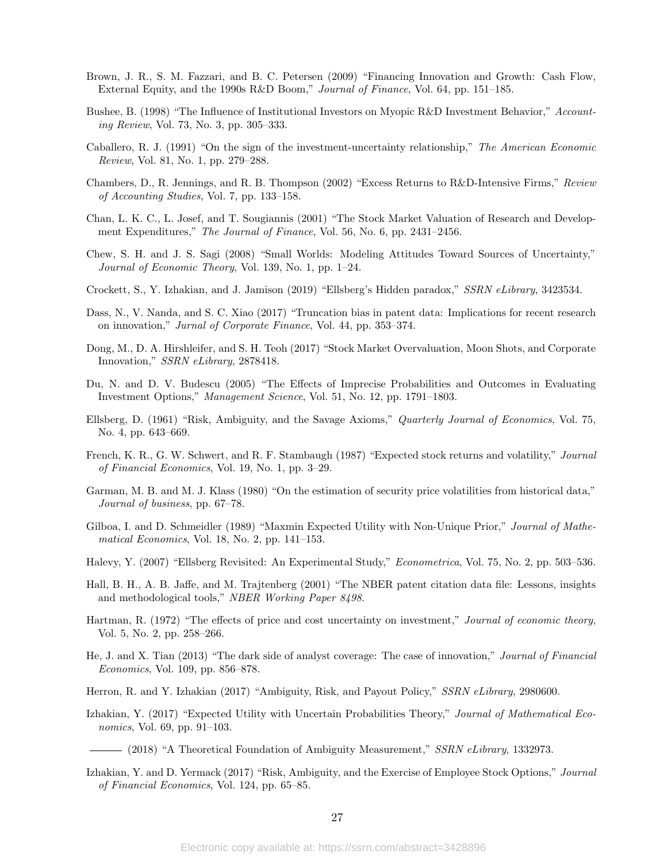- Brown, J. R., S. M. Fazzari, and B. C. Petersen (2009) "Financing Innovation and Growth: Cash Flow, External Equity, and the 1990s R&D Boom," Journal of Finance, Vol. 64, pp. 151–185.
- Bushee, B. (1998) "The Influence of Institutional Investors on Myopic R&D Investment Behavior," Accounting Review, Vol. 73, No. 3, pp. 305–333.
- Caballero, R. J. (1991) "On the sign of the investment-uncertainty relationship," The American Economic Review, Vol. 81, No. 1, pp. 279–288.
- Chambers, D., R. Jennings, and R. B. Thompson (2002) "Excess Returns to R&D-Intensive Firms," Review of Accounting Studies, Vol. 7, pp. 133–158.
- Chan, L. K. C., L. Josef, and T. Sougiannis (2001) "The Stock Market Valuation of Research and Development Expenditures," The Journal of Finance, Vol. 56, No. 6, pp. 2431-2456.
- Chew, S. H. and J. S. Sagi (2008) "Small Worlds: Modeling Attitudes Toward Sources of Uncertainty," Journal of Economic Theory, Vol. 139, No. 1, pp. 1–24.
- Crockett, S., Y. Izhakian, and J. Jamison (2019) "Ellsberg's Hidden paradox," SSRN eLibrary, 3423534.
- Dass, N., V. Nanda, and S. C. Xiao (2017) "Truncation bias in patent data: Implications for recent research on innovation," Jurnal of Corporate Finance, Vol. 44, pp. 353–374.
- Dong, M., D. A. Hirshleifer, and S. H. Teoh (2017) "Stock Market Overvaluation, Moon Shots, and Corporate Innovation," SSRN eLibrary, 2878418.
- Du, N. and D. V. Budescu (2005) "The Effects of Imprecise Probabilities and Outcomes in Evaluating Investment Options," Management Science, Vol. 51, No. 12, pp. 1791–1803.
- Ellsberg, D. (1961) "Risk, Ambiguity, and the Savage Axioms," Quarterly Journal of Economics, Vol. 75, No. 4, pp. 643–669.
- French, K. R., G. W. Schwert, and R. F. Stambaugh (1987) "Expected stock returns and volatility," Journal of Financial Economics, Vol. 19, No. 1, pp. 3–29.
- Garman, M. B. and M. J. Klass (1980) "On the estimation of security price volatilities from historical data," Journal of business, pp. 67–78.
- Gilboa, I. and D. Schmeidler (1989) "Maxmin Expected Utility with Non-Unique Prior," Journal of Mathematical Economics, Vol. 18, No. 2, pp. 141–153.
- Halevy, Y. (2007) "Ellsberg Revisited: An Experimental Study," Econometrica, Vol. 75, No. 2, pp. 503–536.
- Hall, B. H., A. B. Jaffe, and M. Trajtenberg (2001) "The NBER patent citation data file: Lessons, insights and methodological tools," NBER Working Paper 8498.
- Hartman, R. (1972) "The effects of price and cost uncertainty on investment," Journal of economic theory, Vol. 5, No. 2, pp. 258–266.
- He, J. and X. Tian (2013) "The dark side of analyst coverage: The case of innovation," Journal of Financial Economics, Vol. 109, pp. 856–878.
- Herron, R. and Y. Izhakian (2017) "Ambiguity, Risk, and Payout Policy," SSRN eLibrary, 2980600.
- Izhakian, Y. (2017) "Expected Utility with Uncertain Probabilities Theory," Journal of Mathematical Economics, Vol. 69, pp. 91–103.

(2018) "A Theoretical Foundation of Ambiguity Measurement," SSRN eLibrary, 1332973.

Izhakian, Y. and D. Yermack (2017) "Risk, Ambiguity, and the Exercise of Employee Stock Options," Journal of Financial Economics, Vol. 124, pp. 65–85.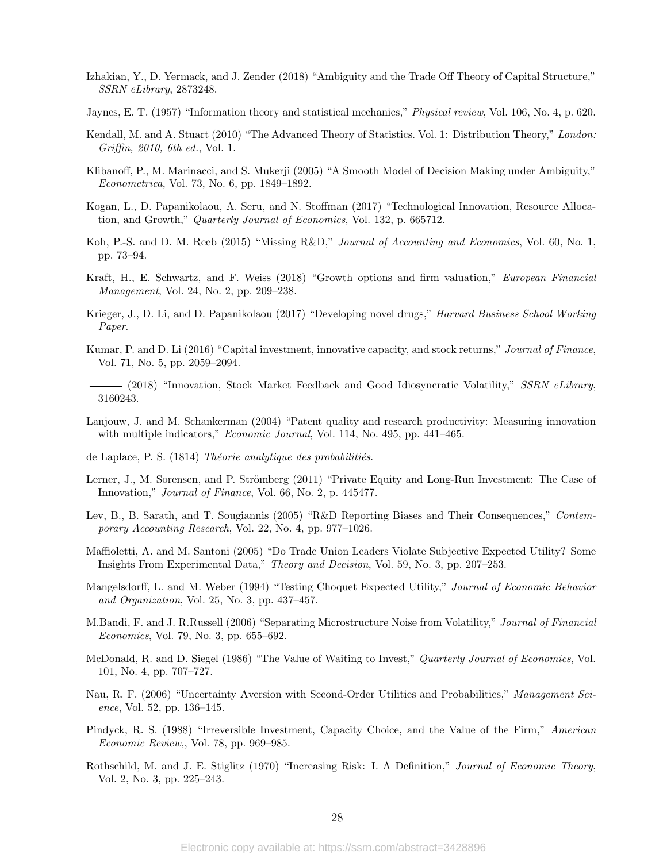- Izhakian, Y., D. Yermack, and J. Zender (2018) "Ambiguity and the Trade Off Theory of Capital Structure," SSRN eLibrary, 2873248.
- Jaynes, E. T. (1957) "Information theory and statistical mechanics," Physical review, Vol. 106, No. 4, p. 620.
- Kendall, M. and A. Stuart (2010) "The Advanced Theory of Statistics. Vol. 1: Distribution Theory," London: Griffin, 2010, 6th ed., Vol. 1.
- Klibanoff, P., M. Marinacci, and S. Mukerji (2005) "A Smooth Model of Decision Making under Ambiguity," Econometrica, Vol. 73, No. 6, pp. 1849–1892.
- Kogan, L., D. Papanikolaou, A. Seru, and N. Stoffman (2017) "Technological Innovation, Resource Allocation, and Growth," Quarterly Journal of Economics, Vol. 132, p. 665712.
- Koh, P.-S. and D. M. Reeb (2015) "Missing R&D," Journal of Accounting and Economics, Vol. 60, No. 1, pp. 73–94.
- Kraft, H., E. Schwartz, and F. Weiss (2018) "Growth options and firm valuation," European Financial Management, Vol. 24, No. 2, pp. 209–238.
- Krieger, J., D. Li, and D. Papanikolaou (2017) "Developing novel drugs," *Harvard Business School Working* Paper.
- Kumar, P. and D. Li (2016) "Capital investment, innovative capacity, and stock returns," Journal of Finance, Vol. 71, No. 5, pp. 2059–2094.
- (2018) "Innovation, Stock Market Feedback and Good Idiosyncratic Volatility," SSRN eLibrary, 3160243.
- Lanjouw, J. and M. Schankerman (2004) "Patent quality and research productivity: Measuring innovation with multiple indicators," *Economic Journal*, Vol. 114, No. 495, pp. 441–465.
- de Laplace, P. S.  $(1814)$  Théorie analytique des probabilitiés.
- Lerner, J., M. Sorensen, and P. Strömberg (2011) "Private Equity and Long-Run Investment: The Case of Innovation," Journal of Finance, Vol. 66, No. 2, p. 445477.
- Lev, B., B. Sarath, and T. Sougiannis (2005) "R&D Reporting Biases and Their Consequences," Contemporary Accounting Research, Vol. 22, No. 4, pp. 977–1026.
- Maffioletti, A. and M. Santoni (2005) "Do Trade Union Leaders Violate Subjective Expected Utility? Some Insights From Experimental Data," Theory and Decision, Vol. 59, No. 3, pp. 207–253.
- Mangelsdorff, L. and M. Weber (1994) "Testing Choquet Expected Utility," Journal of Economic Behavior and Organization, Vol. 25, No. 3, pp. 437–457.
- M.Bandi, F. and J. R.Russell (2006) "Separating Microstructure Noise from Volatility," Journal of Financial Economics, Vol. 79, No. 3, pp. 655–692.
- McDonald, R. and D. Siegel (1986) "The Value of Waiting to Invest," Quarterly Journal of Economics, Vol. 101, No. 4, pp. 707–727.
- Nau, R. F. (2006) "Uncertainty Aversion with Second-Order Utilities and Probabilities," Management Science, Vol. 52, pp. 136–145.
- Pindyck, R. S. (1988) "Irreversible Investment, Capacity Choice, and the Value of the Firm," American Economic Review,, Vol. 78, pp. 969–985.
- Rothschild, M. and J. E. Stiglitz (1970) "Increasing Risk: I. A Definition," Journal of Economic Theory, Vol. 2, No. 3, pp. 225–243.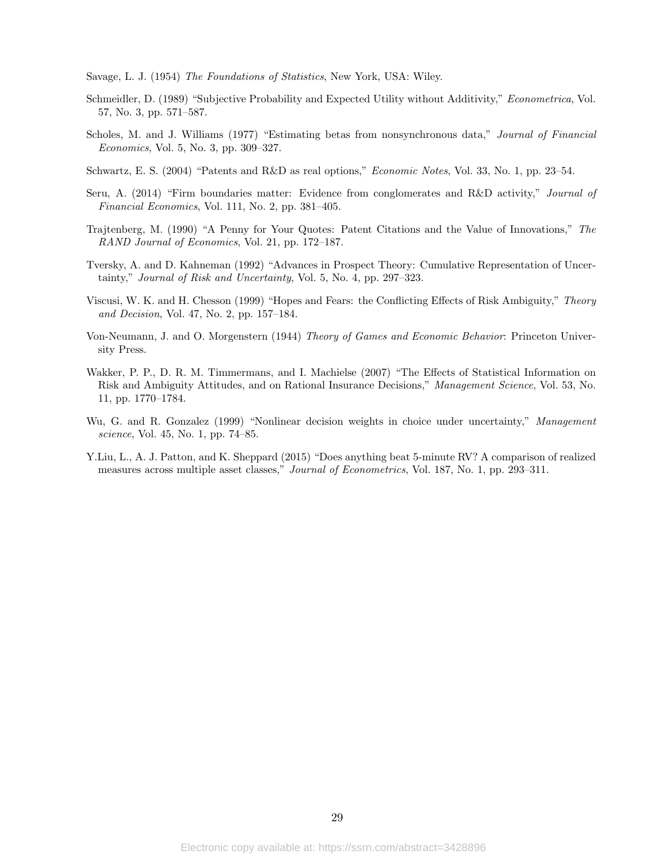Savage, L. J. (1954) The Foundations of Statistics, New York, USA: Wiley.

- Schmeidler, D. (1989) "Subjective Probability and Expected Utility without Additivity," Econometrica, Vol. 57, No. 3, pp. 571–587.
- Scholes, M. and J. Williams (1977) "Estimating betas from nonsynchronous data," Journal of Financial Economics, Vol. 5, No. 3, pp. 309–327.
- Schwartz, E. S. (2004) "Patents and R&D as real options," Economic Notes, Vol. 33, No. 1, pp. 23–54.
- Seru, A. (2014) "Firm boundaries matter: Evidence from conglomerates and R&D activity," Journal of Financial Economics, Vol. 111, No. 2, pp. 381–405.
- Trajtenberg, M. (1990) "A Penny for Your Quotes: Patent Citations and the Value of Innovations," The RAND Journal of Economics, Vol. 21, pp. 172–187.
- Tversky, A. and D. Kahneman (1992) "Advances in Prospect Theory: Cumulative Representation of Uncertainty," Journal of Risk and Uncertainty, Vol. 5, No. 4, pp. 297–323.
- Viscusi, W. K. and H. Chesson (1999) "Hopes and Fears: the Conflicting Effects of Risk Ambiguity," Theory and Decision, Vol. 47, No. 2, pp. 157–184.
- Von-Neumann, J. and O. Morgenstern (1944) Theory of Games and Economic Behavior: Princeton University Press.
- Wakker, P. P., D. R. M. Timmermans, and I. Machielse (2007) "The Effects of Statistical Information on Risk and Ambiguity Attitudes, and on Rational Insurance Decisions," Management Science, Vol. 53, No. 11, pp. 1770–1784.
- Wu, G. and R. Gonzalez (1999) "Nonlinear decision weights in choice under uncertainty," Management science, Vol. 45, No. 1, pp. 74–85.
- Y.Liu, L., A. J. Patton, and K. Sheppard (2015) "Does anything beat 5-minute RV? A comparison of realized measures across multiple asset classes," *Journal of Econometrics*, Vol. 187, No. 1, pp. 293–311.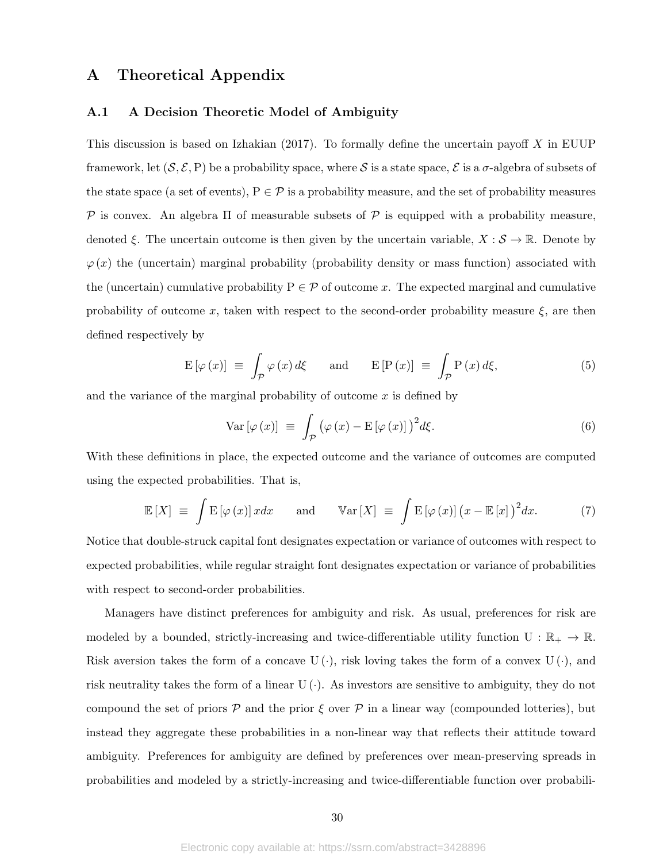## A Theoretical Appendix

### A.1 A Decision Theoretic Model of Ambiguity

This discussion is based on Izhakian  $(2017)$ . To formally define the uncertain payoff X in EUUP framework, let  $(S, \mathcal{E}, P)$  be a probability space, where S is a state space,  $\mathcal{E}$  is a  $\sigma$ -algebra of subsets of the state space (a set of events),  $P \in \mathcal{P}$  is a probability measure, and the set of probability measures P is convex. An algebra  $\Pi$  of measurable subsets of P is equipped with a probability measure, denoted  $\xi$ . The uncertain outcome is then given by the uncertain variable,  $X : \mathcal{S} \to \mathbb{R}$ . Denote by  $\varphi(x)$  the (uncertain) marginal probability (probability density or mass function) associated with the (uncertain) cumulative probability  $P \in \mathcal{P}$  of outcome x. The expected marginal and cumulative probability of outcome x, taken with respect to the second-order probability measure  $\xi$ , are then defined respectively by

$$
E[\varphi(x)] \equiv \int_{\mathcal{P}} \varphi(x) d\xi \quad \text{and} \quad E[P(x)] \equiv \int_{\mathcal{P}} P(x) d\xi,
$$
 (5)

and the variance of the marginal probability of outcome  $x$  is defined by

$$
\text{Var}\left[\varphi\left(x\right)\right] \equiv \int_{\mathcal{P}} \left(\varphi\left(x\right) - \mathcal{E}\left[\varphi\left(x\right)\right]\right)^2 d\xi. \tag{6}
$$

With these definitions in place, the expected outcome and the variance of outcomes are computed using the expected probabilities. That is,

$$
\mathbb{E}\left[X\right] \equiv \int \mathbb{E}\left[\varphi\left(x\right)\right]x dx \quad \text{and} \quad \mathbb{V}\text{ar}\left[X\right] \equiv \int \mathbb{E}\left[\varphi\left(x\right)\right]\left(x - \mathbb{E}\left[x\right]\right)^2 dx. \tag{7}
$$

Notice that double-struck capital font designates expectation or variance of outcomes with respect to expected probabilities, while regular straight font designates expectation or variance of probabilities with respect to second-order probabilities.

Managers have distinct preferences for ambiguity and risk. As usual, preferences for risk are modeled by a bounded, strictly-increasing and twice-differentiable utility function  $U : \mathbb{R}_+ \to \mathbb{R}$ . Risk aversion takes the form of a concave  $U(\cdot)$ , risk loving takes the form of a convex  $U(\cdot)$ , and risk neutrality takes the form of a linear  $U(\cdot)$ . As investors are sensitive to ambiguity, they do not compound the set of priors  $\mathcal P$  and the prior  $\mathcal \xi$  over  $\mathcal P$  in a linear way (compounded lotteries), but instead they aggregate these probabilities in a non-linear way that reflects their attitude toward ambiguity. Preferences for ambiguity are defined by preferences over mean-preserving spreads in probabilities and modeled by a strictly-increasing and twice-differentiable function over probabili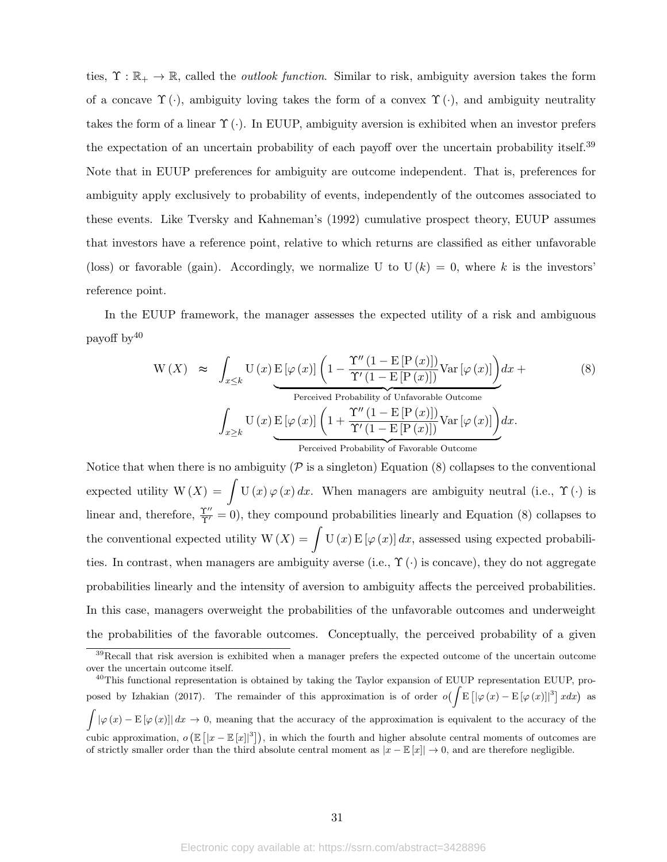ties,  $\Upsilon : \mathbb{R}_+ \to \mathbb{R}$ , called the *outlook function*. Similar to risk, ambiguity aversion takes the form of a concave  $\Upsilon(\cdot)$ , ambiguity loving takes the form of a convex  $\Upsilon(\cdot)$ , and ambiguity neutrality takes the form of a linear  $\Upsilon(\cdot)$ . In EUUP, ambiguity aversion is exhibited when an investor prefers the expectation of an uncertain probability of each payoff over the uncertain probability itself.<sup>39</sup> Note that in EUUP preferences for ambiguity are outcome independent. That is, preferences for ambiguity apply exclusively to probability of events, independently of the outcomes associated to these events. Like Tversky and Kahneman's (1992) cumulative prospect theory, EUUP assumes that investors have a reference point, relative to which returns are classified as either unfavorable (loss) or favorable (gain). Accordingly, we normalize U to  $U(k) = 0$ , where k is the investors' reference point.

In the EUUP framework, the manager assesses the expected utility of a risk and ambiguous payoff by<sup>40</sup>

$$
W(X) \approx \int_{x \leq k} U(x) E[\varphi(x)] \left(1 - \frac{\Upsilon''(1 - E[P(x)])}{\Upsilon'(1 - E[P(x)])} Var[\varphi(x)]\right) dx +
$$
\n
$$
Ferceived Probability of Unfavorable Outcome
$$
\n
$$
\int_{x \geq k} U(x) E[\varphi(x)] \left(1 + \frac{\Upsilon''(1 - E[P(x)])}{\Upsilon'(1 - E[P(x)])} Var[\varphi(x)]\right) dx.
$$
\n
$$
Perceived Probability of Favorable Outcome
$$
\n
$$
Perceived Probability of Favorable Outcome
$$
\n
$$
W(X) \approx \int_{x \geq k} U(x) E[\varphi(x)] \left(1 + \frac{\Upsilon''(1 - E[P(x)])}{\Upsilon'(1 - E[P(x)])} Var[\varphi(x)]\right) dx.
$$
\n
$$
(8)
$$

Notice that when there is no ambiguity ( $\mathcal P$  is a singleton) Equation (8) collapses to the conventional expected utility  $W(X) = \int U(x) \varphi(x) dx$ . When managers are ambiguity neutral (i.e.,  $\Upsilon(\cdot)$  is linear and, therefore,  $\frac{\Upsilon''}{\Upsilon'} = 0$ , they compound probabilities linearly and Equation (8) collapses to the conventional expected utility  $W(X) = \int U(x) E[\varphi(x)] dx$ , assessed using expected probabilities. In contrast, when managers are ambiguity averse (i.e.,  $\Upsilon(\cdot)$  is concave), they do not aggregate probabilities linearly and the intensity of aversion to ambiguity affects the perceived probabilities. In this case, managers overweight the probabilities of the unfavorable outcomes and underweight the probabilities of the favorable outcomes. Conceptually, the perceived probability of a given

<sup>&</sup>lt;sup>39</sup>Recall that risk aversion is exhibited when a manager prefers the expected outcome of the uncertain outcome over the uncertain outcome itself.

<sup>&</sup>lt;sup>40</sup>This functional representation is obtained by taking the Taylor expansion of EUUP representation EUUP, proposed by Izhakian (2017). The remainder of this approximation is of order  $o(\int \mathbb{E} [|\varphi(x)-\mathbb{E}[\varphi(x)]|^3] dx)$  as  $\int |\varphi(x)-E[\varphi(x)]| dx \to 0$ , meaning that the accuracy of the approximation is equivalent to the accuracy of the cubic approximation,  $o(\mathbb{E}[|x-\mathbb{E}[x]|^3])$ , in which the fourth and higher absolute central moments of outcomes are of strictly smaller order than the third absolute central moment as  $|x - \mathbb{E}[x]| \to 0$ , and are therefore negligible.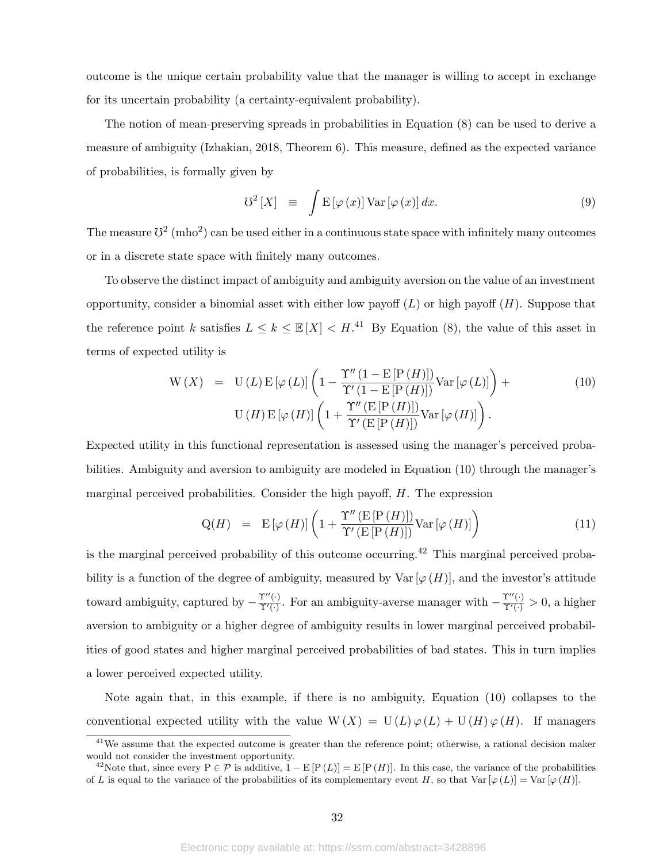outcome is the unique certain probability value that the manager is willing to accept in exchange for its uncertain probability (a certainty-equivalent probability).

The notion of mean-preserving spreads in probabilities in Equation (8) can be used to derive a measure of ambiguity (Izhakian, 2018, Theorem 6). This measure, defined as the expected variance of probabilities, is formally given by

$$
\mathcal{V}^2\left[X\right] \;\; \equiv \;\; \int \mathcal{E}\left[\varphi\left(x\right)\right] \text{Var}\left[\varphi\left(x\right)\right] dx. \tag{9}
$$

The measure  $\mathbb{S}^2$  (mho<sup>2</sup>) can be used either in a continuous state space with infinitely many outcomes or in a discrete state space with finitely many outcomes.

To observe the distinct impact of ambiguity and ambiguity aversion on the value of an investment opportunity, consider a binomial asset with either low payoff  $(L)$  or high payoff  $(H)$ . Suppose that the reference point k satisfies  $L \leq k \leq \mathbb{E}[X] < H$ .<sup>41</sup> By Equation (8), the value of this asset in terms of expected utility is

$$
W(X) = U(L) E[\varphi(L)] \left( 1 - \frac{\Upsilon'' (1 - E[P(H)])}{\Upsilon' (1 - E[P(H)])} Var[\varphi(L)] \right) +
$$
  
\n
$$
U(H) E[\varphi(H)] \left( 1 + \frac{\Upsilon'' (E[P(H)])}{\Upsilon' (E[P(H)])} Var[\varphi(H)] \right).
$$
\n(10)

Expected utility in this functional representation is assessed using the manager's perceived probabilities. Ambiguity and aversion to ambiguity are modeled in Equation (10) through the manager's marginal perceived probabilities. Consider the high payoff,  $H$ . The expression

$$
Q(H) = E[\varphi(H)] \left( 1 + \frac{\Upsilon''(E[P(H)])}{\Upsilon'(E[P(H)])} Var[\varphi(H)] \right)
$$
(11)

is the marginal perceived probability of this outcome occurring.<sup>42</sup> This marginal perceived probability is a function of the degree of ambiguity, measured by Var  $[\varphi(H)]$ , and the investor's attitude toward ambiguity, captured by  $-\frac{\Upsilon''(\cdot)}{\Upsilon'(\cdot)}$  $\frac{\Upsilon''(\cdot)}{\Upsilon'(\cdot)}$ . For an ambiguity-averse manager with  $-\frac{\Upsilon''(\cdot)}{\Upsilon'(\cdot)} > 0$ , a higher aversion to ambiguity or a higher degree of ambiguity results in lower marginal perceived probabilities of good states and higher marginal perceived probabilities of bad states. This in turn implies a lower perceived expected utility.

Note again that, in this example, if there is no ambiguity, Equation (10) collapses to the conventional expected utility with the value  $W(X) = U(L) \varphi(L) + U(H) \varphi(H)$ . If managers

<sup>&</sup>lt;sup>41</sup>We assume that the expected outcome is greater than the reference point; otherwise, a rational decision maker would not consider the investment opportunity.

<sup>&</sup>lt;sup>42</sup>Note that, since every P  $\in \mathcal{P}$  is additive,  $1 - E[P(L)] = E[P(H)]$ . In this case, the variance of the probabilities of L is equal to the variance of the probabilities of its complementary event H, so that Var  $[\varphi(L)] = \text{Var}[\varphi(H)]$ .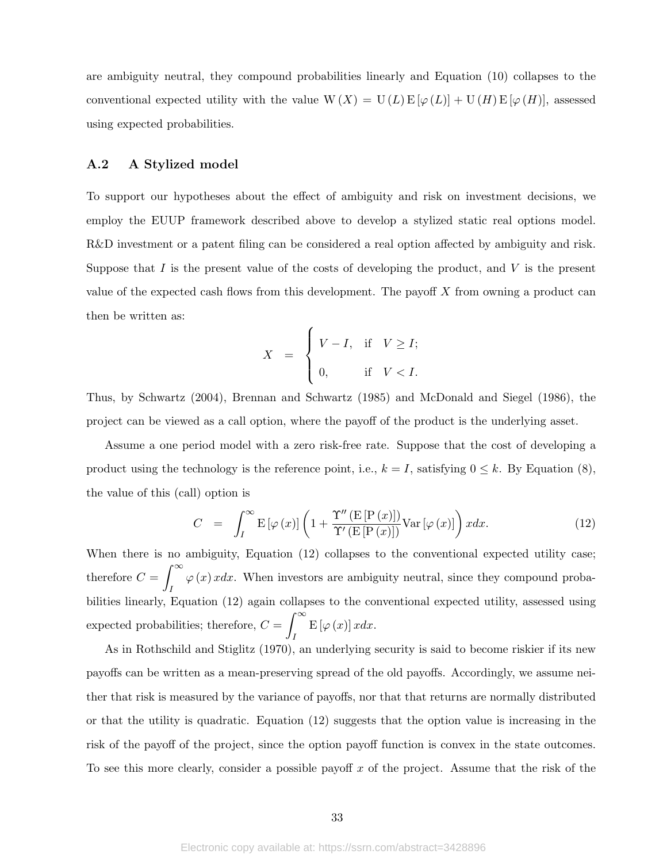are ambiguity neutral, they compound probabilities linearly and Equation (10) collapses to the conventional expected utility with the value  $W(X) = U(L) E[\varphi(L)] + U(H) E[\varphi(H)]$ , assessed using expected probabilities.

#### A.2 A Stylized model

To support our hypotheses about the effect of ambiguity and risk on investment decisions, we employ the EUUP framework described above to develop a stylized static real options model. R&D investment or a patent filing can be considered a real option affected by ambiguity and risk. Suppose that  $I$  is the present value of the costs of developing the product, and  $V$  is the present value of the expected cash flows from this development. The payoff  $X$  from owning a product can then be written as:

$$
X = \begin{cases} V - I, & \text{if } V \ge I; \\ 0, & \text{if } V < I. \end{cases}
$$

Thus, by Schwartz (2004), Brennan and Schwartz (1985) and McDonald and Siegel (1986), the project can be viewed as a call option, where the payoff of the product is the underlying asset.

Assume a one period model with a zero risk-free rate. Suppose that the cost of developing a product using the technology is the reference point, i.e.,  $k = I$ , satisfying  $0 \leq k$ . By Equation (8), the value of this (call) option is

$$
C = \int_{I}^{\infty} \mathcal{E}[\varphi(x)] \left( 1 + \frac{\Upsilon''(\mathcal{E}[P(x)])}{\Upsilon'(\mathcal{E}[P(x)])} \text{Var}[\varphi(x)] \right) x dx. \tag{12}
$$

When there is no ambiguity, Equation (12) collapses to the conventional expected utility case; therefore  $C = \int_{0}^{\infty}$ I  $\varphi(x)$  xdx. When investors are ambiguity neutral, since they compound probabilities linearly, Equation (12) again collapses to the conventional expected utility, assessed using expected probabilities; therefore,  $C = \int_{-\infty}^{\infty}$ I  $E\left[\varphi\left(x\right)\right]xdx.$ 

As in Rothschild and Stiglitz (1970), an underlying security is said to become riskier if its new payoffs can be written as a mean-preserving spread of the old payoffs. Accordingly, we assume neither that risk is measured by the variance of payoffs, nor that that returns are normally distributed or that the utility is quadratic. Equation (12) suggests that the option value is increasing in the risk of the payoff of the project, since the option payoff function is convex in the state outcomes. To see this more clearly, consider a possible payoff  $x$  of the project. Assume that the risk of the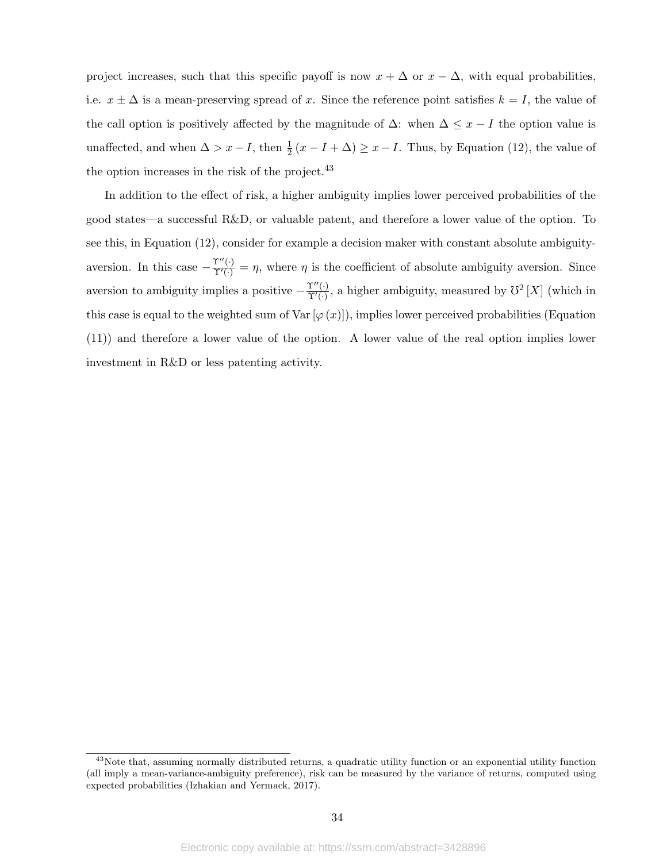project increases, such that this specific payoff is now  $x + \Delta$  or  $x - \Delta$ , with equal probabilities, i.e.  $x \pm \Delta$  is a mean-preserving spread of x. Since the reference point satisfies  $k = I$ , the value of the call option is positively affected by the magnitude of  $\Delta$ : when  $\Delta \leq x - I$  the option value is unaffected, and when  $\Delta > x - I$ , then  $\frac{1}{2}(x - I + \Delta) \geq x - I$ . Thus, by Equation (12), the value of the option increases in the risk of the project.<sup>43</sup>

In addition to the effect of risk, a higher ambiguity implies lower perceived probabilities of the good states—a successful R&D, or valuable patent, and therefore a lower value of the option. To see this, in Equation (12), consider for example a decision maker with constant absolute ambiguityaversion. In this case  $-\frac{\Upsilon''(\cdot)}{\Upsilon'(\cdot)} = \eta$ , where  $\eta$  is the coefficient of absolute ambiguity aversion. Since aversion to ambiguity implies a positive  $-\frac{\Upsilon''(\cdot)}{\Upsilon'(\cdot)}$  $\Upsilon''(\cdot)$ , a higher ambiguity, measured by  $\mathcal{O}^2[X]$  (which in this case is equal to the weighted sum of Var  $[\varphi(x)]$ , implies lower perceived probabilities (Equation (11)) and therefore a lower value of the option. A lower value of the real option implies lower investment in R&D or less patenting activity.

 $43$ Note that, assuming normally distributed returns, a quadratic utility function or an exponential utility function (all imply a mean-variance-ambiguity preference), risk can be measured by the variance of returns, computed using expected probabilities (Izhakian and Yermack, 2017).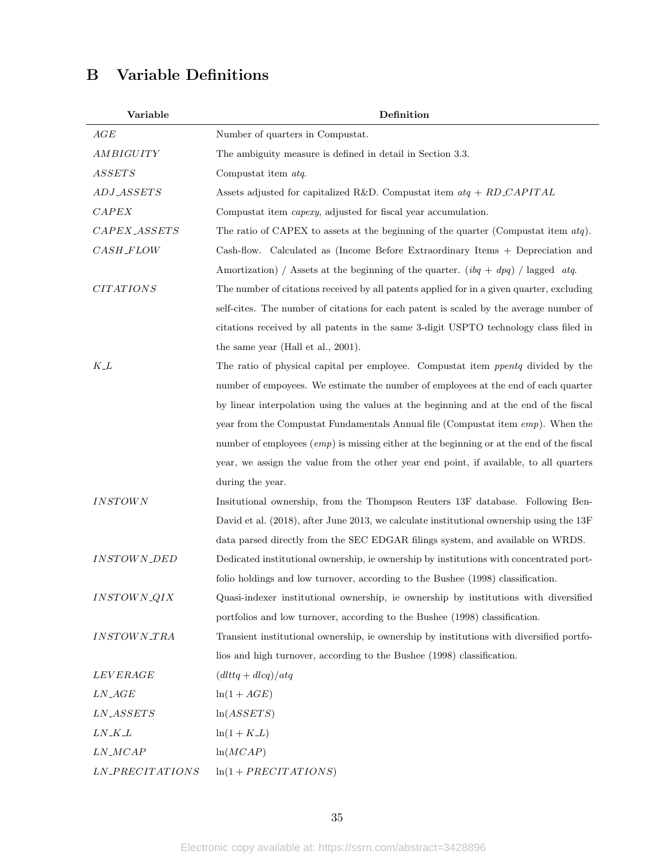# B Variable Definitions

| Variable                  | Definition                                                                                 |
|---------------------------|--------------------------------------------------------------------------------------------|
| AGE                       | Number of quarters in Compustat.                                                           |
| AMBIGUITY                 | The ambiguity measure is defined in detail in Section 3.3.                                 |
| <i>ASSETS</i>             | Compustat item atq.                                                                        |
| ADJ_ASSETS                | Assets adjusted for capitalized R&D. Compustat item $atq + RD\_CAPITAL$                    |
| CAPEX                     | Compustat item <i>capexy</i> , adjusted for fiscal year accumulation.                      |
| CAPEX_ASSETS              | The ratio of CAPEX to assets at the beginning of the quarter (Compustat item $atq$ ).      |
| $\it{CASH\_FLOW}$         | Cash-flow. Calculated as (Income Before Extraordinary Items + Depreciation and             |
|                           | Amortization) / Assets at the beginning of the quarter. $(ibq + dpq)$ / lagged atq.        |
| <b>CITATIONS</b>          | The number of citations received by all patents applied for in a given quarter, excluding  |
|                           | self-cites. The number of citations for each patent is scaled by the average number of     |
|                           | citations received by all patents in the same 3-digit USPTO technology class filed in      |
|                           | the same year (Hall et al., 2001).                                                         |
| $K\_L$                    | The ratio of physical capital per employee. Compustat item ppentq divided by the           |
|                           | number of empoyees. We estimate the number of employees at the end of each quarter         |
|                           | by linear interpolation using the values at the beginning and at the end of the fiscal     |
|                           | year from the Compustat Fundamentals Annual file (Compustat item $emp$ ). When the         |
|                           | number of employees $(emp)$ is missing either at the beginning or at the end of the fiscal |
|                           | year, we assign the value from the other year end point, if available, to all quarters     |
|                           | during the year.                                                                           |
| $INSTOWN$                 | Insitutional ownership, from the Thompson Reuters 13F database. Following Ben-             |
|                           | David et al. (2018), after June 2013, we calculate institutional ownership using the 13F   |
|                           | data parsed directly from the SEC EDGAR filings system, and available on WRDS.             |
| <b>INSTOWN_DED</b>        | Dedicated institutional ownership, ie ownership by institutions with concentrated port-    |
|                           | folio holdings and low turnover, according to the Bushee (1998) classification.            |
| INSTOWN_QIX               | Quasi-indexer institutional ownership, ie ownership by institutions with diversified       |
|                           | portfolios and low turnover, according to the Bushee (1998) classification.                |
| <i><b>INSTOWN_TRA</b></i> | Transient institutional ownership, ie ownership by institutions with diversified portfo-   |
|                           | lios and high turnover, according to the Bushee (1998) classification.                     |
| <i>LEVERAGE</i>           | $(dlttq + dlcq)/atq$                                                                       |
| $LN\_AGE$                 | $ln(1+AGE)$                                                                                |
| $\it LN\_ASSETS$          | ln(ASSETS)                                                                                 |
| $LN\_K\_L$                | $ln(1 + K_{-}L)$                                                                           |
| $LN\_MCAP$                | ln(MCAP)                                                                                   |
| LN_PRECITATIONS           | $ln(1 + PRECITATIONS)$                                                                     |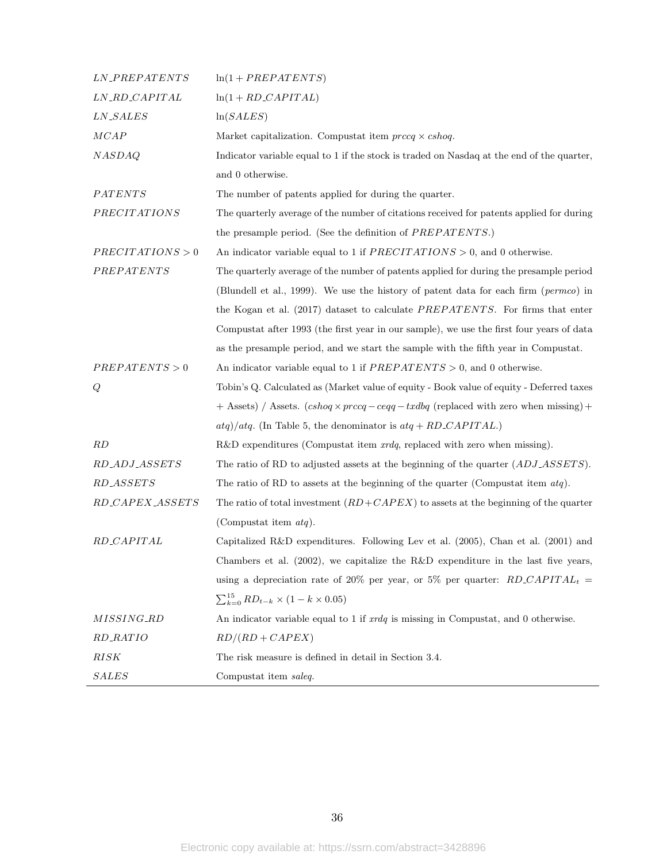| <i><b>LN_PREPATENTS</b></i> | $ln(1 + PREPATENTS)$                                                                          |
|-----------------------------|-----------------------------------------------------------------------------------------------|
| LN_RD_CAPITAL               | $ln(1 + RD \_ CAPITAL)$                                                                       |
| <b>LN_SALES</b>             | ln(SALES)                                                                                     |
| MCAP                        | Market capitalization. Compustat item $\text{precq} \times \text{cshoq}$ .                    |
| <b>NASDAQ</b>               | Indicator variable equal to 1 if the stock is traded on Nasdaq at the end of the quarter,     |
|                             | and 0 otherwise.                                                                              |
| PATENTS                     | The number of patents applied for during the quarter.                                         |
| <b>PRECITATIONS</b>         | The quarterly average of the number of citations received for patents applied for during      |
|                             | the presample period. (See the definition of PREPATENTS.)                                     |
| PRECITATIONS > 0            | An indicator variable equal to 1 if $PRECITATIONS > 0$ , and 0 otherwise.                     |
| $PREPARTENTS$               | The quarterly average of the number of patents applied for during the presample period        |
|                             | (Blundell et al., 1999). We use the history of patent data for each firm (permeo) in          |
|                             | the Kogan et al. (2017) dataset to calculate PREPATENTS. For firms that enter                 |
|                             | Compustat after 1993 (the first year in our sample), we use the first four years of data      |
|                             | as the presample period, and we start the sample with the fifth year in Compustat.            |
| PREPATENTS > 0              | An indicator variable equal to 1 if $PREPATENTS > 0$ , and 0 otherwise.                       |
| Q                           | Tobin's Q. Calculated as (Market value of equity - Book value of equity - Deferred taxes      |
|                             | $+$ Assets) / Assets. $(cshoq \times precq - ceqq -txdbq$ (replaced with zero when missing) + |
|                             | $atq)/atq$ . (In Table 5, the denominator is $atq + RD\_CAPITAL$ .)                           |
| RD                          | $R&D$ expenditures (Compustat item $xrdq$ , replaced with zero when missing).                 |
| RD_ADJ_ASSETS               | The ratio of RD to adjusted assets at the beginning of the quarter $(ADJ\_ASSETS)$ .          |
| RD_ASSETS                   | The ratio of RD to assets at the beginning of the quarter (Compustat item $atq$ ).            |
| RD_CAPEX_ASSETS             | The ratio of total investment $(RD + CAPEX)$ to assets at the beginning of the quarter        |
|                             | (Compustat item $atq$ ).                                                                      |
| RD_CAPITAL                  | Capitalized R&D expenditures. Following Lev et al. (2005), Chan et al. (2001) and             |
|                             | Chambers et al. $(2002)$ , we capitalize the R&D expenditure in the last five years,          |
|                             | using a depreciation rate of 20% per year, or 5% per quarter: $RD\_CAPITAL_t$                 |
|                             | $\sum_{k=0}^{15} RD_{t-k} \times (1 - k \times 0.05)$                                         |
| <i>MISSING_RD</i>           | An indicator variable equal to 1 if $xrdq$ is missing in Compustat, and 0 otherwise.          |
| <i>RD_RATIO</i>             | $RD/(RD + CAPEX)$                                                                             |
| RISK                        | The risk measure is defined in detail in Section 3.4.                                         |
| <b>SALES</b>                | Compustat item saleq.                                                                         |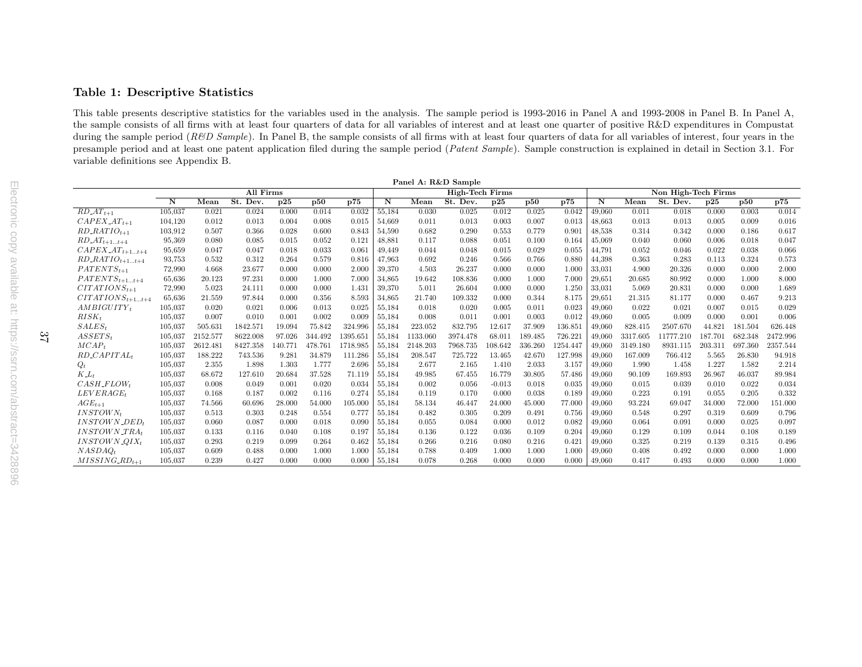# Table 1: Descriptive Statistics

This table presents descriptive statistics for the variables used in the analysis. The sample period is 1993-2016 in Panel A and 1993-2008 in Panel B. In Panel A, the sample consists of all firms with at least four quarters of data for all variables of interest and at least one quarter of positive R&D expenditures in Compustatduring the sample period ( $R\&D$  Sample). In Panel B, the sample consists of all firms with at least four quarters of data for all variables of interest, four years in the presample period and at least one patent application filed during the sample period (Patent Sample). Sample construction is explained in detail in Section 3.1. For variable definitions see Appendix B.

|                                          |                         |          |           |         |                |          | Panel A: R&D Sample     |          |                        |          |         |          |        |          |                     |         |         |          |
|------------------------------------------|-------------------------|----------|-----------|---------|----------------|----------|-------------------------|----------|------------------------|----------|---------|----------|--------|----------|---------------------|---------|---------|----------|
|                                          |                         |          | All Firms |         |                |          |                         |          | <b>High-Tech Firms</b> |          |         |          |        |          | Non High-Tech Firms |         |         |          |
|                                          | $\overline{\mathbf{N}}$ | Mean     | St. Dev.  | p25     | $\mathbf{p50}$ | p75      | $\overline{\mathbf{N}}$ | Mean     | St. Dev.               | p25      | p50     | p75      | N      | Mean     | St. Dev.            | p25     | p50     | p75      |
| $RD \_AT_{t+1}$                          | 105,037                 | 0.021    | 0.024     | 0.000   | 0.014          | 0.032    | 55,184                  | 0.030    | 0.025                  | 0.012    | 0.025   | 0.042    | 49,060 | 0.011    | 0.018               | 0.000   | 0.003   | 0.014    |
| $CAPEX \_AT_{t+1}$                       | 104,120                 | 0.012    | 0.013     | 0.004   | 0.008          | 0.015    | 54,669                  | 0.011    | 0.013                  | 0.003    | 0.007   | 0.013    | 48,663 | 0.013    | 0.013               | 0.005   | 0.009   | 0.016    |
| $RD\_RATIO_{t+1}$                        | 103,912                 | 0.507    | 0.366     | 0.028   | 0.600          | 0.843    | 54,590                  | 0.682    | 0.290                  | 0.553    | 0.779   | 0.901    | 48,538 | 0.314    | 0.342               | 0.000   | 0.186   | 0.617    |
| $RD\_AT_{t+1t+4}$                        | 95,369                  | 0.080    | 0.085     | 0.015   | 0.052          | 0.121    | 48,881                  | 0.117    | 0.088                  | 0.051    | 0.100   | 0.164    | 45,069 | 0.040    | 0.060               | 0.006   | 0.018   | 0.047    |
| $CAPEX \_AT_{t+1t+4}$                    | 95,659                  | 0.047    | 0.047     | 0.018   | 0.033          | 0.061    | 49,449                  | 0.044    | 0.048                  | 0.015    | 0.029   | 0.055    | 44,791 | 0.052    | 0.046               | 0.022   | 0.038   | 0.066    |
| $RD\_RATIO_{t+1t+4}$                     | 93,753                  | 0.532    | 0.312     | 0.264   | 0.579          | 0.816    | 47,963                  | 0.692    | 0.246                  | 0.566    | 0.766   | 0.880    | 44,398 | 0.363    | 0.283               | 0.113   | 0.324   | 0.573    |
| $PATENTS_{t+1}$                          | 72,990                  | 4.668    | 23.677    | 0.000   | 0.000          | 2.000    | 39,370                  | 4.503    | 26.237                 | 0.000    | 0.000   | 1.000    | 33.031 | 4.900    | 20.326              | 0.000   | 0.000   | 2.000    |
| $PATENTS_{t+1t+4}$                       | 65,636                  | 20.123   | 97.231    | 0.000   | 1.000          | 7.000    | 34,865                  | 19.642   | 108.836                | 0.000    | 1.000   | 7.000    | 29,651 | 20.685   | 80.992              | 0.000   | 1.000   | 8.000    |
| $CITATIONS_{t+1}$                        | 72,990                  | 5.023    | 24.111    | 0.000   | 0.000          | 1.431    | 39,370                  | 5.011    | 26.604                 | 0.000    | 0.000   | 1.250    | 33,031 | 5.069    | 20.831              | 0.000   | 0.000   | 1.689    |
| $CITATIONS_{t+1t+4}$                     | 65,636                  | 21.559   | 97.844    | 0.000   | 0.356          | 8.593    | 34,865                  | 21.740   | 109.332                | 0.000    | 0.344   | 8.175    | 29,651 | 21.315   | 81.177              | 0.000   | 0.467   | 9.213    |
| $AMBIGUITY_t$                            | 105,037                 | 0.020    | 0.021     | 0.006   | 0.013          | 0.025    | 55,184                  | 0.018    | 0.020                  | 0.005    | 0.011   | 0.023    | 49,060 | 0.022    | 0.021               | 0.007   | 0.015   | 0.029    |
| $RISK_t$                                 | 105,037                 | 0.007    | 0.010     | 0.001   | 0.002          | 0.009    | 55,184                  | 0.008    | 0.011                  | 0.001    | 0.003   | 0.012    | 49,060 | 0.005    | 0.009               | 0.000   | 0.001   | 0.006    |
| $SALES_t$                                | 105,037                 | 505.631  | 1842.571  | 19.094  | 75.842         | 324.996  | 55,184                  | 223.052  | 832.795                | 12.617   | 37.909  | 136.851  | 49,060 | 828.415  | 2507.670            | 44.821  | 181.504 | 626.448  |
| $ASSETS_t$                               | 105,037                 | 2152.577 | 8622.008  | 97.026  | 344.492        | 1395.651 | 55,184                  | 1133.060 | 3974.478               | 68.011   | 189.485 | 726.221  | 49,060 | 3317.605 | 11777.210           | 187.701 | 682.348 | 2472.996 |
| $MCAP_t$                                 | 105,037                 | 2612.481 | 8427.358  | 140.771 | 478.761        | 1718.985 | 55,184                  | 2148.203 | 7968.735               | 108.642  | 336.260 | 1254.447 | 49,060 | 3149.180 | 8931.115            | 203.31  | 697.360 | 2357.544 |
| $RD\_CAPITAL_t$                          | 105,037                 | 188.222  | 743.536   | 9.281   | 34.879         | 111.286  | 55,184                  | 208.547  | 725.722                | 13.465   | 42.670  | 127.998  | 49,060 | 167.009  | 766.412             | 5.565   | 26.830  | 94.918   |
| $Q_t$                                    | 105,037                 | 2.355    | 1.898     | 1.303   | 1.777          | 2.696    | 55,184                  | 2.677    | 2.165                  | 1.410    | 2.033   | 3.157    | 49,060 | 1.990    | 1.458               | 1.227   | 1.582   | 2.214    |
| $K_{-L_t}$                               | 105,037                 | 68.672   | 127.610   | 20.684  | 37.528         | 71.119   | 55,184                  | 49.985   | 67.455                 | 16.779   | 30.805  | 57.486   | 49.060 | 90.109   | 169.893             | 26.967  | 46.037  | 89.984   |
| $CASH$ <sub>-FLOWt</sub>                 | 105,037                 | 0.008    | 0.049     | 0.001   | 0.020          | 0.034    | 55,184                  | 0.002    | 0.056                  | $-0.013$ | 0.018   | 0.035    | 49,060 | 0.015    | 0.039               | 0.010   | 0.022   | 0.034    |
| $LEVERAGE_t$                             | 105,037                 | 0.168    | 0.187     | 0.002   | 0.116          | 0.274    | 55,184                  | 0.119    | 0.170                  | 0.000    | 0.038   | 0.189    | 49,060 | 0.223    | 0.191               | 0.055   | 0.205   | 0.332    |
| $AGE_{t+1}$                              | 105,037                 | 74.566   | 60.696    | 28.000  | 54.000         | 105.000  | 55,184                  | 58.134   | 46.447                 | 24.000   | 45.000  | 77.000   | 49,060 | 93.224   | 69.047              | 34.000  | 72.000  | 151.000  |
| $INSTOWN_t$                              | 105,037                 | 0.513    | 0.303     | 0.248   | 0.554          | 0.777    | 55,184                  | 0.482    | 0.305                  | 0.209    | 0.491   | 0.756    | 49,060 | 0.548    | 0.297               | 0.319   | 0.609   | 0.796    |
| $INSTOWN$ <sub>-</sub> $DED_t$           | 105,037                 | 0.060    | 0.087     | 0.000   | 0.018          | 0.090    | 55,184                  | 0.055    | 0.084                  | 0.000    | 0.012   | 0.082    | 49,060 | 0.064    | 0.091               | 0.000   | 0.025   | 0.097    |
| <b>INSTOWN_TRAt</b>                      | 105,037                 | 0.133    | 0.116     | 0.040   | 0.108          | 0.197    | 55,184                  | 0.136    | 0.122                  | 0.036    | 0.109   | 0.204    | 49.060 | 0.129    | 0.109               | 0.044   | 0.108   | 0.189    |
| $INSTOWN$ <sub>-<math>QIX_t</math></sub> | 105,037                 | 0.293    | 0.219     | 0.099   | 0.264          | 0.462    | 55,184                  | 0.266    | 0.216                  | 0.080    | 0.216   | 0.421    | 49,060 | 0.325    | 0.219               | 0.139   | 0.315   | 0.496    |
| NASDAO <sub>t</sub>                      | 105,037                 | 0.609    | 0.488     | 0.000   | 1.000          | 1.000    | 55,184                  | 0.788    | 0.409                  | 1.000    | 1.000   | 1.000    | 49,060 | 0.408    | 0.492               | 0.000   | 0.000   | 1.000    |
| $MISSING$ <sub>-RD<sub>t+1</sub></sub>   | 105,037                 | 0.239    | 0.427     | 0.000   | 0.000          | 0.000    | 55,184                  | 0.078    | 0.268                  | 0.000    | 0.000   | 0.000    | 49,060 | 0.417    | 0.493               | 0.000   | 0.000   | 1.000    |
|                                          |                         |          |           |         |                |          |                         |          |                        |          |         |          |        |          |                     |         |         |          |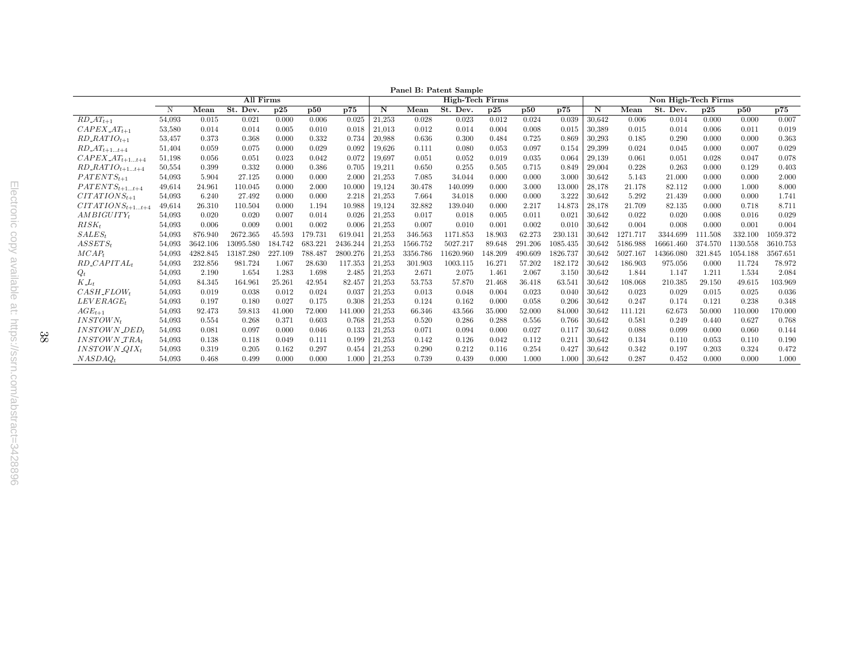|                                      | Panel B: Patent Sample |          |           |         |         |          |        |          |                        |         |         |          |        |          |                     |         |          |          |
|--------------------------------------|------------------------|----------|-----------|---------|---------|----------|--------|----------|------------------------|---------|---------|----------|--------|----------|---------------------|---------|----------|----------|
|                                      |                        |          | All Firms |         |         |          |        |          | <b>High-Tech Firms</b> |         |         |          |        |          | Non High-Tech Firms |         |          |          |
|                                      | N                      | Mean     | St. Dev.  | p25     | p50     | p75      | N      | Mean     | St. Dev.               | p25     | p50     | p75      | N      | Mean     | St. Dev.            | p25     | p50      | p75      |
| $RD\_AT_{t+1}$                       | 54,093                 | 0.015    | 0.021     | 0.000   | 0.006   | 0.025    | 21,253 | 0.028    | 0.023                  | 0.012   | 0.024   | 0.039    | 30,642 | 0.006    | 0.014               | 0.000   | 0.000    | 0.007    |
| $CAPEX \_AT_{t+1}$                   | 53,580                 | 0.014    | 0.014     | 0.005   | 0.010   | 0.018    | 21,013 | 0.012    | 0.014                  | 0.004   | 0.008   | 0.015    | 30,389 | 0.015    | 0.014               | 0.006   | 0.011    | 0.019    |
| $RD\_RATIO_{t+1}$                    | 53,457                 | 0.373    | 0.368     | 0.000   | 0.332   | 0.734    | 20,988 | 0.636    | 0.300                  | 0.484   | 0.725   | 0.869    | 30,293 | 0.185    | 0.290               | 0.000   | 0.000    | 0.363    |
| $RD\_AT_{t+1t+4}$                    | 51,404                 | 0.059    | 0.075     | 0.000   | 0.029   | 0.092    | 19,626 | 0.111    | 0.080                  | 0.053   | 0.097   | 0.154    | 29,399 | 0.024    | 0.045               | 0.000   | 0.007    | 0.029    |
| $CAPEX \_AT_{t+1t+4}$                | 51,198                 | 0.056    | 0.051     | 0.023   | 0.042   | 0.072    | 19,697 | 0.051    | 0.052                  | 0.019   | 0.035   | 0.064    | 29,139 | 0.061    | 0.051               | 0.028   | 0.047    | 0.078    |
| $RD\_RATIO_{t+1t+4}$                 | 50,554                 | 0.399    | 0.332     | 0.000   | 0.386   | 0.705    | 19,211 | 0.650    | 0.255                  | 0.505   | 0.715   | 0.849    | 29,004 | 0.228    | 0.263               | 0.000   | 0.129    | 0.403    |
| $PATENTS_{t+1}$                      | 54,093                 | 5.904    | 27.125    | 0.000   | 0.000   | 2.000    | 21,253 | 7.085    | 34.044                 | 0.000   | 0.000   | 3.000    | 30,642 | 5.143    | 21.000              | 0.000   | 0.000    | 2.000    |
| $PATENTS_{t+1t+4}$                   | 49,614                 | 24.961   | 110.045   | 0.000   | 2.000   | 10.000   | 19,124 | 30.478   | 140.099                | 0.000   | 3.000   | 13.000   | 28,178 | 21.178   | 82.112              | 0.000   | 1.000    | 8.000    |
| $CITATIONS_{t+1}$                    | 54,093                 | 6.240    | 27.492    | 0.000   | 0.000   | 2.218    | 21,253 | 7.664    | 34.018                 | 0.000   | 0.000   | 3.222    | 30,642 | 5.292    | 21.439              | 0.000   | 0.000    | 1.741    |
| $CITATIONS_{t+1t+4}$                 | 49,614                 | 26.310   | 110.504   | 0.000   | 1.194   | 10.988   | 19,124 | 32.882   | 139.040                | 0.000   | 2.217   | 14.873   | 28,178 | 21.709   | 82.135              | 0.000   | 0.718    | 8.711    |
| $AMBIGUITY_t$                        | 54,093                 | 0.020    | 0.020     | 0.007   | 0.014   | 0.026    | 21,253 | 0.017    | 0.018                  | 0.005   | 0.011   | 0.021    | 30,642 | 0.022    | 0.020               | 0.008   | 0.016    | 0.029    |
| $RISK_t$                             | 54,093                 | 0.006    | 0.009     | 0.001   | 0.002   | 0.006    | 21,253 | 0.007    | 0.010                  | 0.001   | 0.002   | 0.010    | 30,642 | 0.004    | 0.008               | 0.000   | 0.001    | 0.004    |
| $SALES_t$                            | 54,093                 | 876.940  | 2672.365  | 45.593  | 179.731 | 619.041  | 21,253 | 346.563  | 1171.853               | 18.903  | 62.273  | 230.131  | 30,642 | 1271.717 | 3344.699            | 111.508 | 332.100  | 1059.372 |
| $ASSETS_t$                           | 54,093                 | 3642.106 | 13095.580 | 184.742 | 683.221 | 2436.244 | 21,253 | 1566.752 | 5027.217               | 89.648  | 291.206 | 1085.435 | 30,642 | 5186.988 | 16661.460           | 374.570 | 1130.558 | 3610.753 |
| $MCAP_t$                             | 54,093                 | 4282.845 | 13187.280 | 227.109 | 788.487 | 2800.276 | 21,253 | 3356.786 | 11620.960              | 148.209 | 490.609 | 1826.737 | 30.642 | 5027.167 | 14366.080           | 321.845 | 1054.188 | 3567.651 |
| $RD$ <sub>-CAPITAL<sub>t</sub></sub> | 54,093                 | 232.856  | 981.724   | 1.067   | 28.630  | 117.353  | 21,253 | 301.903  | 1003.115               | 16.271  | 57.202  | 182.172  | 30,642 | 186.903  | 975.056             | 0.000   | 11.724   | 78.972   |
| $Q_t$                                | 54,093                 | 2.190    | 1.654     | 1.283   | 1.698   | 2.485    | 21,253 | 2.671    | 2.075                  | 1.461   | 2.067   | 3.150    | 30,642 | 1.844    | 1.147               | 1.211   | 1.534    | 2.084    |
| $K_{-}L_{t}$                         | 54,093                 | 84.345   | 164.961   | 25.261  | 42.954  | 82.457   | 21,253 | 53.753   | 57.870                 | 21.468  | 36.418  | 63.541   | 30,642 | 108.068  | 210.385             | 29.150  | 49.615   | 103.969  |
| $CASH$ <sub>-FLOW<sup>+</sup></sub>  | 54,093                 | 0.019    | 0.038     | 0.012   | 0.024   | 0.037    | 21,253 | 0.013    | 0.048                  | 0.004   | 0.023   | 0.040    | 30.642 | 0.023    | 0.029               | 0.015   | 0.025    | 0.036    |
| LEVERAGE <sub>t</sub>                | 54,093                 | 0.197    | 0.180     | 0.027   | 0.175   | 0.308    | 21,253 | 0.124    | 0.162                  | 0.000   | 0.058   | 0.206    | 30,642 | 0.247    | 0.174               | 0.121   | 0.238    | 0.348    |
| $AGE_{t+1}$                          | 54,093                 | 92.473   | 59.813    | 41.000  | 72.000  | 141.000  | 21,253 | 66.346   | 43.566                 | 35.000  | 52.000  | 84.000   | 30,642 | 111.121  | 62.673              | 50.000  | 110.000  | 170.000  |
| $INSTOWN_t$                          | 54,093                 | 0.554    | 0.268     | 0.371   | 0.603   | 0.768    | 21,253 | 0.520    | 0.286                  | 0.288   | 0.556   | 0.766    | 30,642 | 0.581    | 0.249               | 0.440   | 0.627    | 0.768    |
| INSTOWN_DED+                         | 54,093                 | 0.081    | 0.097     | 0.000   | 0.046   | 0.133    | 21,253 | 0.071    | 0.094                  | 0.000   | 0.027   | 0.117    | 30.642 | 0.088    | 0.099               | 0.000   | 0.060    | 0.144    |
| <b>INSTOWN_TRA</b>                   | 54,093                 | 0.138    | 0.118     | 0.049   | 0.111   | 0.199    | 21,253 | 0.142    | 0.126                  | 0.042   | 0.112   | 0.211    | 30,642 | 0.134    | 0.110               | 0.053   | 0.110    | 0.190    |
| $INSTOWN_2OIX_t$                     | 54,093                 | 0.319    | 0.205     | 0.162   | 0.297   | 0.454    | 21,253 | 0.290    | 0.212                  | 0.116   | 0.254   | 0.427    | 30,642 | 0.342    | 0.197               | 0.203   | 0.324    | 0.472    |
| $NASDAO_t$                           | 54,093                 | 0.468    | 0.499     | 0.000   | 0.000   | 1.000    | 21,253 | 0.739    | 0.439                  | 0.000   | 1.000   | 1.000    | 30,642 | 0.287    | 0.452               | 0.000   | 0.000    | 1.000    |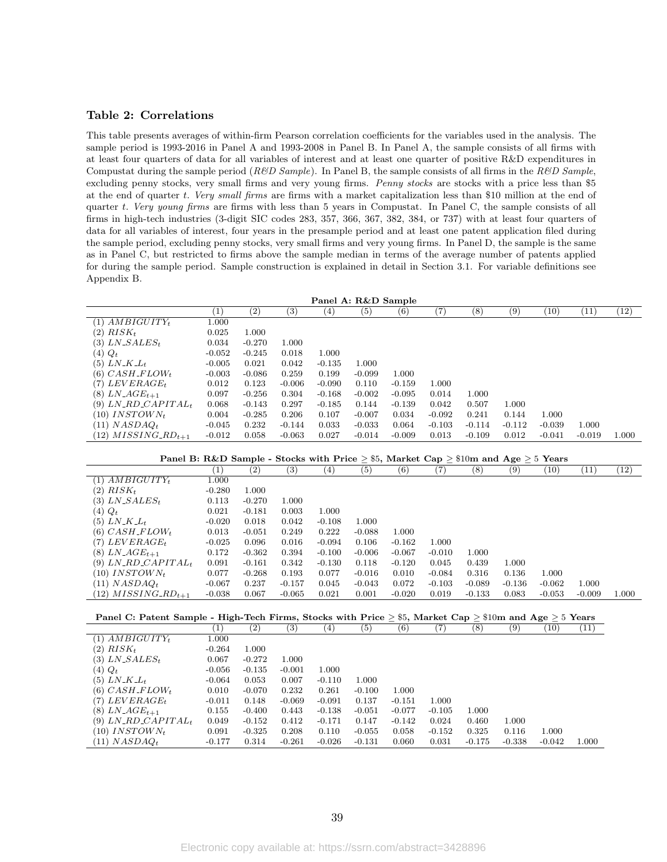#### Table 2: Correlations

This table presents averages of within-firm Pearson correlation coefficients for the variables used in the analysis. The sample period is 1993-2016 in Panel A and 1993-2008 in Panel B. In Panel A, the sample consists of all firms with at least four quarters of data for all variables of interest and at least one quarter of positive R&D expenditures in Compustat during the sample period ( $R\&D$  Sample). In Panel B, the sample consists of all firms in the  $R\&D$  Sample, excluding penny stocks, very small firms and very young firms. Penny stocks are stocks with a price less than \$5 at the end of quarter t. Very small firms are firms with a market capitalization less than \$10 million at the end of quarter t. Very young firms are firms with less than  $5$  years in Compustat. In Panel C, the sample consists of all firms in high-tech industries (3-digit SIC codes 283, 357, 366, 367, 382, 384, or 737) with at least four quarters of data for all variables of interest, four years in the presample period and at least one patent application filed during the sample period, excluding penny stocks, very small firms and very young firms. In Panel D, the sample is the same as in Panel C, but restricted to firms above the sample median in terms of the average number of patents applied for during the sample period. Sample construction is explained in detail in Section 3.1. For variable definitions see Appendix B.

| Panel A: R&D Sample                           |                   |          |          |          |          |          |          |          |                   |          |          |       |
|-----------------------------------------------|-------------------|----------|----------|----------|----------|----------|----------|----------|-------------------|----------|----------|-------|
|                                               | $\left( 1\right)$ | (2)      | (3)      | (4)      | (5)      | (6)      | (7)      | $^{(8)}$ | $\left( 9\right)$ | (10)     | (11)     | (12)  |
| $(1)$ $AMBIGUITY_t$                           | 1.000             |          |          |          |          |          |          |          |                   |          |          |       |
| $(2)$ $RISK_t$                                | 0.025             | 1.000    |          |          |          |          |          |          |                   |          |          |       |
| (3) $LN\_SALES_t$                             | 0.034             | $-0.270$ | 1.000    |          |          |          |          |          |                   |          |          |       |
| $(4)$ $Q_t$                                   | $-0.052$          | $-0.245$ | 0.018    | 1.000    |          |          |          |          |                   |          |          |       |
| $(5)$ LN_K_L <sub>t</sub>                     | $-0.005$          | 0.021    | 0.042    | $-0.135$ | 1.000    |          |          |          |                   |          |          |       |
| (6) $CASH$ <sub>-FLOWt</sub>                  | $-0.003$          | $-0.086$ | 0.259    | 0.199    | $-0.099$ | 1.000    |          |          |                   |          |          |       |
| (7) $LEVERAGE_t$                              | 0.012             | 0.123    | $-0.006$ | $-0.090$ | 0.110    | $-0.159$ | 1.000    |          |                   |          |          |       |
| $(8)$ LN_AGE <sub>t+1</sub>                   | 0.097             | $-0.256$ | 0.304    | $-0.168$ | $-0.002$ | $-0.095$ | 0.014    | 1.000    |                   |          |          |       |
| (9) $LN$ <sub>-RD</sub> -CAPITAL <sub>t</sub> | 0.068             | $-0.143$ | 0.297    | $-0.185$ | 0.144    | $-0.139$ | 0.042    | 0.507    | 1.000             |          |          |       |
| $(10)$ INSTOWN <sub>t</sub>                   | 0.004             | $-0.285$ | 0.206    | 0.107    | $-0.007$ | 0.034    | $-0.092$ | 0.241    | 0.144             | 1.000    |          |       |
| $(11)$ NASDAQ <sub>t</sub>                    | $-0.045$          | 0.232    | $-0.144$ | 0.033    | $-0.033$ | 0.064    | $-0.103$ | $-0.114$ | $-0.112$          | $-0.039$ | 1.000    |       |
| $(12)$ MISSING <sub>-RD<sub>t+1</sub></sub>   | $-0.012$          | 0.058    | $-0.063$ | 0.027    | $-0.014$ | $-0.009$ | 0.013    | $-0.109$ | 0.012             | $-0.041$ | $-0.019$ | 1.000 |

|                                               |                              | Panel B: R&D Sample - Stocks with Price > \$5, Market Cap > \$10m and Age > 5 Years |          |          |          |          |          |          |          |          |          |       |
|-----------------------------------------------|------------------------------|-------------------------------------------------------------------------------------|----------|----------|----------|----------|----------|----------|----------|----------|----------|-------|
|                                               | $\left\lceil 1 \right\rceil$ | $\left( 2\right)$                                                                   | (3)      | .4)      | (5)      | (6)      | 7        | (8)      | (9)      | (10)     | (11)     | (12)  |
| $(1)$ $AMBIGUITY_t$                           | 1.000                        |                                                                                     |          |          |          |          |          |          |          |          |          |       |
| $(2)$ $RISK_t$                                | $-0.280$                     | 1.000                                                                               |          |          |          |          |          |          |          |          |          |       |
| (3) LN_SALES $_t$                             | 0.113                        | $-0.270$                                                                            | 1.000    |          |          |          |          |          |          |          |          |       |
| $(4)$ $Q_t$                                   | 0.021                        | $-0.181$                                                                            | 0.003    | 1.000    |          |          |          |          |          |          |          |       |
| $(5)$ LN_K_L <sub>t</sub>                     | $-0.020$                     | 0.018                                                                               | 0.042    | $-0.108$ | 1.000    |          |          |          |          |          |          |       |
| $(6)$ CASH_FLOW <sub>t</sub>                  | 0.013                        | $-0.051$                                                                            | 0.249    | 0.222    | $-0.088$ | 1.000    |          |          |          |          |          |       |
| (7) $LEVERAGE_t$                              | $-0.025$                     | 0.096                                                                               | 0.016    | $-0.094$ | 0.106    | $-0.162$ | 1.000    |          |          |          |          |       |
| $(8)$ LN_AGE <sub>t+1</sub>                   | 0.172                        | $-0.362$                                                                            | 0.394    | $-0.100$ | $-0.006$ | $-0.067$ | $-0.010$ | 1.000    |          |          |          |       |
| (9) $LN$ <sub>-RD</sub> _CAPITAL <sub>t</sub> | 0.091                        | $-0.161$                                                                            | 0.342    | $-0.130$ | 0.118    | $-0.120$ | 0.045    | 0.439    | 1.000    |          |          |       |
| $(10)$ INSTOWN <sub>t</sub>                   | 0.077                        | $-0.268$                                                                            | 0.193    | 0.077    | $-0.016$ | 0.010    | $-0.084$ | 0.316    | 0.136    | 1.000    |          |       |
| $(11)$ $NASDAQ_t$                             | $-0.067$                     | 0.237                                                                               | $-0.157$ | 0.045    | $-0.043$ | 0.072    | $-0.103$ | $-0.089$ | $-0.136$ | $-0.062$ | 1.000    |       |
| $(12)$ MISSING <sub>-RD<sub>t+1</sub></sub>   | $-0.038$                     | 0.067                                                                               | $-0.065$ | 0.021    | 0.001    | $-0.020$ | 0.019    | $-0.133$ | 0.083    | $-0.053$ | $-0.009$ | 1.000 |

| Panel C: Patent Sample - High-Tech Firms, Stocks with Price $>$ \$5, Market Cap $>$ \$10m and Age $>$ 5 Years |                  |          |                   |          |                   |              |          |          |          |          |       |
|---------------------------------------------------------------------------------------------------------------|------------------|----------|-------------------|----------|-------------------|--------------|----------|----------|----------|----------|-------|
|                                                                                                               | $\left(1\right)$ | (2)      | $\left( 3\right)$ | (4)      | $\left( 5\right)$ | $^{\rm (6)}$ | (7       | (8)      | (9)      | (10)     | (11)  |
| $(1)$ AMBIGUITY <sub>t</sub>                                                                                  | 1.000            |          |                   |          |                   |              |          |          |          |          |       |
| $(2)$ $RISK_t$                                                                                                | $-0.264$         | 1.000    |                   |          |                   |              |          |          |          |          |       |
| $(3)$ LN_SALES <sub>t</sub>                                                                                   | 0.067            | $-0.272$ | 1.000             |          |                   |              |          |          |          |          |       |
| $(4)$ $Q_t$                                                                                                   | $-0.056$         | $-0.135$ | $-0.001$          | 1.000    |                   |              |          |          |          |          |       |
| $(5)$ LN_K_L <sub>t</sub>                                                                                     | $-0.064$         | 0.053    | 0.007             | $-0.110$ | 1.000             |              |          |          |          |          |       |
| $(6)$ CASH_FLOW <sub>t</sub>                                                                                  | 0.010            | $-0.070$ | 0.232             | 0.261    | $-0.100$          | 1.000        |          |          |          |          |       |
| $(7)$ LEVERAGE <sub>t</sub>                                                                                   | $-0.011$         | 0.148    | $-0.069$          | $-0.091$ | 0.137             | $-0.151$     | 1.000    |          |          |          |       |
| $(8)$ LN_AGE <sub>t+1</sub>                                                                                   | 0.155            | $-0.400$ | 0.443             | $-0.138$ | $-0.051$          | $-0.077$     | $-0.105$ | 1.000    |          |          |       |
| (9) $LN$ <sub>-RD</sub> _CAPITAL <sub>t</sub>                                                                 | 0.049            | $-0.152$ | 0.412             | $-0.171$ | 0.147             | $-0.142$     | 0.024    | 0.460    | 1.000    |          |       |
| $(10)$ INSTOWN <sub>t</sub>                                                                                   | 0.091            | $-0.325$ | 0.208             | 0.110    | $-0.055$          | 0.058        | $-0.152$ | 0.325    | 0.116    | 1.000    |       |
| $(11)$ $NASDAOt$                                                                                              | $-0.177$         | 0.314    | $-0.261$          | $-0.026$ | $-0.131$          | 0.060        | 0.031    | $-0.175$ | $-0.338$ | $-0.042$ | 1.000 |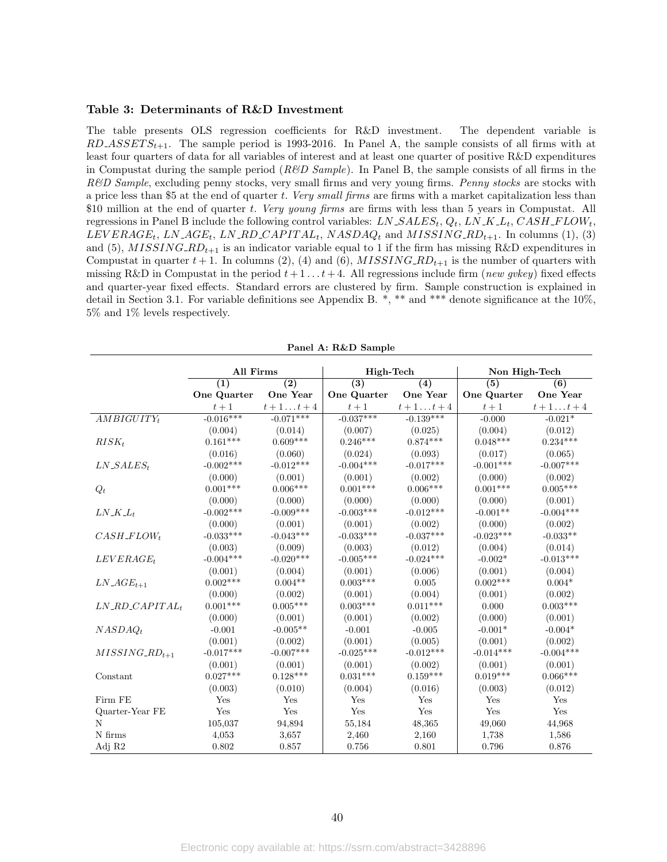#### Table 3: Determinants of R&D Investment

The table presents OLS regression coefficients for R&D investment. The dependent variable is  $RD\_ASSET S_{t+1}$ . The sample period is 1993-2016. In Panel A, the sample consists of all firms with at least four quarters of data for all variables of interest and at least one quarter of positive R&D expenditures in Compustat during the sample period ( $R\&D$  Sample). In Panel B, the sample consists of all firms in the R&D Sample, excluding penny stocks, very small firms and very young firms. Penny stocks are stocks with a price less than \$5 at the end of quarter t. Very small firms are firms with a market capitalization less than \$10 million at the end of quarter t. Very young firms are firms with less than 5 years in Compustat. All regressions in Panel B include the following control variables:  $LN\_SALES_t$ ,  $Q_t$ ,  $LN\_K\_L_t$ ,  $CASH\_FLOW_t$ ,  $LEVERAGE_t$ ,  $LN\_AGE_t$ ,  $LN\_RD\_CAPITAL_t$ ,  $NASDAQ_t$  and  $MISSING\_RD_{t+1}$ . In columns (1), (3) and (5),  $MISSING-RD_{t+1}$  is an indicator variable equal to 1 if the firm has missing R&D expenditures in Compustat in quarter  $t + 1$ . In columns (2), (4) and (6), MISSING RD<sub>t+1</sub> is the number of quarters with missing R&D in Compustat in the period  $t + 1 \dots t + 4$ . All regressions include firm (*new gvkey*) fixed effects and quarter-year fixed effects. Standard errors are clustered by firm. Sample construction is explained in detail in Section 3.1. For variable definitions see Appendix B. \*, \*\* and \*\*\* denote significance at the 10%, 5% and 1% levels respectively.

|                                 | All Firms   |                  | High-Tech   |                  | Non High-Tech |                  |
|---------------------------------|-------------|------------------|-------------|------------------|---------------|------------------|
|                                 | (1)         | $\overline{(2)}$ | (3)         | (4)              | (5)           | (6)              |
|                                 | One Quarter | One Year         | One Quarter | <b>One Year</b>  | One Quarter   | One Year         |
|                                 | $t+1\,$     | $t+1 \ldots t+4$ | $t+1\,$     | $t+1 \ldots t+4$ | $t+1$         | $t+1 \ldots t+4$ |
| $AMBIGUITY_t$                   | $-0.016***$ | $-0.071***$      | $-0.037***$ | $-0.139***$      | $-0.000$      | $-0.021*$        |
|                                 | (0.004)     | (0.014)          | (0.007)     | (0.025)          | (0.004)       | (0.012)          |
| $RISK_t$                        | $0.161***$  | $0.609***$       | $0.246***$  | $0.874***$       | $0.048***$    | $0.234***$       |
|                                 | (0.016)     | (0.060)          | (0.024)     | (0.093)          | (0.017)       | (0.065)          |
| $LN\_SALES_t$                   | $-0.002***$ | $-0.012***$      | $-0.004***$ | $-0.017***$      | $-0.001$ ***  | $-0.007***$      |
|                                 | (0.000)     | (0.001)          | (0.001)     | (0.002)          | (0.000)       | (0.002)          |
| $Q_t$                           | $0.001***$  | $0.006***$       | $0.001***$  | $0.006***$       | $0.001***$    | $0.005***$       |
|                                 | (0.000)     | (0.000)          | (0.000)     | (0.000)          | (0.000)       | (0.001)          |
| $LN\_K\_L_t$                    | $-0.002***$ | $-0.009***$      | $-0.003***$ | $-0.012***$      | $-0.001**$    | $-0.004***$      |
|                                 | (0.000)     | (0.001)          | (0.001)     | (0.002)          | (0.000)       | (0.002)          |
| $CASH$ <sub>-FLOWt</sub>        | $-0.033***$ | $-0.043***$      | $-0.033***$ | $-0.037***$      | $-0.023***$   | $-0.033**$       |
|                                 | (0.003)     | (0.009)          | (0.003)     | (0.012)          | (0.004)       | (0.014)          |
| $LEVERAGE_t$                    | $-0.004***$ | $-0.020***$      | $-0.005***$ | $-0.024***$      | $-0.002*$     | $-0.013***$      |
|                                 | (0.001)     | (0.004)          | (0.001)     | (0.006)          | (0.001)       | (0.004)          |
| $LN\_AGE_{t+1}$                 | $0.002***$  | $0.004**$        | $0.003***$  | 0.005            | $0.002***$    | $0.004*$         |
|                                 | (0.000)     | (0.002)          | (0.001)     | (0.004)          | (0.001)       | (0.002)          |
| $LN$ <sub>-RD</sub> $CAPITAL_t$ | $0.001***$  | $0.005***$       | $0.003***$  | $0.011***$       | 0.000         | $0.003***$       |
|                                 | (0.000)     | (0.001)          | (0.001)     | (0.002)          | (0.000)       | (0.001)          |
| $NASDAQ_t$                      | $-0.001$    | $-0.005**$       | $-0.001$    | $-0.005$         | $-0.001*$     | $-0.004*$        |
|                                 | (0.001)     | (0.002)          | (0.001)     | (0.005)          | (0.001)       | (0.002)          |
| $MISSING_RD_{t+1}$              | $-0.017***$ | $-0.007***$      | $-0.025***$ | $-0.012***$      | $-0.014***$   | $-0.004***$      |
|                                 | (0.001)     | (0.001)          | (0.001)     | (0.002)          | (0.001)       | (0.001)          |
| Constant                        | $0.027***$  | $0.128***$       | $0.031***$  | $0.159***$       | $0.019***$    | $0.066***$       |
|                                 | (0.003)     | (0.010)          | (0.004)     | (0.016)          | (0.003)       | (0.012)          |
| Firm FE                         | Yes         | Yes              | Yes         | Yes              | Yes           | Yes              |
| Quarter-Year FE                 | Yes         | Yes              | Yes         | Yes              | Yes           | Yes              |
| N                               | 105,037     | 94,894           | 55,184      | 48,365           | 49,060        | 44,968           |
| N firms                         | 4,053       | 3.657            | 2,460       | 2,160            | 1,738         | 1,586            |
| Adj R2                          | 0.802       | 0.857            | 0.756       | 0.801            | 0.796         | 0.876            |

Panel A: R&D Sample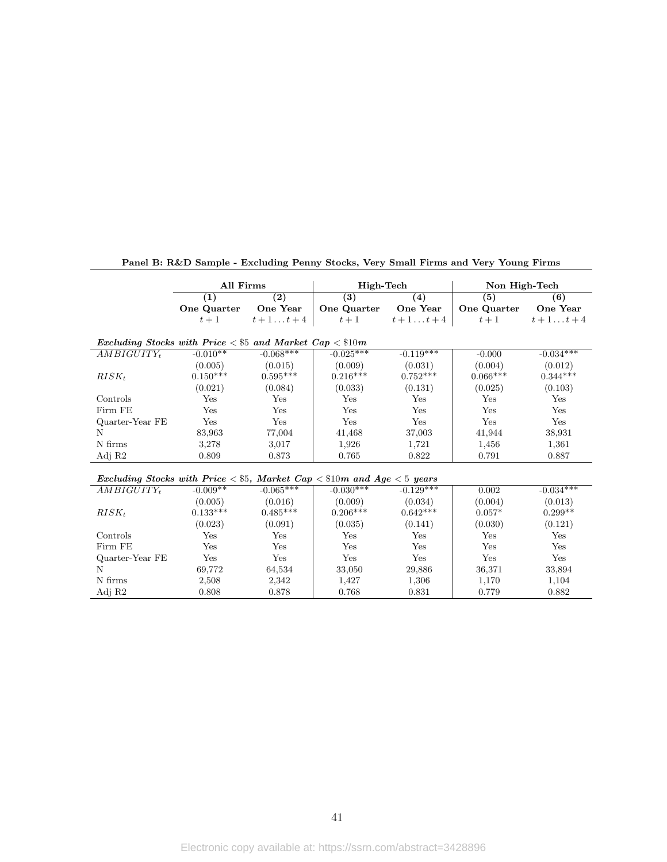|                                                                                     | All Firms   |                  | High-Tech        |                   | Non High-Tech |                  |  |  |
|-------------------------------------------------------------------------------------|-------------|------------------|------------------|-------------------|---------------|------------------|--|--|
|                                                                                     | (1)         | $\overline{(2)}$ | $\overline{(3)}$ | $\left( 4\right)$ | (5)           | (6)              |  |  |
|                                                                                     | One Quarter | One Year         | One Quarter      | One Year          | One Quarter   | One Year         |  |  |
|                                                                                     | $t+1$       | $t+1 \ldots t+4$ | $t+1$            | $t+1 \ldots t+4$  | $t+1$         | $t+1 \ldots t+4$ |  |  |
| Excluding Stocks with Price $\lt$ \$5 and Market Cap $\lt$ \$10m                    |             |                  |                  |                   |               |                  |  |  |
| $AMBIGUITY_t$                                                                       | $-0.010**$  | $-0.068***$      | $-0.025***$      | $-0.119***$       | $-0.000$      | $-0.034***$      |  |  |
|                                                                                     | (0.005)     | (0.015)          | (0.009)          | (0.031)           | (0.004)       | (0.012)          |  |  |
| $RISK_t$                                                                            | $0.150***$  | $0.595***$       | $0.216***$       | $0.752***$        | $0.066***$    | $0.344***$       |  |  |
|                                                                                     | (0.021)     | (0.084)          | (0.033)          | (0.131)           | (0.025)       | (0.103)          |  |  |
| Controls                                                                            | Yes         | Yes              | Yes              | Yes               | Yes           | Yes              |  |  |
| Firm FE                                                                             | Yes         | Yes              | Yes              | Yes               | Yes           | Yes              |  |  |
| Quarter-Year FE                                                                     | Yes         | Yes              | Yes              | Yes               | Yes           | Yes              |  |  |
| N                                                                                   | 83,963      | 77,004           | 41,468           | 37,003            | 41,944        | 38,931           |  |  |
| N firms                                                                             | 3,278       | 3,017            | 1,926            | 1,721             | 1,456         | 1,361            |  |  |
| Adj R2                                                                              | 0.809       | 0.873            | 0.765            | 0.822             | 0.791         | 0.887            |  |  |
| Excluding Stocks with Price $\lt$ \$5, Market Cap $\lt$ \$10m and Age $\lt$ 5 years |             |                  |                  |                   |               |                  |  |  |
| $AMBIGUITY_t$                                                                       | $-0.009**$  | $-0.065***$      | $-0.030***$      | $-0.129***$       | 0.002         | $-0.034***$      |  |  |
|                                                                                     | (0.005)     | (0.016)          | (0.009)          | (0.034)           | (0.004)       | (0.013)          |  |  |
| $RISK_t$                                                                            | $0.133***$  | $0.485***$       | $0.206***$       | $0.642***$        | $0.057*$      | $0.299**$        |  |  |
|                                                                                     | (0.023)     | (0.091)          | (0.035)          | (0.141)           | (0.030)       | (0.121)          |  |  |
| Controls                                                                            | Yes         | Yes              | Yes              | Yes               | Yes           | Yes              |  |  |
| Firm FE                                                                             | Yes         | Yes              | Yes              | Yes               | Yes           | Yes              |  |  |
| Quarter-Year FE                                                                     | Yes         | Yes              | Yes              | Yes               | Yes           | Yes              |  |  |
| N                                                                                   | 69,772      | 64,534           | 33,050           | 29,886            | 36,371        | 33,894           |  |  |
| N firms                                                                             | 2,508       | 2,342            | 1,427            | 1,306             | 1,170         | 1,104            |  |  |
| Adj R2                                                                              | 0.808       | 0.878            | 0.768            | 0.831             | 0.779         | 0.882            |  |  |

Panel B: R&D Sample - Excluding Penny Stocks, Very Small Firms and Very Young Firms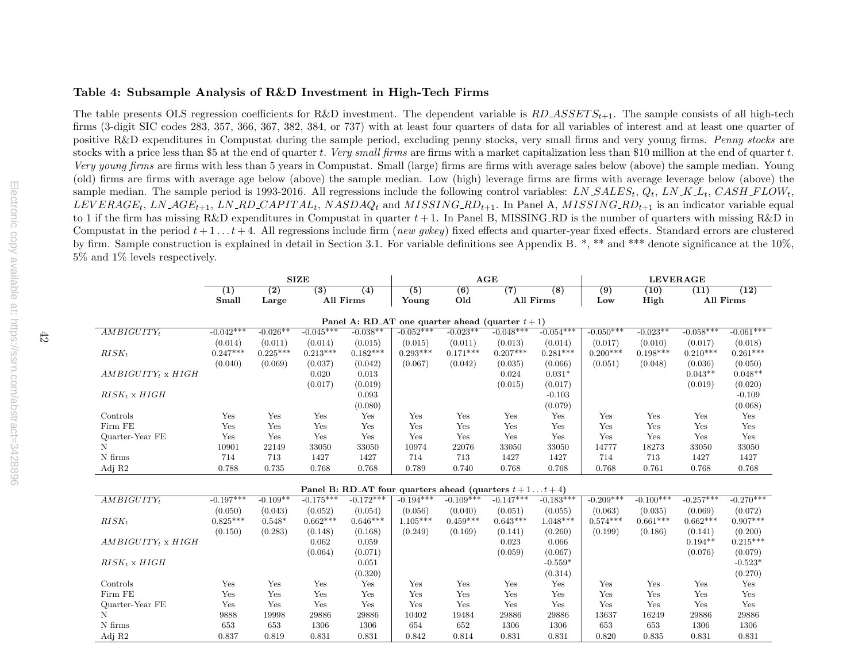#### Table 4: Subsample Analysis of R&D Investment in High-Tech Firms

The table presents OLS regression coefficients for R&D investment. The dependent variable is  $RD\_ASSETS_{t+1}$ . The sample consists of all high-tech  $\frac{1}{2}$  and  $\frac{1}{2}$  and  $\frac{1}{2}$  and  $\frac{1}{2}$  and  $\frac{1}{2}$  and  $\frac{1}{2$ firms (3-digit SIC codes 283, 357, 366, 367, 382, 384, or 737) with at least four quarters of data for all variables of interest and at least one quarter of positive R&D expenditures in Compustat during the sample period, excluding penny stocks, very small firms and very young firms. Penny stocks are stocks with a price less than \$5 at the end of quarter t. Very small firms are firms with a market capitalization less than \$10 million at the end of quarter t. Very young firms are firms with less than <sup>5</sup> years in Compustat. Small (large) firms are firms with average sales below (above) the sample median. Young (old) firms are firms with average age below (above) the sample median. Low (high) leverage firms are firms with average leverage below (above) the sample median. The sample period is 1993-2016. All regressions include the following control variables: *LN\_SALES<sub>t</sub>*,  $Q_t$ , *LN\_K\_L<sub>t</sub>*, *CASH\_FLOW<sub>t</sub>*, *LN\_KLTRLOW*<sub>t</sub>, LN\_ACE LN\_ACE LN\_BD\_CABITAL, NACDAO, and MISSING B  $LEVERAGE_t$ ,  $LN\_AGE_{t+1}$ ,  $LN\_RD\_CAPITAL_t$ ,  $NASDAQ_t$  and  $MISSING\_RD_{t+1}$ . In Panel A,  $MISSING\_RD_{t+1}$  is an indicator variable equal  $t \geq 1$  if the function of quantum with missing  $R^{\ell} \cdot D$  in to 1 if the firm has missing R&D expenditures in Compustat in quarter  $t + 1$ . In Panel B, MISSING RD is the number of quarters with missing R&D in<br>Computation the number of the late of the deling magnesium include final o Compustat in the period  $t + 1 \ldots t + 4$ . All regressions include firm (new gokey) fixed effects and quarter-year fixed effects. Standard errors are clustered by firm. Sample construction is explained in detail in Section 3.1. For variable definitions see Appendix B. \*, \*\* and \*\*\* denote significance at the 10%, 5% and 1% levels respectively.

|                           | <b>SIZE</b> |                  |                  |                                                         |                  |             | AGE         |             | <b>LEVERAGE</b>  |             |             |             |
|---------------------------|-------------|------------------|------------------|---------------------------------------------------------|------------------|-------------|-------------|-------------|------------------|-------------|-------------|-------------|
|                           | (1)         | $\overline{(2)}$ | $\overline{(3)}$ | (4)                                                     | $\overline{(5)}$ | (6)         | (7)         | (8)         | $\overline{(9)}$ | (10)        | (11)        | (12)        |
|                           | Small       | Large            |                  | All Firms                                               | Young            | Old         |             | All Firms   | Low              | High        |             | All Firms   |
|                           |             |                  |                  |                                                         |                  |             |             |             |                  |             |             |             |
|                           |             |                  |                  | Panel A: RD_AT one quarter ahead (quarter $t+1$ )       |                  |             |             |             |                  |             |             |             |
| $AMBIGUITY_t$             | $-0.042***$ | $-0.026**$       | $-0.045***$      | $-0.038**$                                              | $-0.052***$      | $-0.023**$  | $-0.048***$ | $-0.054***$ | $-0.050***$      | $-0.023**$  | $-0.058***$ | $-0.061***$ |
|                           | (0.014)     | (0.011)          | (0.014)          | (0.015)                                                 | (0.015)          | (0.011)     | (0.013)     | (0.014)     | (0.017)          | (0.010)     | (0.017)     | (0.018)     |
| $RISK_t$                  | $0.247***$  | $0.225***$       | $0.213***$       | $0.182***$                                              | $0.293***$       | $0.171***$  | $0.207***$  | $0.281***$  | $0.200***$       | $0.198***$  | $0.210***$  | $0.261***$  |
|                           | (0.040)     | (0.069)          | (0.037)          | (0.042)                                                 | (0.067)          | (0.042)     | (0.035)     | (0.066)     | (0.051)          | (0.048)     | (0.036)     | (0.050)     |
| $AMBIGUITY_t \times HIGH$ |             |                  | 0.020            | 0.013                                                   |                  |             | 0.024       | $0.031*$    |                  |             | $0.043**$   | $0.048**$   |
|                           |             |                  | (0.017)          | (0.019)                                                 |                  |             | (0.015)     | (0.017)     |                  |             | (0.019)     | (0.020)     |
| $RISK_t$ x $HIGH$         |             |                  |                  | 0.093                                                   |                  |             |             | $-0.103$    |                  |             |             | $-0.109$    |
|                           |             |                  |                  | (0.080)                                                 |                  |             |             | (0.079)     |                  |             |             | (0.068)     |
| Controls                  | Yes         | Yes              | Yes              | Yes                                                     | Yes              | Yes         | Yes         | Yes         | Yes              | Yes         | Yes         | Yes         |
| Firm FE                   | Yes         | Yes              | Yes              | Yes                                                     | Yes              | Yes         | Yes         | Yes         | Yes              | Yes         | Yes         | Yes         |
| Quarter-Year FE           | Yes         | Yes              | Yes              | Yes                                                     | Yes              | Yes         | Yes         | Yes         | Yes              | Yes         | Yes         | Yes         |
| N                         | 10901       | 22149            | 33050            | 33050                                                   | 10974            | 22076       | 33050       | 33050       | 14777            | 18273       | 33050       | 33050       |
| N firms                   | 714         | 713              | 1427             | 1427                                                    | 714              | 713         | 1427        | 1427        | 714              | 713         | 1427        | 1427        |
| Adj R2                    | 0.788       | 0.735            | 0.768            | 0.768                                                   | 0.789            | 0.740       | 0.768       | 0.768       | 0.768            | 0.761       | 0.768       | 0.768       |
|                           |             |                  |                  |                                                         |                  |             |             |             |                  |             |             |             |
|                           |             |                  |                  | Panel B: RD_AT four quarters ahead (quarters $t+1t+4$ ) |                  |             |             |             |                  |             |             |             |
| $AMBIGUITY_t$             | $-0.197***$ | $-0.109**$       | $-0.175***$      | $-0.172***$                                             | $-0.194***$      | $-0.109***$ | $-0.147***$ | $-0.183***$ | $-0.209***$      | $-0.100***$ | $-0.257***$ | $-0.270***$ |
|                           | (0.050)     | (0.043)          | (0.052)          | (0.054)                                                 | (0.056)          | (0.040)     | (0.051)     | (0.055)     | (0.063)          | (0.035)     | (0.069)     | (0.072)     |
| $RISK_t$                  | $0.825***$  | $0.548*$         | $0.662***$       | $0.646***$                                              | $1.105***$       | $0.459***$  | $0.643***$  | $1.048***$  | $0.574***$       | $0.661***$  | $0.662***$  | $0.907***$  |
|                           | (0.150)     | (0.283)          | (0.148)          | (0.168)                                                 | (0.249)          | (0.169)     | (0.141)     | (0.260)     | (0.199)          | (0.186)     | (0.141)     | (0.200)     |
| $AMBIGUITY_t \times HIGH$ |             |                  | 0.062            | 0.059                                                   |                  |             | 0.023       | 0.066       |                  |             | $0.194**$   | $0.215***$  |
|                           |             |                  | (0.064)          | (0.071)                                                 |                  |             | (0.059)     | (0.067)     |                  |             | (0.076)     | (0.079)     |
| $RISK_t \times HIGH$      |             |                  |                  | 0.051                                                   |                  |             |             | $-0.559*$   |                  |             |             | $-0.523*$   |
|                           |             |                  |                  | (0.320)                                                 |                  |             |             | (0.314)     |                  |             |             | (0.270)     |
| Controls                  | Yes         | Yes              | Yes              | Yes                                                     | Yes              | Yes         | Yes         | Yes         | Yes              | Yes         | Yes         | Yes         |
| Firm FE                   | Yes         | Yes              | Yes              | Yes                                                     | Yes              | Yes         | Yes         | Yes         | Yes              | Yes         | Yes         | Yes         |
| Quarter-Year FE           | Yes         | Yes              | Yes              | Yes                                                     | Yes              | Yes         | Yes         | Yes         | Yes              | Yes         | Yes         | Yes         |
| N                         | 9888        | 19998            | 29886            | 29886                                                   | 10402            | 19484       | 29886       | 29886       | 13637            | 16249       | 29886       | 29886       |
| N firms                   | 653         | 653              | 1306             | 1306                                                    | 654              | 652         | 1306        | 1306        | 653              | 653         | 1306        | 1306        |
| Adj R2                    | 0.837       | 0.819            | 0.831            | 0.831                                                   | 0.842            | 0.814       | 0.831       | 0.831       | 0.820            | 0.835       | 0.831       | 0.831       |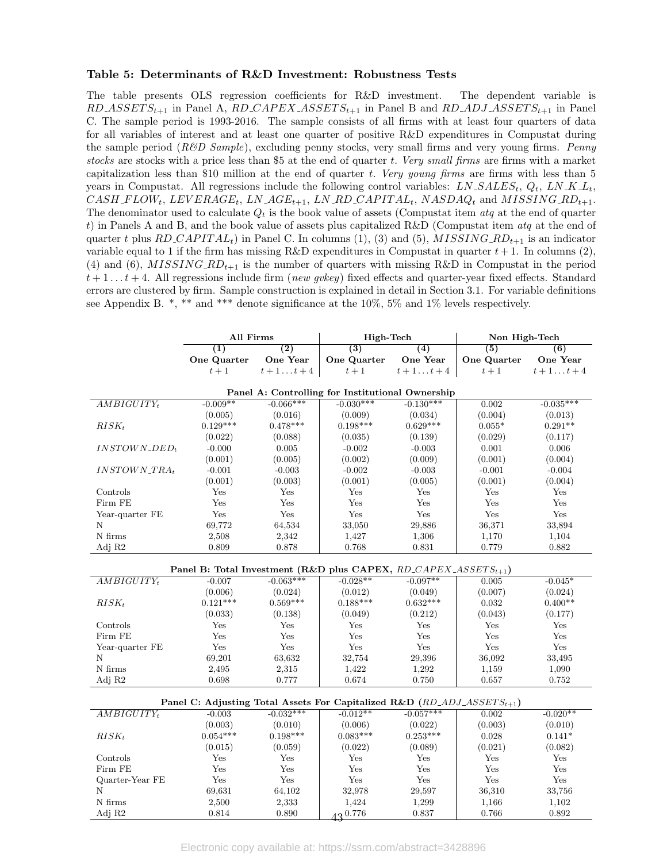#### Table 5: Determinants of R&D Investment: Robustness Tests

The table presents OLS regression coefficients for R&D investment. The dependent variable is  $RD\_ASSET S_{t+1}$  in Panel A,  $RD\_CAPEX\_ASSET S_{t+1}$  in Panel B and  $RD\_ADJ\_ASSET S_{t+1}$  in Panel C. The sample period is 1993-2016. The sample consists of all firms with at least four quarters of data for all variables of interest and at least one quarter of positive R&D expenditures in Compustat during the sample period  $(R\&D\ Sample)$ , excluding penny stocks, very small firms and very young firms. Penny stocks are stocks with a price less than \$5 at the end of quarter t. Very small firms are firms with a market capitalization less than \$10 million at the end of quarter t. Very young firms are firms with less than  $5$ years in Compustat. All regressions include the following control variables:  $LN\_SALES_t$ ,  $Q_t$ ,  $LN\_K.L_t$ ,  $CASH\_FLOW_t$ ,  $LEVERAGE_t$ ,  $LN\_AGE_{t+1}$ ,  $LN\_RD\_CAPITAL_t$ ,  $NASDAQ_t$  and  $MISSING\_RD_{t+1}$ . The denominator used to calculate  $Q_t$  is the book value of assets (Compustat item  $dtq$  at the end of quarter t) in Panels A and B, and the book value of assets plus capitalized R&D (Compustat item  $\alpha tq$  at the end of quarter t plus RD\_CAPITAL<sub>t</sub>) in Panel C. In columns (1), (3) and (5),  $MISSING\_RD_{t+1}$  is an indicator variable equal to 1 if the firm has missing R&D expenditures in Compustat in quarter  $t + 1$ . In columns (2), (4) and (6),  $MISSING\_RD_{t+1}$  is the number of quarters with missing R&D in Compustat in the period  $t+1...t+4$ . All regressions include firm (new gvkey) fixed effects and quarter-year fixed effects. Standard errors are clustered by firm. Sample construction is explained in detail in Section 3.1. For variable definitions see Appendix B.  $^*,$  \*\* and \*\*\* denote significance at the 10%, 5% and 1% levels respectively.

|                                | All Firms   |                  | High-Tech                                                                                    |                  | Non High-Tech    |                  |
|--------------------------------|-------------|------------------|----------------------------------------------------------------------------------------------|------------------|------------------|------------------|
|                                | (1)         | $\overline{(2)}$ | $\overline{(3)}$                                                                             | (4)              | $\overline{(5)}$ | (6)              |
|                                | One Quarter | One Year         | One Quarter                                                                                  | One Year         | One Quarter      | One Year         |
|                                | $t+1$       | $t+1 \ldots t+4$ | $t+1$                                                                                        | $t+1 \ldots t+4$ | $t+1$            | $t+1 \ldots t+4$ |
|                                |             |                  | Panel A: Controlling for Institutional Ownership                                             |                  |                  |                  |
| $AMBIGUITY_t$                  | $-0.009**$  | $-0.066***$      | $-0.030***$                                                                                  | $-0.130***$      | 0.002            | $-0.035***$      |
|                                | (0.005)     | (0.016)          | (0.009)                                                                                      | (0.034)          | (0.004)          | (0.013)          |
| $RISK_t$                       | $0.129***$  | $0.478***$       | $0.198***$                                                                                   | $0.629***$       | $0.055*$         | $0.291**$        |
|                                | (0.022)     | (0.088)          | (0.035)                                                                                      | (0.139)          | (0.029)          | (0.117)          |
| $INSTOWN$ <sub>-</sub> $DED_t$ | $-0.000$    | 0.005            | $-0.002$                                                                                     | $-0.003$         | 0.001            | 0.006            |
|                                | (0.001)     | (0.005)          | (0.002)                                                                                      | (0.009)          | (0.001)          | (0.004)          |
| $INSTOWN\_TRA_t$               | $-0.001$    | $-0.003$         | $-0.002$                                                                                     | $-0.003$         | $-0.001$         | $-0.004$         |
|                                | (0.001)     | (0.003)          | (0.001)                                                                                      | (0.005)          | (0.001)          | (0.004)          |
| Controls                       | Yes         | Yes              | Yes                                                                                          | Yes              | Yes              | Yes              |
| Firm FE                        | Yes         | Yes              | Yes                                                                                          | Yes              | Yes              | Yes              |
| Year-quarter FE                | Yes         | Yes              | Yes                                                                                          | Yes              | Yes              | Yes              |
| Ν                              | 69,772      | 64,534           | 33,050                                                                                       | 29,886           | 36,371           | 33,894           |
| N firms                        | 2,508       | 2,342            | 1,427                                                                                        | 1,306            | 1,170            | 1,104            |
| Adj R2                         | 0.809       | 0.878            | 0.768                                                                                        | 0.831            | 0.779            | 0.882            |
|                                |             |                  |                                                                                              |                  |                  |                  |
|                                |             |                  | Panel B: Total Investment (R&D plus CAPEX, RD_CAPEX_ASSETS <sub>t+1</sub> )                  |                  |                  |                  |
| $AMBIGUITY_t$                  | $-0.007$    | $-0.063***$      | $-0.028**$                                                                                   | $-0.097**$       | 0.005            | $-0.045*$        |
|                                | (0.006)     | (0.024)          | (0.012)                                                                                      | (0.049)          | (0.007)          | (0.024)          |
| $RISK_t$                       | $0.121***$  | $0.569***$       | $0.188***$                                                                                   | $0.632***$       | 0.032            | $0.400**$        |
|                                | (0.033)     | (0.138)          | (0.049)                                                                                      | (0.212)          | (0.043)          | (0.177)          |
| Controls                       | Yes         | Yes              | Yes                                                                                          | Yes              | Yes              | Yes              |
| Firm FE                        | Yes         | Yes              | Yes                                                                                          | Yes              | Yes              | Yes              |
| Year-quarter FE                | Yes         | Yes              | Yes                                                                                          | Yes              | Yes              | Yes              |
| Ν                              | 69,201      | 63,632           | 32,754                                                                                       | 29,396           | 36,092           | 33,495           |
| N firms                        | 2,495       | 2,315            | 1,422                                                                                        | 1,292            | 1,159            | 1,090            |
| Adj R2                         | 0.698       | 0.777            | 0.674                                                                                        | 0.750            | 0.657            | 0.752            |
|                                |             |                  | Panel C: Adjusting Total Assets For Capitalized R&D $(RD \text{-} ADJ \text{-}ASSETS_{t+1})$ |                  |                  |                  |
| $AMBIGUITY_t$                  | $-0.003$    | $-0.032***$      | $-0.012**$                                                                                   | $-0.057***$      | 0.002            | $-0.020**$       |
|                                | (0.003)     | (0.010)          | (0.006)                                                                                      | (0.022)          | (0.003)          | (0.010)          |
| $RISK_t$                       | $0.054***$  | $0.198***$       | $0.083***$                                                                                   | $0.253***$       | 0.028            | $0.141*$         |
|                                | (0.015)     | (0.059)          | (0.022)                                                                                      | (0.089)          | (0.021)          | (0.082)          |
| Controls                       | Yes         | Yes              | Yes                                                                                          | Yes              | Yes              | Yes              |
| Firm FE                        | Yes         | Yes              | Yes                                                                                          | Yes              | Yes              | Yes              |
| Quarter-Year FE                | Yes         | Yes              | Yes                                                                                          | Yes              | Yes              | Yes              |
|                                |             |                  |                                                                                              |                  |                  |                  |
| Ν                              | 69,631      | 64,102           | 32,978                                                                                       | 29,597           | 36,310           | 33,756           |
| N firms                        | 2,500       | 2,333            | 1,424                                                                                        | 1,299            | 1,166            | 1,102            |
| Adj R2                         | 0.814       | 0.890            | $43^{0.776}$                                                                                 | 0.837            | 0.766            | 0.892            |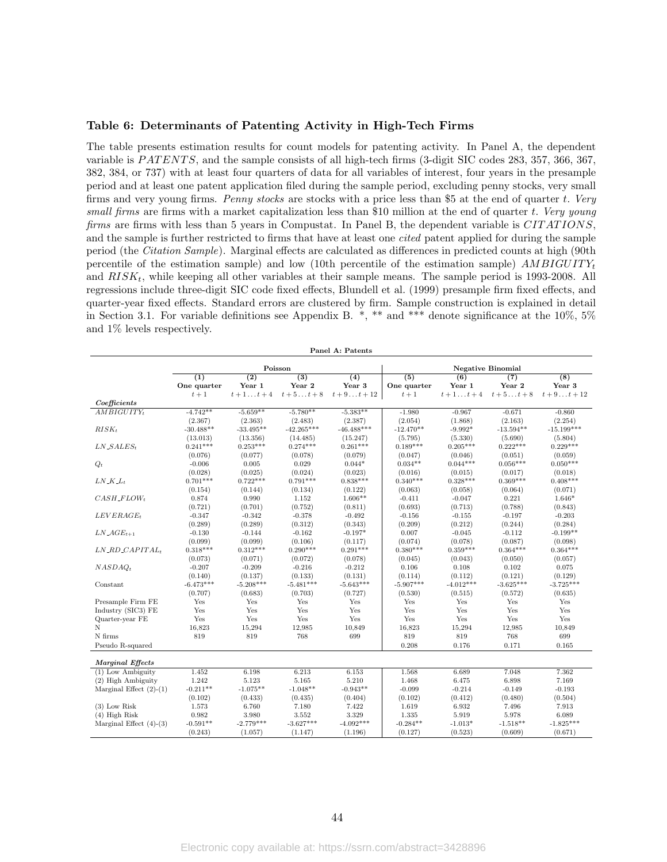#### Table 6: Determinants of Patenting Activity in High-Tech Firms

The table presents estimation results for count models for patenting activity. In Panel A, the dependent variable is PATENTS, and the sample consists of all high-tech firms (3-digit SIC codes 283, 357, 366, 367, 382, 384, or 737) with at least four quarters of data for all variables of interest, four years in the presample period and at least one patent application filed during the sample period, excluding penny stocks, very small firms and very young firms. Penny stocks are stocks with a price less than \$5 at the end of quarter t. Very small firms are firms with a market capitalization less than \$10 million at the end of quarter t. Very young firms are firms with less than 5 years in Compustat. In Panel B, the dependent variable is CIT ATIONS, and the sample is further restricted to firms that have at least one cited patent applied for during the sample period (the Citation Sample). Marginal effects are calculated as differences in predicted counts at high (90th percentile of the estimation sample) and low (10th percentile of the estimation sample)  $AMBIGUITY_t$ and  $RISK_t$ , while keeping all other variables at their sample means. The sample period is 1993-2008. All regressions include three-digit SIC code fixed effects, Blundell et al. (1999) presample firm fixed effects, and quarter-year fixed effects. Standard errors are clustered by firm. Sample construction is explained in detail in Section 3.1. For variable definitions see Appendix B.  $^*,$  \*\* and \*\*\* denote significance at the 10%, 5% and 1% levels respectively.

| Panel A: Patents                    |                             |                            |                            |                            |                    |                  |                           |                 |  |  |  |
|-------------------------------------|-----------------------------|----------------------------|----------------------------|----------------------------|--------------------|------------------|---------------------------|-----------------|--|--|--|
|                                     |                             |                            | Poisson                    |                            |                    |                  | <b>Negative Binomial</b>  |                 |  |  |  |
|                                     | (1)<br>One quarter<br>$t+1$ | $\overline{(2)}$<br>Year 1 | $\overline{(3)}$<br>Year 2 | (4)<br>Year 3<br>$t+9t+12$ | (5)<br>One quarter | (6)<br>Year 1    | (7)<br>Year 2<br>$t+5t+8$ | (8)<br>Year 3   |  |  |  |
| Coefficients                        |                             | $t+1 \ldots t+4$           | $t+5t+8$                   |                            | $t+1$              | $t+1 \ldots t+4$ |                           | $t+9\dots t+12$ |  |  |  |
| $AMBIGUITY_t$                       | $-4.742**$                  | $-5.659**$                 | $-5.780**$                 | $-5.383**$                 | $-1.980$           | $-0.967$         | $-0.671$                  | $-0.860$        |  |  |  |
|                                     | (2.367)                     | (2.363)                    | (2.483)                    | (2.387)                    | (2.054)            | (1.868)          | (2.163)                   | (2.254)         |  |  |  |
| $RISK_t$                            | $-30.488**$                 | $-33.495**$                | $-42.265***$               | $-46.488***$               | $-12.470**$        | $-9.992*$        | $-13.594**$               | $-15.199***$    |  |  |  |
|                                     | (13.013)                    | (13.356)                   | (14.485)                   | (15.247)                   | (5.795)            | (5.330)          | (5.690)                   | (5.804)         |  |  |  |
| $LN\_SALES_t$                       | $0.241***$                  | $0.253***$                 | $0.274***$                 | $0.261***$                 | $0.189***$         | $0.205***$       | $0.222***$                | $0.229***$      |  |  |  |
|                                     | (0.076)                     | (0.077)                    | (0.078)                    | (0.079)                    | (0.047)            | (0.046)          | (0.051)                   | (0.059)         |  |  |  |
| $Q_t$                               | $-0.006$                    | 0.005                      | 0.029                      | $0.044*$                   | $0.034**$          | $0.044***$       | $0.056***$                | $0.050***$      |  |  |  |
|                                     | (0.028)                     | (0.025)                    | (0.024)                    | (0.023)                    | (0.016)            | (0.015)          | (0.017)                   | (0.018)         |  |  |  |
| $LN\_K\_L_t$                        | $0.701***$                  | $0.722***$                 | $0.791***$                 | $0.838***$                 | $0.340***$         | $0.328***$       | $0.369***$                | $0.408***$      |  |  |  |
|                                     | (0.154)                     | (0.144)                    | (0.134)                    | (0.122)                    | (0.063)            | (0.058)          | (0.064)                   | (0.071)         |  |  |  |
| $CASH$ <sub>-FLOW<sub>t</sub></sub> | 0.874                       | 0.990                      | 1.152                      | $1.606**$                  | $-0.411$           | $-0.047$         | 0.221                     | $1.646*$        |  |  |  |
|                                     | (0.721)                     | (0.701)                    | (0.752)                    | (0.811)                    | (0.693)            | (0.713)          | (0.788)                   | (0.843)         |  |  |  |
| $LEVERAGE_t$                        | $-0.347$                    | $-0.342$                   | $-0.378$                   | $-0.492$                   | $-0.156$           | $-0.155$         | $-0.197$                  | $-0.203$        |  |  |  |
|                                     | (0.289)                     | (0.289)                    | (0.312)                    | (0.343)                    | (0.209)            | (0.212)          | (0.244)                   | (0.284)         |  |  |  |
| $LN\_AGE_{t+1}$                     | $-0.130$                    | $-0.144$                   | $-0.162$                   | $-0.197*$                  | 0.007              | $-0.045$         | $-0.112$                  | $-0.199**$      |  |  |  |
|                                     | (0.099)                     | (0.099)                    | (0.106)                    | (0.117)                    | (0.074)            | (0.078)          | (0.087)                   | (0.098)         |  |  |  |
| $LN$ <sub>-RD</sub> $_{CAPITAL}$    | $0.318***$                  | $0.312***$                 | $0.290***$                 | $0.291***$                 | $0.380***$         | $0.359***$       | $0.364***$                | $0.364***$      |  |  |  |
|                                     | (0.073)                     | (0.071)                    | (0.072)                    | (0.078)                    | (0.045)            | (0.043)          | (0.050)                   | (0.057)         |  |  |  |
| $NASDAO_t$                          | $-0.207$                    | $-0.209$                   | $-0.216$                   | $-0.212$                   | 0.106              | 0.108            | 0.102                     | 0.075           |  |  |  |
|                                     | (0.140)                     | (0.137)                    | (0.133)                    | (0.131)                    | (0.114)            | (0.112)          | (0.121)                   | (0.129)         |  |  |  |
| Constant                            | $-6.473***$                 | $-5.208***$                | $-5.481***$                | $-5.643***$                | $-5.907***$        | $-4.012***$      | $-3.625***$               | $-3.725***$     |  |  |  |
|                                     | (0.707)                     | (0.683)                    | (0.703)                    | (0.727)                    | (0.530)            | (0.515)          | (0.572)                   | (0.635)         |  |  |  |
| Presample Firm FE                   | Yes                         | Yes                        | Yes                        | Yes                        | Yes                | Yes              | Yes                       | Yes             |  |  |  |
| Industry (SIC3) FE                  | Yes                         | Yes                        | Yes                        | Yes                        | Yes                | Yes              | Yes                       | Yes             |  |  |  |
| Quarter-year FE                     | Yes                         | Yes                        | Yes                        | Yes                        | Yes                | Yes              | Yes                       | Yes             |  |  |  |
| N                                   | 16,823                      | 15,294                     | 12,985                     | 10,849                     | 16,823             | 15,294           | 12,985                    | 10,849          |  |  |  |
| N firms                             | 819                         | 819                        | 768                        | 699                        | 819                | 819              | 768                       | 699             |  |  |  |
| Pseudo R-squared                    |                             |                            |                            |                            | 0.208              | 0.176            | 0.171                     | 0.165           |  |  |  |
| <b>Marginal Effects</b>             |                             |                            |                            |                            |                    |                  |                           |                 |  |  |  |
| $(1)$ Low Ambiguity                 | 1.452                       | 6.198                      | 6.213                      | 6.153                      | 1.568              | 6.689            | 7.048                     | 7.362           |  |  |  |
| (2) High Ambiguity                  | 1.242                       | 5.123                      | 5.165                      | 5.210                      | 1.468              | 6.475            | 6.898                     | 7.169           |  |  |  |
| Marginal Effect $(2)-(1)$           | $-0.211**$                  | $-1.075**$                 | $-1.048**$                 | $-0.943**$                 | $-0.099$           | $-0.214$         | $-0.149$                  | $-0.193$        |  |  |  |
|                                     | (0.102)                     | (0.433)                    | (0.435)                    | (0.404)                    | (0.102)            | (0.412)          | (0.480)                   | (0.504)         |  |  |  |
| $(3)$ Low Risk                      | 1.573                       | 6.760                      | 7.180                      | 7.422                      | 1.619              | 6.932            | 7.496                     | 7.913           |  |  |  |
| $(4)$ High Risk                     | 0.982                       | 3.980                      | 3.552                      | 3.329                      | 1.335              | 5.919            | 5.978                     | 6.089           |  |  |  |
| Marginal Effect $(4)-(3)$           | $-0.591**$                  | $-2.779***$                | $-3.627***$                | $-4.092***$                | $-0.284**$         | $-1.013*$        | $-1.518**$                | $-1.825***$     |  |  |  |
|                                     | (0.243)                     | (1.057)                    | (1.147)                    | (1.196)                    | (0.127)            | (0.523)          | (0.609)                   | (0.671)         |  |  |  |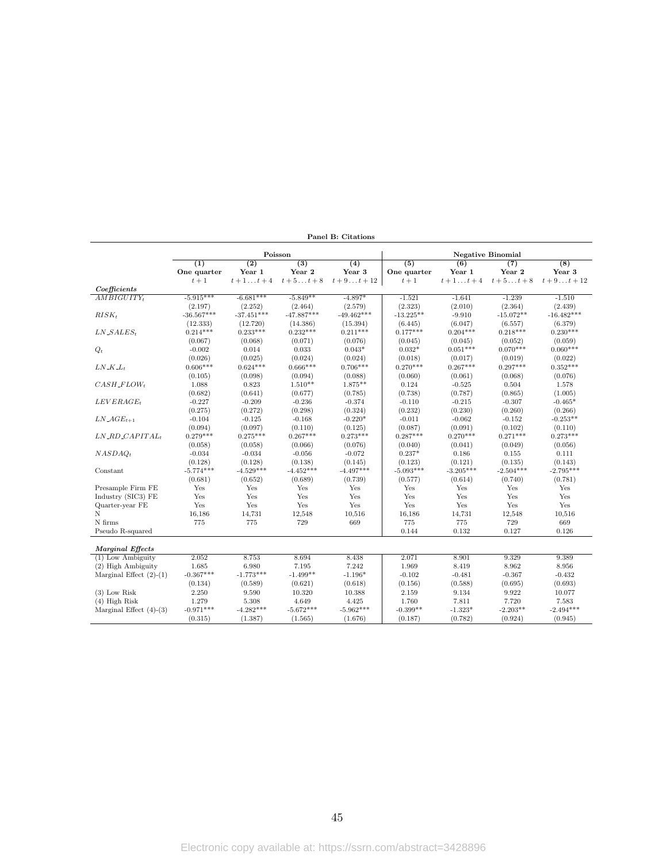|                                              | Poisson      |                  |                  |               | <b>Negative Binomial</b> |                  |             |                  |
|----------------------------------------------|--------------|------------------|------------------|---------------|--------------------------|------------------|-------------|------------------|
|                                              | (1)          | $\overline{(2)}$ | $\overline{(3)}$ | (4)           | $\overline{(5)}$         | $\overline{(6)}$ | (7)         | $\overline{(8)}$ |
|                                              | One quarter  | Year 1           | Year 2           | Year 3        | One quarter              | Year 1           | Year 2      | Year 3           |
|                                              | $t+1$        | $t+1t+4$         | $t+5t+8$         | $t + 9t + 12$ | $t+1$                    | $t+1 \ldots t+4$ | $t+5t+8$    | $t+9t+12$        |
| Coefficients                                 |              |                  |                  |               |                          |                  |             |                  |
| AMBIGUITY <sub>t</sub>                       | $-5.915***$  | $-6.681***$      | $-5.849**$       | $-4.897*$     | $-1.521$                 | $-1.641$         | $-1.239$    | $-1.510$         |
|                                              | (2.197)      | (2.252)          | (2.464)          | (2.579)       | (2.323)                  | (2.010)          | (2.364)     | (2.439)          |
| $RISK_t$                                     | $-36.567***$ | $-37.451***$     | $-47.887***$     | $-49.462***$  | $-13.225**$              | $-9.910$         | $-15.072**$ | $-16.482***$     |
|                                              | (12.333)     | (12.720)         | (14.386)         | (15.394)      | (6.445)                  | (6.047)          | (6.557)     | (6.379)          |
| $LN\_SALES_t$                                | $0.214***$   | $0.233***$       | $0.232***$       | $0.211***$    | $0.177***$               | $0.204***$       | $0.218***$  | $0.230***$       |
|                                              | (0.067)      | (0.068)          | (0.071)          | (0.076)       | (0.045)                  | (0.045)          | (0.052)     | (0.059)          |
| $Q_t$                                        | $-0.002$     | 0.014            | 0.033            | $0.043*$      | $0.032*$                 | $0.051***$       | $0.070***$  | $0.060***$       |
|                                              | (0.026)      | (0.025)          | (0.024)          | (0.024)       | (0.018)                  | (0.017)          | (0.019)     | (0.022)          |
| $LN\_K\_L_t$                                 | $0.606***$   | $0.624***$       | $0.666***$       | $0.706***$    | $0.270***$               | $0.267***$       | $0.297***$  | $0.352***$       |
|                                              | (0.105)      | (0.098)          | (0.094)          | (0.088)       | (0.060)                  | (0.061)          | (0.068)     | (0.076)          |
| $CASH$ <sub>-FLOWt</sub>                     | 1.088        | 0.823            | $1.510**$        | $1.875**$     | 0.124                    | $-0.525$         | 0.504       | 1.578            |
|                                              | (0.682)      | (0.641)          | (0.677)          | (0.785)       | (0.738)                  | (0.787)          | (0.865)     | (1.005)          |
| $LEVERAGE_t$                                 | $-0.227$     | $-0.209$         | $-0.236$         | $-0.374$      | $-0.110$                 | $-0.215$         | $-0.307$    | $-0.465*$        |
|                                              | (0.275)      | (0.272)          | (0.298)          | (0.324)       | (0.232)                  | (0.230)          | (0.260)     | (0.266)          |
| $LN\_AGE_{t+1}$                              | $-0.104$     | $-0.125$         | $-0.168$         | $-0.220*$     | $-0.011$                 | $-0.062$         | $-0.152$    | $-0.253**$       |
|                                              | (0.094)      | (0.097)          | (0.110)          | (0.125)       | (0.087)                  | (0.091)          | (0.102)     | (0.110)          |
| $LN$ <sub>-<math>RD</math></sub> $CAPITAL_t$ | $0.279***$   | $0.275***$       | $0.267***$       | $0.273***$    | $0.287***$               | $0.270***$       | $0.271***$  | $0.273***$       |
|                                              | (0.058)      | (0.058)          | (0.066)          | (0.076)       | (0.040)                  | (0.041)          | (0.049)     | (0.056)          |
| NASDAO <sub>t</sub>                          | $-0.034$     | $-0.034$         | $-0.056$         | $-0.072$      | $0.237*$                 | 0.186            | 0.155       | 0.111            |
|                                              | (0.128)      | (0.128)          | (0.138)          | (0.145)       | (0.123)                  | (0.121)          | (0.135)     | (0.143)          |
| Constant                                     | $-5.774***$  | $-4.529***$      | $-4.452***$      | $-4.497***$   | $-5.093***$              | $-3.205***$      | $-2.504***$ | $-2.795***$      |
|                                              | (0.681)      | (0.652)          | (0.689)          | (0.739)       | (0.577)                  | (0.614)          | (0.740)     | (0.781)          |
| Presample Firm FE                            | Yes          | Yes              | Yes              | Yes           | Yes                      | Yes              | Yes         | Yes              |
| Industry (SIC3) FE                           | Yes          | Yes              | Yes              | Yes           | Yes                      | Yes              | Yes         | Yes              |
| Quarter-year FE                              | Yes          | Yes              | Yes              | Yes           | Yes                      | Yes              | Yes         | Yes              |
| N                                            | 16,186       | 14,731           | 12,548           | 10,516        | 16,186                   | 14,731           | 12,548      | 10,516           |
| N firms                                      | 775          | 775              | 729              | 669           | 775                      | 775              | 729         | 669              |
| Pseudo R-squared                             |              |                  |                  |               | 0.144                    | 0.132            | 0.127       | 0.126            |
|                                              |              |                  |                  |               |                          |                  |             |                  |
| <b>Marginal Effects</b>                      |              |                  |                  |               |                          |                  |             |                  |
| $(1)$ Low Ambiguity                          | 2.052        | 8.753            | 8.694            | 8.438         | 2.071                    | 8.901            | 9.329       | 9.389            |
| (2) High Ambiguity                           | 1.685        | 6.980            | 7.195            | 7.242         | 1.969                    | 8.419            | 8.962       | 8.956            |
| Marginal Effect $(2)-(1)$                    | $-0.367***$  | $-1.773***$      | $-1.499**$       | $-1.196*$     | $-0.102$                 | $-0.481$         | $-0.367$    | $-0.432$         |
|                                              | (0.134)      | (0.589)          | (0.621)          | (0.618)       | (0.156)                  | (0.588)          | (0.695)     | (0.693)          |
| $(3)$ Low Risk                               | 2.250        | 9.590            | 10.320           | 10.388        | 2.159                    | 9.134            | 9.922       | 10.077           |
| $(4)$ High Risk                              | 1.279        | 5.308            | 4.649            | 4.425         | 1.760                    | 7.811            | 7.720       | 7.583            |
| Marginal Effect $(4)-(3)$                    | $-0.971***$  | $-4.282***$      | $-5.672***$      | $-5.962***$   | $-0.399**$               | $-1.323*$        | $-2.203**$  | $-2.494***$      |
|                                              | (0.315)      | (1.387)          | (1.565)          | (1.676)       | (0.187)                  | (0.782)          | (0.924)     | (0.945)          |

Panel B: Citations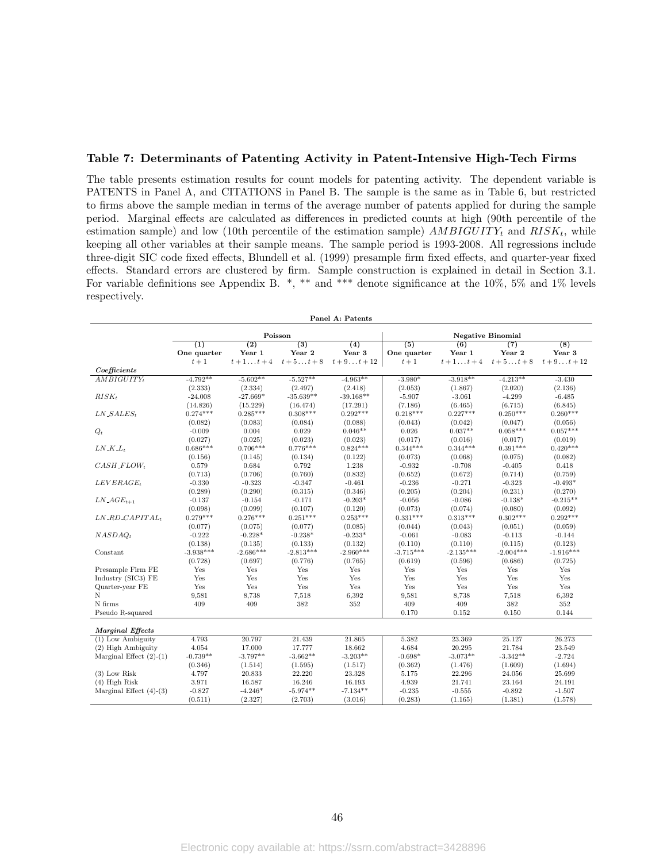### Table 7: Determinants of Patenting Activity in Patent-Intensive High-Tech Firms

The table presents estimation results for count models for patenting activity. The dependent variable is PATENTS in Panel A, and CITATIONS in Panel B. The sample is the same as in Table 6, but restricted to firms above the sample median in terms of the average number of patents applied for during the sample period. Marginal effects are calculated as differences in predicted counts at high (90th percentile of the estimation sample) and low (10th percentile of the estimation sample)  $AMBIGUITY_t$  and  $RISK_t$ , while keeping all other variables at their sample means. The sample period is 1993-2008. All regressions include three-digit SIC code fixed effects, Blundell et al. (1999) presample firm fixed effects, and quarter-year fixed effects. Standard errors are clustered by firm. Sample construction is explained in detail in Section 3.1. For variable definitions see Appendix B. \*, \*\* and \*\*\* denote significance at the 10%, 5% and 1% levels respectively.

| Panel A: Patents                                   |                    |                            |                            |                            |                                 |                            |               |                            |  |
|----------------------------------------------------|--------------------|----------------------------|----------------------------|----------------------------|---------------------------------|----------------------------|---------------|----------------------------|--|
|                                                    |                    |                            | Poisson                    |                            | <b>Negative Binomial</b>        |                            |               |                            |  |
|                                                    | (1)<br>One quarter | $\overline{(2)}$<br>Year 1 | $\overline{(3)}$<br>Year 2 | $\overline{(4)}$<br>Year 3 | $\overline{(5)}$<br>One quarter | $\overline{(6)}$<br>Year 1 | (7)<br>Year 2 | $\overline{(8)}$<br>Year 3 |  |
|                                                    | $t+1$              | $t+1t+4$                   | $t+5t+8$                   | $t + 9t + 12$              | $t+1$                           | $t+1 \ldots t+4$           | $t+5t+8$      | $t+9\dots t+12$            |  |
| Coefficients                                       |                    |                            |                            |                            |                                 |                            |               |                            |  |
| AMBIGUITY <sub>t</sub>                             | $-4.792**$         | $-5.602**$                 | $-5.527**$                 | $-4.963**$                 | $-3.980*$                       | $-3.918**$                 | $-4.213**$    | $-3.430$                   |  |
|                                                    | (2.333)            | (2.334)                    | (2.497)                    | (2.418)                    | (2.053)                         | (1.867)                    | (2.020)       | (2.136)                    |  |
| $RISK_t$                                           | $-24.008$          | $-27.669*$                 | $-35.639**$                | $-39.168**$                | $-5.907$                        | $-3.061$                   | $-4.299$      | $-6.485$                   |  |
|                                                    | (14.826)           | (15.229)                   | (16.474)                   | (17.291)                   | (7.186)                         | (6.465)                    | (6.715)       | (6.845)                    |  |
| $LN\_SALES_t$                                      | $0.274***$         | $0.285***$                 | $0.308***$                 | $0.292***$                 | $0.218***$                      | $0.227***$                 | $0.250***$    | $0.260***$                 |  |
|                                                    | (0.082)            | (0.083)                    | (0.084)                    | (0.088)                    | (0.043)                         | (0.042)                    | (0.047)       | (0.056)                    |  |
| $Q_t$                                              | $-0.009$           | 0.004                      | 0.029                      | $0.046**$                  | 0.026                           | $0.037**$                  | $0.058***$    | $0.057***$                 |  |
|                                                    | (0.027)            | (0.025)                    | (0.023)                    | (0.023)                    | (0.017)                         | (0.016)                    | (0.017)       | (0.019)                    |  |
| $LN$ <sub>-</sub> $K$ <sub>-<math>L_t</math></sub> | $0.686***$         | $0.706***$                 | $0.776***$                 | $0.824***$                 | $0.344***$                      | $0.344***$                 | $0.391***$    | $0.420***$                 |  |
|                                                    | (0.156)            | (0.145)                    | (0.134)                    | (0.122)                    | (0.073)                         | (0.068)                    | (0.075)       | (0.082)                    |  |
| $CASH$ <sub>-FLOWt</sub>                           | 0.579              | 0.684                      | 0.792                      | 1.238                      | $-0.932$                        | $-0.708$                   | $-0.405$      | 0.418                      |  |
|                                                    | (0.713)            | (0.706)                    | (0.760)                    | (0.832)                    | (0.652)                         | (0.672)                    | (0.714)       | (0.759)                    |  |
| $LEVERAGE_t$                                       | $-0.330$           | $-0.323$                   | $-0.347$                   | $-0.461$                   | $-0.236$                        | $-0.271$                   | $-0.323$      | $-0.493*$                  |  |
|                                                    | (0.289)            | (0.290)                    | (0.315)                    | (0.346)                    | (0.205)                         | (0.204)                    | (0.231)       | (0.270)                    |  |
| $LN\_AGE_{t+1}$                                    | $-0.137$           | $-0.154$                   | $-0.171$                   | $-0.203*$                  | $-0.056$                        | $-0.086$                   | $-0.138*$     | $-0.215**$                 |  |
|                                                    | (0.098)            | (0.099)                    | (0.107)                    | (0.120)                    | (0.073)                         | (0.074)                    | (0.080)       | (0.092)                    |  |
| $LN$ <sub>-RD</sub> _CAPITAL <sub>t</sub>          | $0.279***$         | $0.276***$                 | $0.251***$                 | $0.253***$                 | $0.331***$                      | $0.313***$                 | $0.302***$    | $0.292***$                 |  |
|                                                    | (0.077)            | (0.075)                    | (0.077)                    | (0.085)                    | (0.044)                         | (0.043)                    | (0.051)       | (0.059)                    |  |
| NASDAO <sub>t</sub>                                | $-0.222$           | $-0.228*$                  | $-0.238*$                  | $-0.233*$                  | $-0.061$                        | $-0.083$                   | $-0.113$      | $-0.144$                   |  |
|                                                    | (0.138)            | (0.135)                    | (0.133)                    | (0.132)                    | (0.110)                         | (0.110)                    | (0.115)       | (0.123)                    |  |
| Constant                                           | $-3.938***$        | $-2.686***$                | $-2.813***$                | $-2.960***$                | $-3.715***$                     | $-2.135***$                | $-2.004***$   | $-1.916***$                |  |
|                                                    | (0.728)            | (0.697)                    | (0.776)                    | (0.765)                    | (0.619)                         | (0.596)                    | (0.686)       | (0.725)                    |  |
| Presample Firm FE                                  | Yes                | Yes                        | Yes                        | Yes                        | Yes                             | Yes                        | Yes           | Yes                        |  |
| Industry (SIC3) FE                                 | Yes                | Yes                        | Yes                        | Yes                        | Yes                             | Yes                        | Yes           | Yes                        |  |
| Quarter-year FE                                    | Yes                | Yes                        | Yes                        | Yes                        | Yes                             | Yes                        | Yes           | Yes                        |  |
| N                                                  | 9,581              | 8,738                      | 7,518                      | 6,392                      | 9,581                           | 8,738                      | 7,518         | 6,392                      |  |
| N firms                                            | 409                | 409                        | 382                        | 352                        | 409                             | 409                        | 382           | 352                        |  |
| Pseudo R-squared                                   |                    |                            |                            |                            | 0.170                           | 0.152                      | 0.150         | 0.144                      |  |
| <b>Marginal Effects</b>                            |                    |                            |                            |                            |                                 |                            |               |                            |  |
| $(1)$ Low Ambiguity                                | 4.793              | 20.797                     | 21.439                     | 21.865                     | 5.382                           | 23.369                     | 25.127        | 26.273                     |  |
| (2) High Ambiguity                                 | 4.054              | 17.000                     | 17.777                     | 18.662                     | 4.684                           | 20.295                     | 21.784        | 23.549                     |  |
| Marginal Effect $(2)-(1)$                          | $-0.739**$         | $-3.797**$                 | $-3.662**$                 | $-3.203**$                 | $-0.698*$                       | $-3.073**$                 | $-3.342**$    | $-2.724$                   |  |
|                                                    | (0.346)            | (1.514)                    | (1.595)                    | (1.517)                    | (0.362)                         | (1.476)                    | (1.609)       | (1.694)                    |  |
| $(3)$ Low Risk                                     | 4.797              | 20.833                     | 22.220                     | 23.328                     | 5.175                           | 22.296                     | 24.056        | 25.699                     |  |
| $(4)$ High Risk                                    | 3.971              | 16.587                     | 16.246                     | 16.193                     | 4.939                           | 21.741                     | 23.164        | 24.191                     |  |
| Marginal Effect $(4)-(3)$                          | $-0.827$           | $-4.246*$                  | $-5.974**$                 | $-7.134**$                 | $-0.235$                        | $-0.555$                   | $-0.892$      | $-1.507$                   |  |
|                                                    | (0.511)            | (2.327)                    | (2.703)                    | (3.016)                    | (0.283)                         | (1.165)                    | (1.381)       | (1.578)                    |  |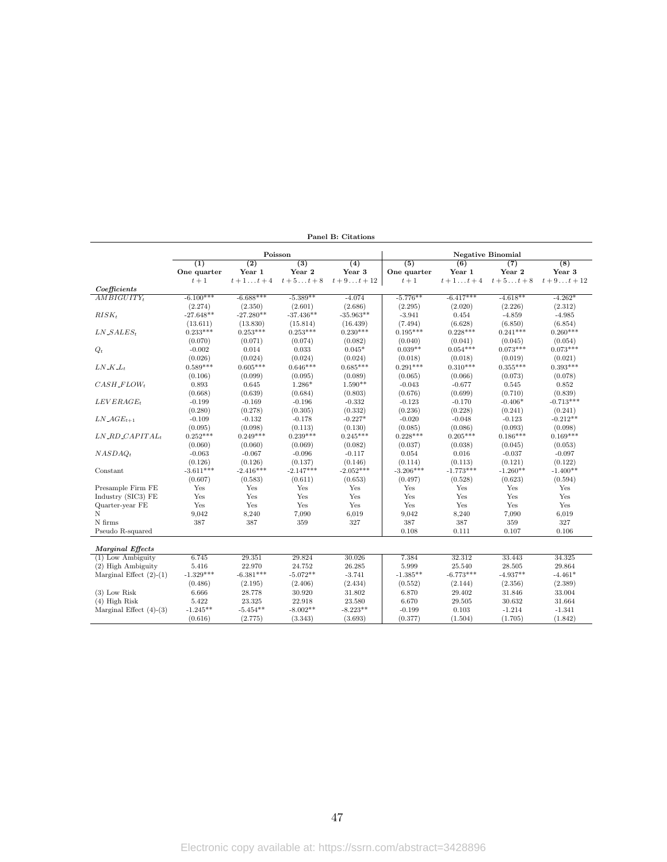|                                              |                  |                  | Poisson                              |                 | <b>Negative Binomial</b> |                  |            |                  |
|----------------------------------------------|------------------|------------------|--------------------------------------|-----------------|--------------------------|------------------|------------|------------------|
|                                              | $\overline{(1)}$ | $\overline{(2)}$ | $\overline{(3)}$<br>$\overline{(4)}$ |                 | $\overline{(5)}$         | $\overline{(6)}$ | (7)        | $\overline{(8)}$ |
|                                              | One quarter      | Year 1           | Year 2                               | Year 3          | One quarter              | Year 1           | Year 2     | Year 3           |
|                                              | $t+1$            | $t+1t+4$         | $t+5t+8$                             | $t+9\dots t+12$ | $t+1$                    | $t+1 \ldots t+4$ | $t+5t+8$   | $t+9\dots t+12$  |
| Coefficients                                 |                  |                  |                                      |                 |                          |                  |            |                  |
| $AMBIGUITY_t$                                | $-6.100***$      | $-6.688***$      | $-5.389**$                           | $-4.074$        | $-5.776**$               | $-6.417***$      | $-4.618**$ | $-4.262*$        |
|                                              | (2.274)          | (2.350)          | (2.601)                              | (2.686)         | (2.295)                  | (2.020)          | (2.226)    | (2.312)          |
| $RISK_t$                                     | $-27.648**$      | $-27.280**$      | $-37.436**$                          | $-35.963**$     | $-3.941$                 | 0.454            | $-4.859$   | $-4.985$         |
|                                              | (13.611)         | (13.830)         | (15.814)                             | (16.439)        | (7.494)                  | (6.628)          | (6.850)    | (6.854)          |
| $LN\_SALES_t$                                | $0.233***$       | $0.253***$       | $0.253***$                           | $0.230***$      | $0.195***$               | $0.228***$       | $0.241***$ | $0.260***$       |
|                                              | (0.070)          | (0.071)          | (0.074)                              | (0.082)         | (0.040)                  | (0.041)          | (0.045)    | (0.054)          |
| $Q_t$                                        | $-0.002$         | 0.014            | 0.033                                | $0.045*$        | $0.039**$                | $0.054***$       | $0.073***$ | $0.073***$       |
|                                              | (0.026)          | (0.024)          | (0.024)                              | (0.024)         | (0.018)                  | (0.018)          | (0.019)    | (0.021)          |
| $LN\_K\_L_t$                                 | $0.589***$       | $0.605***$       | $0.646***$                           | $0.685***$      | $0.291***$               | $0.310***$       | $0.355***$ | $0.393***$       |
|                                              | (0.106)          | (0.099)          | (0.095)                              | (0.089)         | (0.065)                  | (0.066)          | (0.073)    | (0.078)          |
| $CASH$ <sub>-FLOWt</sub>                     | 0.893            | 0.645            | $1.286*$                             | $1.590**$       | $-0.043$                 | $-0.677$         | 0.545      | 0.852            |
|                                              | (0.668)          | (0.639)          | (0.684)                              | (0.803)         | (0.676)                  | (0.699)          | (0.710)    | (0.839)          |
| $LEVERAGE_t$                                 | $-0.199$         | $-0.169$         | $-0.196$                             | $-0.332$        | $-0.123$                 | $-0.170$         | $-0.406*$  | $-0.713***$      |
|                                              | (0.280)          | (0.278)          | (0.305)                              | (0.332)         | (0.236)                  | (0.228)          | (0.241)    | (0.241)          |
| $LN\_AGE_{t+1}$                              | $-0.109$         | $-0.132$         | $-0.178$                             | $-0.227*$       | $-0.020$                 | $-0.048$         | $-0.123$   | $-0.212**$       |
|                                              | (0.095)          | (0.098)          | (0.113)                              | (0.130)         | (0.085)                  | (0.086)          | (0.093)    | (0.098)          |
| $LN$ <sub>-<math>RD</math></sub> $CAPITAL_t$ | $0.252***$       | $0.249***$       | $0.239***$                           | $0.245***$      | $0.228***$               | $0.205***$       | $0.186***$ | $0.169***$       |
|                                              | (0.060)          | (0.060)          | (0.069)                              | (0.082)         | (0.037)                  | (0.038)          | (0.045)    | (0.053)          |
| $NASDAQ_t$                                   | $-0.063$         | $-0.067$         | $-0.096$                             | $-0.117$        | 0.054                    | 0.016            | $-0.037$   | $-0.097$         |
|                                              | (0.126)          | (0.126)          | (0.137)                              | (0.146)         | (0.114)                  | (0.113)          | (0.121)    | (0.122)          |
| Constant                                     | $-3.611***$      | $-2.416***$      | $-2.147***$                          | $-2.052***$     | $-3.206***$              | $-1.773***$      | $-1.260**$ | $-1.400**$       |
|                                              | (0.607)          | (0.583)          | (0.611)                              | (0.653)         | (0.497)                  | (0.528)          | (0.623)    | (0.594)          |
| Presample Firm FE                            | Yes              | Yes              | Yes                                  | Yes             | Yes                      | Yes              | Yes        | Yes              |
| Industry (SIC3) FE                           | Yes              | Yes              | Yes                                  | Yes             | Yes                      | Yes              | Yes        | Yes              |
| Quarter-year FE                              | Yes              | Yes              | Yes                                  | Yes             | Yes                      | Yes              | Yes        | Yes              |
| N                                            | 9,042            | 8,240            | 7,090                                | 6,019           | 9,042                    | 8,240            | 7,090      | 6,019            |
| N firms                                      | 387              | 387              | 359                                  | 327             | 387                      | 387              | 359        | 327              |
| Pseudo R-squared                             |                  |                  |                                      |                 | 0.108                    | 0.111            | 0.107      | 0.106            |
|                                              |                  |                  |                                      |                 |                          |                  |            |                  |
| <b>Marginal Effects</b>                      |                  |                  |                                      |                 |                          |                  |            |                  |
| $(1)$ Low Ambiguity                          | 6.745            | 29.351           | 29.824                               | 30.026          | 7.384                    | 32.312           | 33.443     | 34.325           |
| (2) High Ambiguity                           | 5.416            | 22.970           | 24.752                               | 26.285          | 5.999                    | 25.540           | 28.505     | 29.864           |
| Marginal Effect $(2)-(1)$                    | $-1.329***$      | $-6.381***$      | $-5.072**$                           | $-3.741$        | $-1.385**$               | $-6.773***$      | $-4.937**$ | $-4.461*$        |
|                                              | (0.486)          | (2.195)          | (2.406)                              | (2.434)         | (0.552)                  | (2.144)          | (2.356)    | (2.389)          |
| $(3)$ Low Risk                               | 6.666            | 28.778           | 30.920                               | 31.802          | 6.870                    | 29.402           | 31.846     | 33.004           |
| $(4)$ High Risk                              | 5.422            | 23.325           | 22.918                               | 23.580          | 6.670                    | 29.505           | 30.632     | 31.664           |
| Marginal Effect $(4)-(3)$                    | $-1.245**$       | $-5.454**$       | $-8.002**$                           | $-8.223**$      | $-0.199$                 | 0.103            | $-1.214$   | $-1.341$         |
|                                              | (0.616)          | (2.775)          | (3.343)                              | (3.693)         | (0.377)                  | (1.504)          | (1.705)    | (1.842)          |
|                                              |                  |                  |                                      |                 |                          |                  |            |                  |

Panel B: Citations